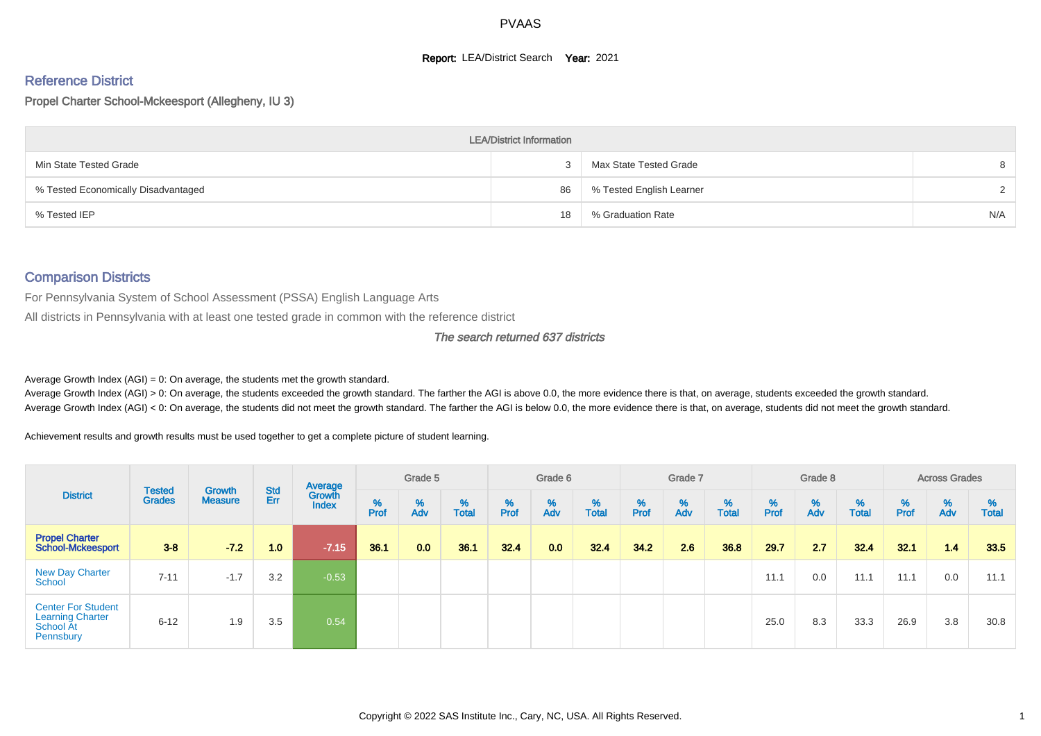#### **Report: LEA/District Search Year: 2021**

# Reference District

Propel Charter School-Mckeesport (Allegheny, IU 3)

|                                     | <b>LEA/District Information</b> |                          |        |
|-------------------------------------|---------------------------------|--------------------------|--------|
| Min State Tested Grade              |                                 | Max State Tested Grade   | 8      |
| % Tested Economically Disadvantaged | 86                              | % Tested English Learner | $\sim$ |
| % Tested IEP                        | 18                              | % Graduation Rate        | N/A    |

#### Comparison Districts

For Pennsylvania System of School Assessment (PSSA) English Language Arts

All districts in Pennsylvania with at least one tested grade in common with the reference district

#### The search returned 637 districts

Average Growth Index  $(AGI) = 0$ : On average, the students met the growth standard.

Average Growth Index (AGI) > 0: On average, the students exceeded the growth standard. The farther the AGI is above 0.0, the more evidence there is that, on average, students exceeded the growth standard. Average Growth Index (AGI) < 0: On average, the students did not meet the growth standard. The farther the AGI is below 0.0, the more evidence there is that, on average, students did not meet the growth standard.

Achievement results and growth results must be used together to get a complete picture of student learning.

|                                                                                | <b>Tested</b> |                          | <b>Std</b>       | Average         |           | Grade 5  |                   |           | Grade 6  |                   |           | Grade 7  |                   |           | Grade 8  |                   |           | <b>Across Grades</b> |                   |
|--------------------------------------------------------------------------------|---------------|--------------------------|------------------|-----------------|-----------|----------|-------------------|-----------|----------|-------------------|-----------|----------|-------------------|-----------|----------|-------------------|-----------|----------------------|-------------------|
| <b>District</b>                                                                | <b>Grades</b> | Growth<br><b>Measure</b> | Err              | Growth<br>Index | %<br>Prof | %<br>Adv | %<br><b>Total</b> | %<br>Prof | %<br>Adv | %<br><b>Total</b> | %<br>Prof | %<br>Adv | %<br><b>Total</b> | %<br>Prof | %<br>Adv | %<br><b>Total</b> | %<br>Prof | %<br>Adv             | %<br><b>Total</b> |
| <b>Propel Charter</b><br>School-Mckeesport                                     | $3 - 8$       | $-7.2$                   | 1.0 <sub>1</sub> | $-7.15$         | 36.1      | 0.0      | 36.1              | 32.4      | 0.0      | 32.4              | 34.2      | 2.6      | 36.8              | 29.7      | 2.7      | 32.4              | 32.1      | 1.4                  | 33.5              |
| <b>New Day Charter</b><br><b>School</b>                                        | $7 - 11$      | $-1.7$                   | 3.2              | $-0.53$         |           |          |                   |           |          |                   |           |          |                   | 11.1      | 0.0      | 11.1              | 11.1      | 0.0                  | 11.1              |
| <b>Center For Student</b><br><b>Learning Charter</b><br>School At<br>Pennsbury | $6 - 12$      | 1.9                      | 3.5              | 0.54            |           |          |                   |           |          |                   |           |          |                   | 25.0      | 8.3      | 33.3              | 26.9      | 3.8                  | 30.8              |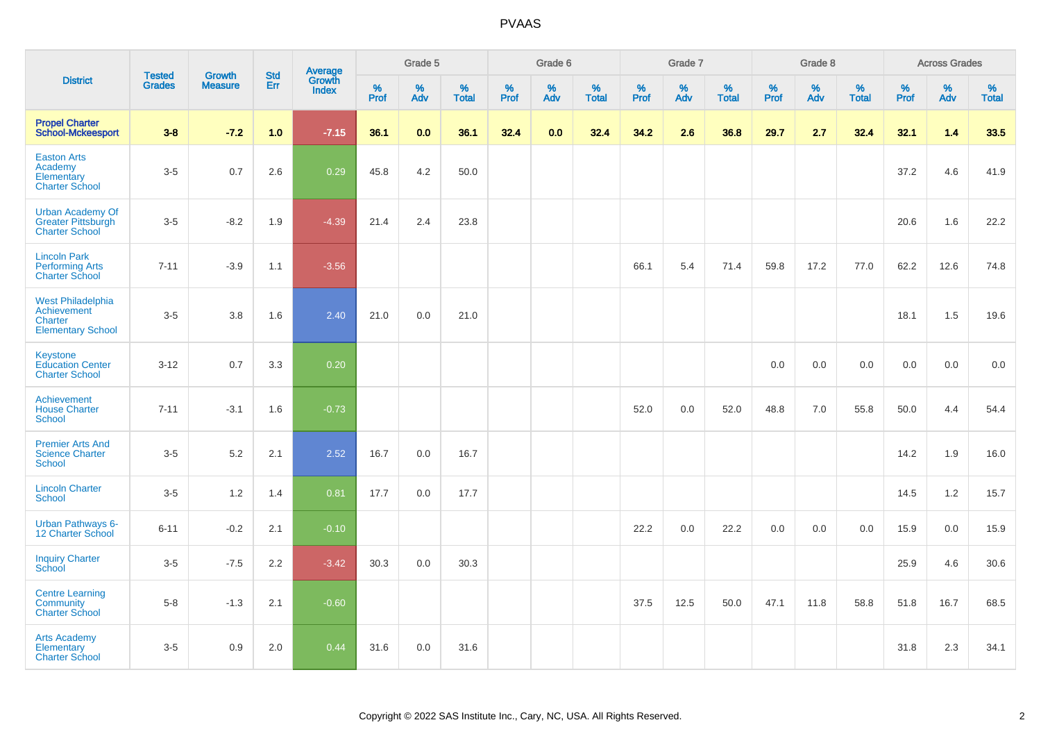|                                                                                       | <b>Tested</b> | <b>Growth</b>  | <b>Std</b> |                                   |           | Grade 5  |                   |           | Grade 6  |                   |           | Grade 7  |                   |           | Grade 8  |                   |           | <b>Across Grades</b> |                   |
|---------------------------------------------------------------------------------------|---------------|----------------|------------|-----------------------------------|-----------|----------|-------------------|-----------|----------|-------------------|-----------|----------|-------------------|-----------|----------|-------------------|-----------|----------------------|-------------------|
| <b>District</b>                                                                       | <b>Grades</b> | <b>Measure</b> | Err        | <b>Average</b><br>Growth<br>Index | %<br>Prof | %<br>Adv | %<br><b>Total</b> | %<br>Prof | %<br>Adv | %<br><b>Total</b> | %<br>Prof | %<br>Adv | %<br><b>Total</b> | %<br>Prof | %<br>Adv | %<br><b>Total</b> | %<br>Prof | %<br>Adv             | %<br><b>Total</b> |
| <b>Propel Charter</b><br><b>School-Mckeesport</b>                                     | $3 - 8$       | $-7.2$         | 1.0        | $-7.15$                           | 36.1      | 0.0      | 36.1              | 32.4      | 0.0      | 32.4              | 34.2      | 2.6      | 36.8              | 29.7      | 2.7      | 32.4              | 32.1      | 1.4                  | 33.5              |
| <b>Easton Arts</b><br>Academy<br>Elementary<br><b>Charter School</b>                  | $3-5$         | 0.7            | 2.6        | 0.29                              | 45.8      | 4.2      | 50.0              |           |          |                   |           |          |                   |           |          |                   | 37.2      | 4.6                  | 41.9              |
| <b>Urban Academy Of</b><br><b>Greater Pittsburgh</b><br><b>Charter School</b>         | $3-5$         | $-8.2$         | 1.9        | $-4.39$                           | 21.4      | 2.4      | 23.8              |           |          |                   |           |          |                   |           |          |                   | 20.6      | 1.6                  | 22.2              |
| <b>Lincoln Park</b><br><b>Performing Arts</b><br><b>Charter School</b>                | $7 - 11$      | $-3.9$         | 1.1        | $-3.56$                           |           |          |                   |           |          |                   | 66.1      | 5.4      | 71.4              | 59.8      | 17.2     | 77.0              | 62.2      | 12.6                 | 74.8              |
| <b>West Philadelphia</b><br>Achievement<br><b>Charter</b><br><b>Elementary School</b> | $3-5$         | 3.8            | 1.6        | 2.40                              | 21.0      | 0.0      | 21.0              |           |          |                   |           |          |                   |           |          |                   | 18.1      | 1.5                  | 19.6              |
| Keystone<br><b>Education Center</b><br><b>Charter School</b>                          | $3 - 12$      | 0.7            | 3.3        | 0.20                              |           |          |                   |           |          |                   |           |          |                   | 0.0       | 0.0      | 0.0               | 0.0       | 0.0                  | 0.0               |
| Achievement<br><b>House Charter</b><br>School                                         | $7 - 11$      | $-3.1$         | 1.6        | $-0.73$                           |           |          |                   |           |          |                   | 52.0      | 0.0      | 52.0              | 48.8      | 7.0      | 55.8              | 50.0      | 4.4                  | 54.4              |
| <b>Premier Arts And</b><br><b>Science Charter</b><br><b>School</b>                    | $3-5$         | 5.2            | 2.1        | 2.52                              | 16.7      | 0.0      | 16.7              |           |          |                   |           |          |                   |           |          |                   | 14.2      | 1.9                  | 16.0              |
| <b>Lincoln Charter</b><br><b>School</b>                                               | $3-5$         | 1.2            | 1.4        | 0.81                              | 17.7      | 0.0      | 17.7              |           |          |                   |           |          |                   |           |          |                   | 14.5      | 1.2                  | 15.7              |
| Urban Pathways 6-<br>12 Charter School                                                | $6 - 11$      | $-0.2$         | 2.1        | $-0.10$                           |           |          |                   |           |          |                   | 22.2      | 0.0      | 22.2              | 0.0       | 0.0      | 0.0               | 15.9      | 0.0                  | 15.9              |
| <b>Inquiry Charter</b><br>School                                                      | $3-5$         | $-7.5$         | 2.2        | $-3.42$                           | 30.3      | 0.0      | 30.3              |           |          |                   |           |          |                   |           |          |                   | 25.9      | 4.6                  | 30.6              |
| <b>Centre Learning</b><br>Community<br><b>Charter School</b>                          | $5-8$         | $-1.3$         | 2.1        | $-0.60$                           |           |          |                   |           |          |                   | 37.5      | 12.5     | 50.0              | 47.1      | 11.8     | 58.8              | 51.8      | 16.7                 | 68.5              |
| <b>Arts Academy</b><br>Elementary<br><b>Charter School</b>                            | $3-5$         | 0.9            | 2.0        | 0.44                              | 31.6      | 0.0      | 31.6              |           |          |                   |           |          |                   |           |          |                   | 31.8      | 2.3                  | 34.1              |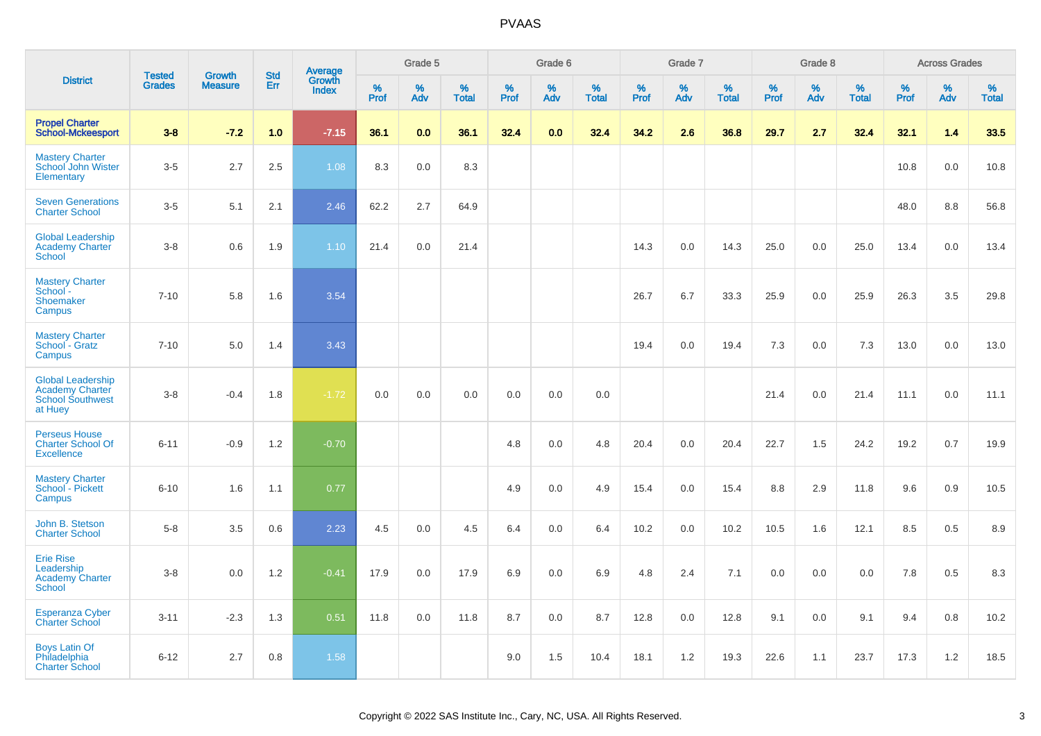|                                                                                          |                                |                                 |                   | Average                |              | Grade 5     |                   |           | Grade 6  |                   |           | Grade 7  |                   |           | Grade 8  |                   |           | <b>Across Grades</b> |                   |
|------------------------------------------------------------------------------------------|--------------------------------|---------------------------------|-------------------|------------------------|--------------|-------------|-------------------|-----------|----------|-------------------|-----------|----------|-------------------|-----------|----------|-------------------|-----------|----------------------|-------------------|
| <b>District</b>                                                                          | <b>Tested</b><br><b>Grades</b> | <b>Growth</b><br><b>Measure</b> | <b>Std</b><br>Err | Growth<br><b>Index</b> | $\%$<br>Prof | $\%$<br>Adv | %<br><b>Total</b> | %<br>Prof | %<br>Adv | %<br><b>Total</b> | %<br>Prof | %<br>Adv | %<br><b>Total</b> | %<br>Prof | %<br>Adv | %<br><b>Total</b> | %<br>Prof | %<br>Adv             | %<br><b>Total</b> |
| <b>Propel Charter</b><br><b>School-Mckeesport</b>                                        | $3-8$                          | $-7.2$                          | 1.0               | $-7.15$                | 36.1         | 0.0         | 36.1              | 32.4      | 0.0      | 32.4              | 34.2      | 2.6      | 36.8              | 29.7      | 2.7      | 32.4              | 32.1      | 1.4                  | 33.5              |
| <b>Mastery Charter</b><br>School John Wister<br>Elementary                               | $3-5$                          | 2.7                             | 2.5               | 1.08                   | 8.3          | 0.0         | 8.3               |           |          |                   |           |          |                   |           |          |                   | 10.8      | 0.0                  | 10.8              |
| <b>Seven Generations</b><br><b>Charter School</b>                                        | $3-5$                          | 5.1                             | 2.1               | 2.46                   | 62.2         | 2.7         | 64.9              |           |          |                   |           |          |                   |           |          |                   | 48.0      | 8.8                  | 56.8              |
| <b>Global Leadership</b><br><b>Academy Charter</b><br><b>School</b>                      | $3-8$                          | 0.6                             | 1.9               | 1.10                   | 21.4         | 0.0         | 21.4              |           |          |                   | 14.3      | 0.0      | 14.3              | 25.0      | 0.0      | 25.0              | 13.4      | 0.0                  | 13.4              |
| <b>Mastery Charter</b><br>School <sup>-</sup><br>Shoemaker<br>Campus                     | $7 - 10$                       | 5.8                             | 1.6               | 3.54                   |              |             |                   |           |          |                   | 26.7      | 6.7      | 33.3              | 25.9      | 0.0      | 25.9              | 26.3      | 3.5                  | 29.8              |
| <b>Mastery Charter</b><br>School - Gratz<br>Campus                                       | $7 - 10$                       | 5.0                             | 1.4               | 3.43                   |              |             |                   |           |          |                   | 19.4      | 0.0      | 19.4              | 7.3       | 0.0      | 7.3               | 13.0      | 0.0                  | 13.0              |
| <b>Global Leadership</b><br><b>Academy Charter</b><br><b>School Southwest</b><br>at Huey | $3-8$                          | $-0.4$                          | 1.8               | $-1.72$                | 0.0          | 0.0         | 0.0               | 0.0       | 0.0      | 0.0               |           |          |                   | 21.4      | 0.0      | 21.4              | 11.1      | 0.0                  | 11.1              |
| <b>Perseus House</b><br><b>Charter School Of</b><br><b>Excellence</b>                    | $6 - 11$                       | $-0.9$                          | 1.2               | $-0.70$                |              |             |                   | 4.8       | 0.0      | 4.8               | 20.4      | 0.0      | 20.4              | 22.7      | 1.5      | 24.2              | 19.2      | 0.7                  | 19.9              |
| <b>Mastery Charter</b><br>School - Pickett<br>Campus                                     | $6 - 10$                       | 1.6                             | 1.1               | 0.77                   |              |             |                   | 4.9       | 0.0      | 4.9               | 15.4      | 0.0      | 15.4              | 8.8       | 2.9      | 11.8              | 9.6       | 0.9                  | 10.5              |
| John B. Stetson<br><b>Charter School</b>                                                 | $5-8$                          | 3.5                             | 0.6               | 2.23                   | 4.5          | 0.0         | 4.5               | 6.4       | 0.0      | 6.4               | 10.2      | 0.0      | 10.2              | 10.5      | 1.6      | 12.1              | 8.5       | 0.5                  | 8.9               |
| <b>Erie Rise</b><br>Leadership<br>Academy Charter<br>School                              | $3-8$                          | 0.0                             | 1.2               | $-0.41$                | 17.9         | 0.0         | 17.9              | 6.9       | 0.0      | 6.9               | 4.8       | 2.4      | 7.1               | 0.0       | 0.0      | 0.0               | 7.8       | 0.5                  | 8.3               |
| <b>Esperanza Cyber</b><br><b>Charter School</b>                                          | $3 - 11$                       | $-2.3$                          | 1.3               | 0.51                   | 11.8         | 0.0         | 11.8              | 8.7       | 0.0      | 8.7               | 12.8      | 0.0      | 12.8              | 9.1       | $0.0\,$  | 9.1               | 9.4       | 0.8                  | 10.2              |
| <b>Boys Latin Of</b><br>Philadelphia<br><b>Charter School</b>                            | $6 - 12$                       | 2.7                             | 0.8               | 1.58                   |              |             |                   | 9.0       | 1.5      | 10.4              | 18.1      | 1.2      | 19.3              | 22.6      | 1.1      | 23.7              | 17.3      | 1.2                  | 18.5              |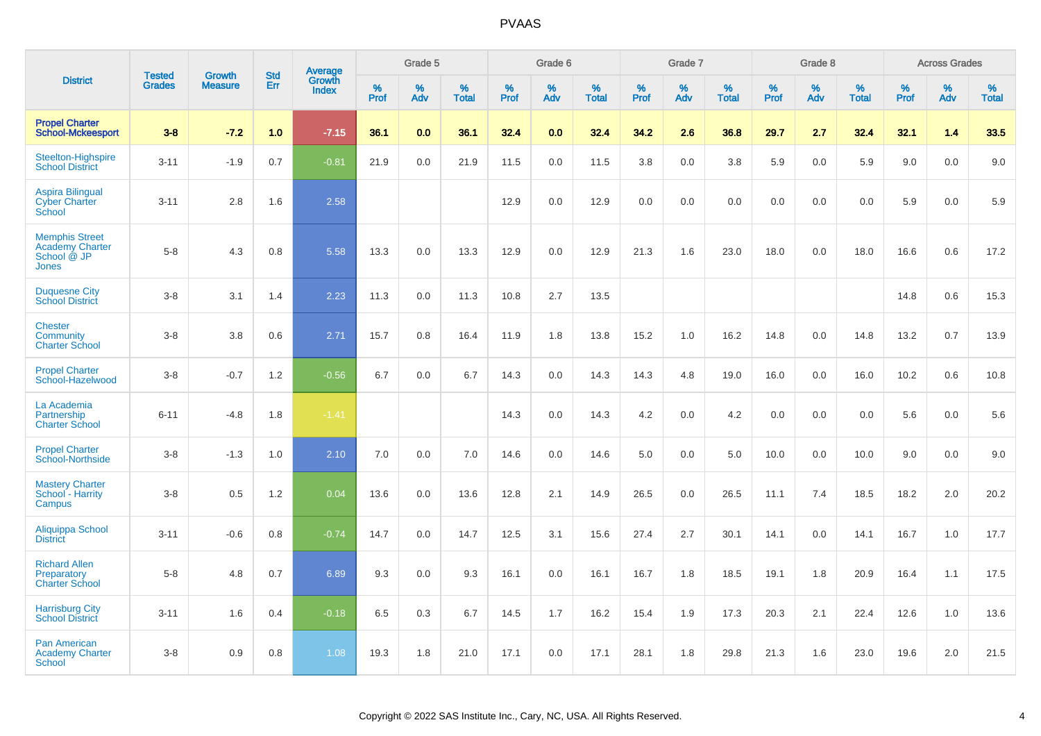|                                                                                |                                |                                 | <b>Std</b> | Average                |              | Grade 5  |                   |              | Grade 6  |                   |              | Grade 7  |                   |              | Grade 8  |                   |              | <b>Across Grades</b> |            |
|--------------------------------------------------------------------------------|--------------------------------|---------------------------------|------------|------------------------|--------------|----------|-------------------|--------------|----------|-------------------|--------------|----------|-------------------|--------------|----------|-------------------|--------------|----------------------|------------|
| <b>District</b>                                                                | <b>Tested</b><br><b>Grades</b> | <b>Growth</b><br><b>Measure</b> | Err        | Growth<br><b>Index</b> | $\%$<br>Prof | %<br>Adv | %<br><b>Total</b> | $\%$<br>Prof | %<br>Adv | %<br><b>Total</b> | $\%$<br>Prof | %<br>Adv | %<br><b>Total</b> | $\%$<br>Prof | %<br>Adv | %<br><b>Total</b> | $\%$<br>Prof | %<br>Adv             | %<br>Total |
| <b>Propel Charter</b><br><b>School-Mckeesport</b>                              | $3 - 8$                        | $-7.2$                          | 1.0        | $-7.15$                | 36.1         | 0.0      | 36.1              | 32.4         | 0.0      | 32.4              | 34.2         | 2.6      | 36.8              | 29.7         | 2.7      | 32.4              | 32.1         | 1.4                  | 33.5       |
| <b>Steelton-Highspire</b><br><b>School District</b>                            | $3 - 11$                       | $-1.9$                          | 0.7        | $-0.81$                | 21.9         | 0.0      | 21.9              | 11.5         | 0.0      | 11.5              | 3.8          | 0.0      | 3.8               | 5.9          | 0.0      | 5.9               | 9.0          | $0.0\,$              | 9.0        |
| <b>Aspira Bilingual</b><br><b>Cyber Charter</b><br>School                      | $3 - 11$                       | 2.8                             | 1.6        | 2.58                   |              |          |                   | 12.9         | 0.0      | 12.9              | $0.0\,$      | 0.0      | 0.0               | 0.0          | $0.0\,$  | 0.0               | 5.9          | 0.0                  | 5.9        |
| <b>Memphis Street</b><br><b>Academy Charter</b><br>School @ JP<br><b>Jones</b> | $5 - 8$                        | 4.3                             | 0.8        | 5.58                   | 13.3         | 0.0      | 13.3              | 12.9         | 0.0      | 12.9              | 21.3         | 1.6      | 23.0              | 18.0         | 0.0      | 18.0              | 16.6         | 0.6                  | 17.2       |
| <b>Duquesne City</b><br><b>School District</b>                                 | $3 - 8$                        | 3.1                             | 1.4        | 2.23                   | 11.3         | 0.0      | 11.3              | 10.8         | 2.7      | 13.5              |              |          |                   |              |          |                   | 14.8         | 0.6                  | 15.3       |
| <b>Chester</b><br>Community<br><b>Charter School</b>                           | $3 - 8$                        | 3.8                             | 0.6        | 2.71                   | 15.7         | 0.8      | 16.4              | 11.9         | 1.8      | 13.8              | 15.2         | $1.0$    | 16.2              | 14.8         | 0.0      | 14.8              | 13.2         | 0.7                  | 13.9       |
| <b>Propel Charter</b><br>School-Hazelwood                                      | $3 - 8$                        | $-0.7$                          | 1.2        | $-0.56$                | 6.7          | 0.0      | 6.7               | 14.3         | 0.0      | 14.3              | 14.3         | 4.8      | 19.0              | 16.0         | 0.0      | 16.0              | 10.2         | 0.6                  | 10.8       |
| La Academia<br>Partnership<br><b>Charter School</b>                            | $6 - 11$                       | $-4.8$                          | 1.8        | $-1.41$                |              |          |                   | 14.3         | 0.0      | 14.3              | 4.2          | 0.0      | 4.2               | 0.0          | 0.0      | 0.0               | 5.6          | $0.0\,$              | 5.6        |
| <b>Propel Charter</b><br>School-Northside                                      | $3 - 8$                        | $-1.3$                          | 1.0        | 2.10                   | 7.0          | 0.0      | 7.0               | 14.6         | 0.0      | 14.6              | 5.0          | 0.0      | 5.0               | 10.0         | 0.0      | 10.0              | 9.0          | 0.0                  | 9.0        |
| <b>Mastery Charter</b><br>School - Harrity<br>Campus                           | $3 - 8$                        | 0.5                             | 1.2        | 0.04                   | 13.6         | 0.0      | 13.6              | 12.8         | 2.1      | 14.9              | 26.5         | 0.0      | 26.5              | 11.1         | 7.4      | 18.5              | 18.2         | 2.0                  | 20.2       |
| Aliquippa School<br><b>District</b>                                            | $3 - 11$                       | $-0.6$                          | 0.8        | $-0.74$                | 14.7         | 0.0      | 14.7              | 12.5         | 3.1      | 15.6              | 27.4         | 2.7      | 30.1              | 14.1         | 0.0      | 14.1              | 16.7         | 1.0                  | 17.7       |
| <b>Richard Allen</b><br>Preparatory<br><b>Charter School</b>                   | $5 - 8$                        | 4.8                             | 0.7        | 6.89                   | 9.3          | 0.0      | 9.3               | 16.1         | 0.0      | 16.1              | 16.7         | 1.8      | 18.5              | 19.1         | 1.8      | 20.9              | 16.4         | 1.1                  | 17.5       |
| <b>Harrisburg City</b><br><b>School District</b>                               | $3 - 11$                       | 1.6                             | 0.4        | $-0.18$                | 6.5          | 0.3      | 6.7               | 14.5         | 1.7      | 16.2              | 15.4         | 1.9      | 17.3              | 20.3         | 2.1      | 22.4              | 12.6         | 1.0                  | 13.6       |
| <b>Pan American</b><br><b>Academy Charter</b><br>School                        | $3 - 8$                        | 0.9                             | 0.8        | 1.08                   | 19.3         | 1.8      | 21.0              | 17.1         | 0.0      | 17.1              | 28.1         | 1.8      | 29.8              | 21.3         | 1.6      | 23.0              | 19.6         | 2.0                  | 21.5       |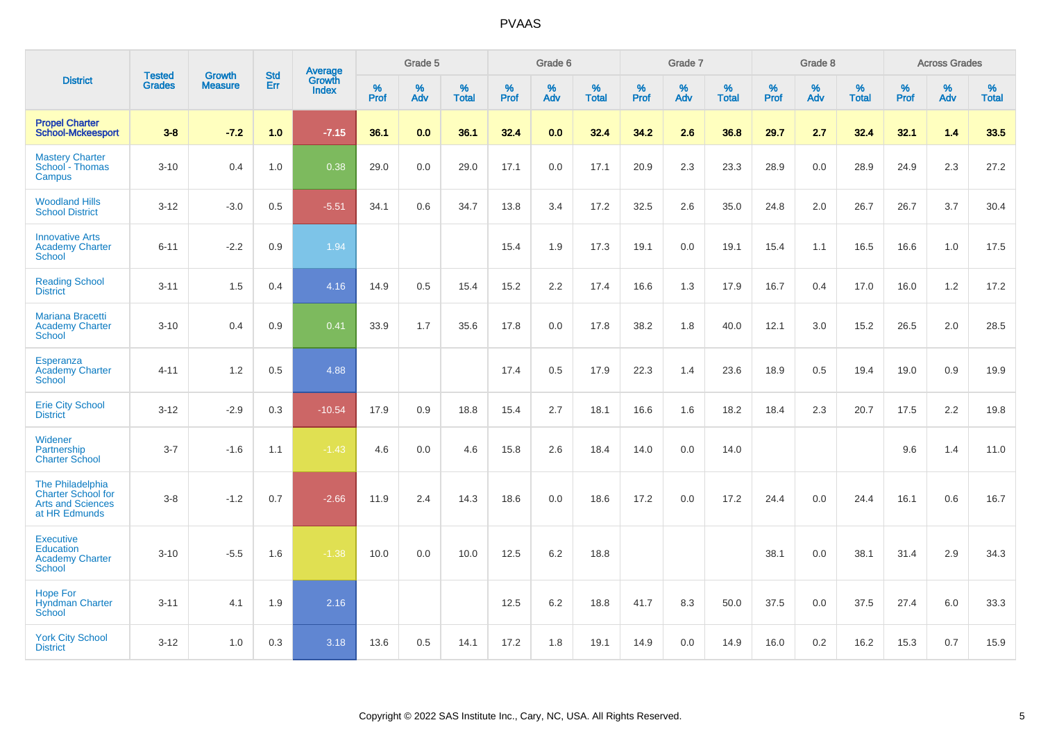|                                                                                            |                                |                                 | <b>Std</b> | Average                |           | Grade 5  |                   |           | Grade 6  |                   |           | Grade 7  |                   |           | Grade 8  |                   |           | <b>Across Grades</b> |                   |
|--------------------------------------------------------------------------------------------|--------------------------------|---------------------------------|------------|------------------------|-----------|----------|-------------------|-----------|----------|-------------------|-----------|----------|-------------------|-----------|----------|-------------------|-----------|----------------------|-------------------|
| <b>District</b>                                                                            | <b>Tested</b><br><b>Grades</b> | <b>Growth</b><br><b>Measure</b> | Err        | Growth<br><b>Index</b> | %<br>Prof | %<br>Adv | %<br><b>Total</b> | %<br>Prof | %<br>Adv | %<br><b>Total</b> | %<br>Prof | %<br>Adv | %<br><b>Total</b> | %<br>Prof | %<br>Adv | %<br><b>Total</b> | %<br>Prof | %<br>Adv             | %<br><b>Total</b> |
| <b>Propel Charter</b><br><b>School-Mckeesport</b>                                          | $3 - 8$                        | $-7.2$                          | 1.0        | $-7.15$                | 36.1      | 0.0      | 36.1              | 32.4      | 0.0      | 32.4              | 34.2      | 2.6      | 36.8              | 29.7      | 2.7      | 32.4              | 32.1      | 1.4                  | 33.5              |
| <b>Mastery Charter</b><br>School - Thomas<br>Campus                                        | $3 - 10$                       | 0.4                             | 1.0        | 0.38                   | 29.0      | $0.0\,$  | 29.0              | 17.1      | $0.0\,$  | 17.1              | 20.9      | 2.3      | 23.3              | 28.9      | $0.0\,$  | 28.9              | 24.9      | 2.3                  | 27.2              |
| <b>Woodland Hills</b><br><b>School District</b>                                            | $3 - 12$                       | $-3.0$                          | 0.5        | $-5.51$                | 34.1      | 0.6      | 34.7              | 13.8      | 3.4      | 17.2              | 32.5      | 2.6      | 35.0              | 24.8      | 2.0      | 26.7              | 26.7      | 3.7                  | 30.4              |
| <b>Innovative Arts</b><br><b>Academy Charter</b><br><b>School</b>                          | $6 - 11$                       | $-2.2$                          | 0.9        | 1.94                   |           |          |                   | 15.4      | 1.9      | 17.3              | 19.1      | 0.0      | 19.1              | 15.4      | 1.1      | 16.5              | 16.6      | 1.0                  | 17.5              |
| <b>Reading School</b><br><b>District</b>                                                   | $3 - 11$                       | 1.5                             | 0.4        | 4.16                   | 14.9      | 0.5      | 15.4              | 15.2      | 2.2      | 17.4              | 16.6      | 1.3      | 17.9              | 16.7      | 0.4      | 17.0              | 16.0      | $1.2$                | 17.2              |
| <b>Mariana Bracetti</b><br><b>Academy Charter</b><br><b>School</b>                         | $3 - 10$                       | 0.4                             | 0.9        | 0.41                   | 33.9      | 1.7      | 35.6              | 17.8      | 0.0      | 17.8              | 38.2      | 1.8      | 40.0              | 12.1      | 3.0      | 15.2              | 26.5      | 2.0                  | 28.5              |
| Esperanza<br><b>Academy Charter</b><br><b>School</b>                                       | $4 - 11$                       | 1.2                             | 0.5        | 4.88                   |           |          |                   | 17.4      | 0.5      | 17.9              | 22.3      | 1.4      | 23.6              | 18.9      | 0.5      | 19.4              | 19.0      | $0.9\,$              | 19.9              |
| <b>Erie City School</b><br><b>District</b>                                                 | $3 - 12$                       | $-2.9$                          | 0.3        | $-10.54$               | 17.9      | 0.9      | 18.8              | 15.4      | 2.7      | 18.1              | 16.6      | 1.6      | 18.2              | 18.4      | 2.3      | 20.7              | 17.5      | 2.2                  | 19.8              |
| Widener<br>Partnership<br><b>Charter School</b>                                            | $3 - 7$                        | $-1.6$                          | 1.1        | $-1.43$                | 4.6       | 0.0      | 4.6               | 15.8      | 2.6      | 18.4              | 14.0      | 0.0      | 14.0              |           |          |                   | 9.6       | 1.4                  | 11.0              |
| The Philadelphia<br><b>Charter School for</b><br><b>Arts and Sciences</b><br>at HR Edmunds | $3-8$                          | $-1.2$                          | 0.7        | $-2.66$                | 11.9      | 2.4      | 14.3              | 18.6      | 0.0      | 18.6              | 17.2      | 0.0      | 17.2              | 24.4      | 0.0      | 24.4              | 16.1      | 0.6                  | 16.7              |
| <b>Executive</b><br><b>Education</b><br><b>Academy Charter</b><br><b>School</b>            | $3 - 10$                       | $-5.5$                          | 1.6        | $-1.38$                | 10.0      | 0.0      | 10.0              | 12.5      | $6.2\,$  | 18.8              |           |          |                   | 38.1      | 0.0      | 38.1              | 31.4      | 2.9                  | 34.3              |
| <b>Hope For</b><br><b>Hyndman Charter</b><br>School                                        | $3 - 11$                       | 4.1                             | 1.9        | 2.16                   |           |          |                   | 12.5      | 6.2      | 18.8              | 41.7      | 8.3      | 50.0              | 37.5      | 0.0      | 37.5              | 27.4      | 6.0                  | 33.3              |
| <b>York City School</b><br><b>District</b>                                                 | $3 - 12$                       | 1.0                             | 0.3        | 3.18                   | 13.6      | 0.5      | 14.1              | 17.2      | 1.8      | 19.1              | 14.9      | 0.0      | 14.9              | 16.0      | 0.2      | 16.2              | 15.3      | 0.7                  | 15.9              |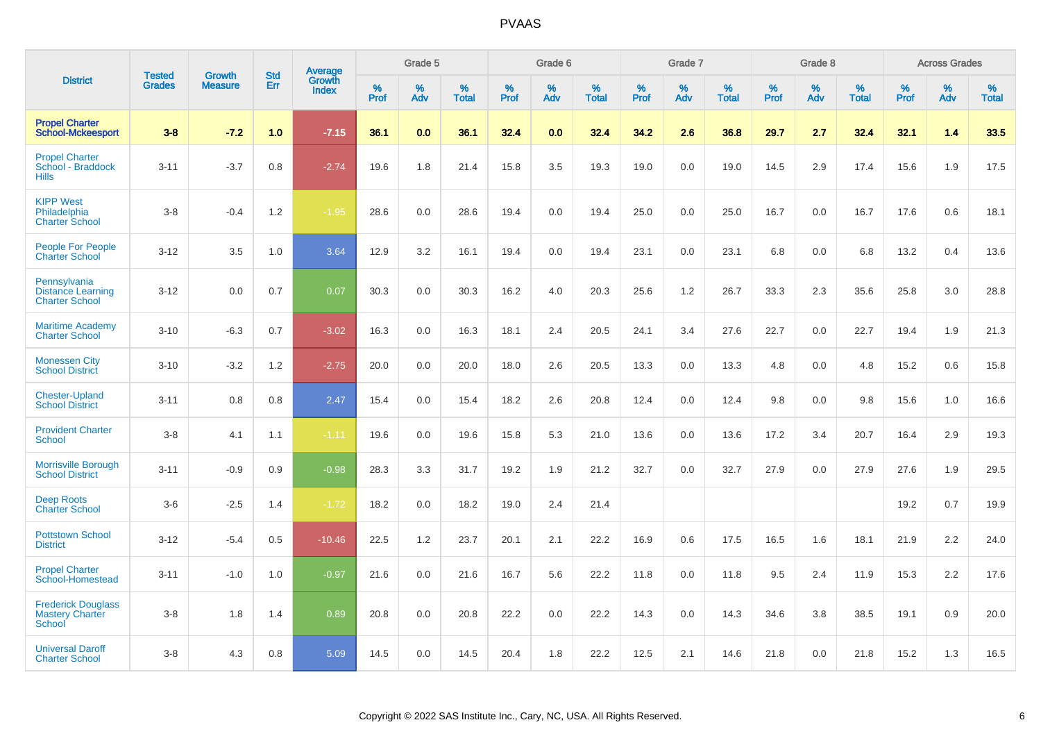|                                                                   |                                |                                 | <b>Std</b> | Average                |                     | Grade 5  |                   |           | Grade 6  |                   |           | Grade 7  |                   |              | Grade 8  |                   |              | <b>Across Grades</b> |                   |
|-------------------------------------------------------------------|--------------------------------|---------------------------------|------------|------------------------|---------------------|----------|-------------------|-----------|----------|-------------------|-----------|----------|-------------------|--------------|----------|-------------------|--------------|----------------------|-------------------|
| <b>District</b>                                                   | <b>Tested</b><br><b>Grades</b> | <b>Growth</b><br><b>Measure</b> | Err        | Growth<br><b>Index</b> | $\%$<br><b>Prof</b> | %<br>Adv | %<br><b>Total</b> | %<br>Prof | %<br>Adv | %<br><b>Total</b> | %<br>Prof | %<br>Adv | %<br><b>Total</b> | $\%$<br>Prof | %<br>Adv | %<br><b>Total</b> | $\%$<br>Prof | %<br>Adv             | %<br><b>Total</b> |
| <b>Propel Charter</b><br><b>School-Mckeesport</b>                 | $3 - 8$                        | $-7.2$                          | 1.0        | $-7.15$                | 36.1                | 0.0      | 36.1              | 32.4      | 0.0      | 32.4              | 34.2      | 2.6      | 36.8              | 29.7         | 2.7      | 32.4              | 32.1         | 1.4                  | 33.5              |
| <b>Propel Charter</b><br>School - Braddock<br><b>Hills</b>        | $3 - 11$                       | $-3.7$                          | 0.8        | $-2.74$                | 19.6                | 1.8      | 21.4              | 15.8      | 3.5      | 19.3              | 19.0      | 0.0      | 19.0              | 14.5         | 2.9      | 17.4              | 15.6         | 1.9                  | 17.5              |
| <b>KIPP West</b><br>Philadelphia<br><b>Charter School</b>         | $3-8$                          | $-0.4$                          | 1.2        | $-1.95$                | 28.6                | 0.0      | 28.6              | 19.4      | 0.0      | 19.4              | 25.0      | 0.0      | 25.0              | 16.7         | 0.0      | 16.7              | 17.6         | 0.6                  | 18.1              |
| People For People<br><b>Charter School</b>                        | $3 - 12$                       | 3.5                             | 1.0        | 3.64                   | 12.9                | 3.2      | 16.1              | 19.4      | 0.0      | 19.4              | 23.1      | 0.0      | 23.1              | 6.8          | 0.0      | 6.8               | 13.2         | 0.4                  | 13.6              |
| Pennsylvania<br><b>Distance Learning</b><br><b>Charter School</b> | $3 - 12$                       | 0.0                             | 0.7        | 0.07                   | 30.3                | 0.0      | 30.3              | 16.2      | 4.0      | 20.3              | 25.6      | 1.2      | 26.7              | 33.3         | 2.3      | 35.6              | 25.8         | 3.0                  | 28.8              |
| <b>Maritime Academy</b><br><b>Charter School</b>                  | $3 - 10$                       | $-6.3$                          | 0.7        | $-3.02$                | 16.3                | 0.0      | 16.3              | 18.1      | 2.4      | 20.5              | 24.1      | 3.4      | 27.6              | 22.7         | 0.0      | 22.7              | 19.4         | 1.9                  | 21.3              |
| <b>Monessen City</b><br><b>School District</b>                    | $3 - 10$                       | $-3.2$                          | 1.2        | $-2.75$                | 20.0                | 0.0      | 20.0              | 18.0      | 2.6      | 20.5              | 13.3      | 0.0      | 13.3              | 4.8          | 0.0      | 4.8               | 15.2         | 0.6                  | 15.8              |
| <b>Chester-Upland</b><br><b>School District</b>                   | $3 - 11$                       | 0.8                             | 0.8        | 2.47                   | 15.4                | 0.0      | 15.4              | 18.2      | 2.6      | 20.8              | 12.4      | 0.0      | 12.4              | 9.8          | 0.0      | 9.8               | 15.6         | 1.0                  | 16.6              |
| <b>Provident Charter</b><br><b>School</b>                         | $3-8$                          | 4.1                             | 1.1        | $-1.11$                | 19.6                | 0.0      | 19.6              | 15.8      | 5.3      | 21.0              | 13.6      | 0.0      | 13.6              | 17.2         | 3.4      | 20.7              | 16.4         | 2.9                  | 19.3              |
| <b>Morrisville Borough</b><br><b>School District</b>              | $3 - 11$                       | $-0.9$                          | 0.9        | $-0.98$                | 28.3                | 3.3      | 31.7              | 19.2      | 1.9      | 21.2              | 32.7      | 0.0      | 32.7              | 27.9         | 0.0      | 27.9              | 27.6         | 1.9                  | 29.5              |
| <b>Deep Roots</b><br><b>Charter School</b>                        | $3-6$                          | $-2.5$                          | 1.4        | $-1.72$                | 18.2                | 0.0      | 18.2              | 19.0      | 2.4      | 21.4              |           |          |                   |              |          |                   | 19.2         | 0.7                  | 19.9              |
| <b>Pottstown School</b><br><b>District</b>                        | $3 - 12$                       | $-5.4$                          | 0.5        | $-10.46$               | 22.5                | 1.2      | 23.7              | 20.1      | 2.1      | 22.2              | 16.9      | 0.6      | 17.5              | 16.5         | 1.6      | 18.1              | 21.9         | 2.2                  | 24.0              |
| <b>Propel Charter</b><br>School-Homestead                         | $3 - 11$                       | $-1.0$                          | 1.0        | $-0.97$                | 21.6                | 0.0      | 21.6              | 16.7      | 5.6      | 22.2              | 11.8      | 0.0      | 11.8              | 9.5          | 2.4      | 11.9              | 15.3         | 2.2                  | 17.6              |
| <b>Frederick Douglass</b><br><b>Mastery Charter</b><br>School     | $3-8$                          | 1.8                             | 1.4        | 0.89                   | 20.8                | 0.0      | 20.8              | 22.2      | 0.0      | 22.2              | 14.3      | 0.0      | 14.3              | 34.6         | 3.8      | 38.5              | 19.1         | 0.9                  | 20.0              |
| <b>Universal Daroff</b><br><b>Charter School</b>                  | $3-8$                          | 4.3                             | 0.8        | 5.09                   | 14.5                | 0.0      | 14.5              | 20.4      | 1.8      | 22.2              | 12.5      | 2.1      | 14.6              | 21.8         | 0.0      | 21.8              | 15.2         | 1.3                  | 16.5              |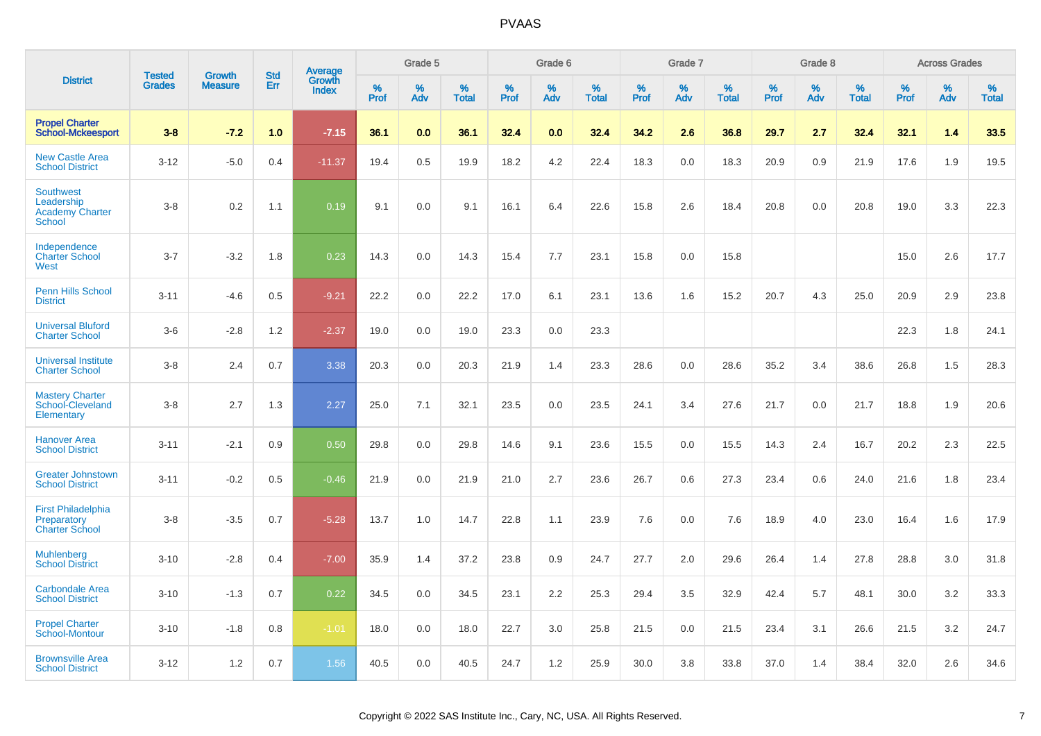|                                                                           |                                |                                 | <b>Std</b> | Average                |              | Grade 5  |                   |              | Grade 6  |                   |              | Grade 7  |                   |              | Grade 8  |                   |              | <b>Across Grades</b> |                   |
|---------------------------------------------------------------------------|--------------------------------|---------------------------------|------------|------------------------|--------------|----------|-------------------|--------------|----------|-------------------|--------------|----------|-------------------|--------------|----------|-------------------|--------------|----------------------|-------------------|
| <b>District</b>                                                           | <b>Tested</b><br><b>Grades</b> | <b>Growth</b><br><b>Measure</b> | Err        | Growth<br><b>Index</b> | $\%$<br>Prof | %<br>Adv | %<br><b>Total</b> | $\%$<br>Prof | %<br>Adv | %<br><b>Total</b> | $\%$<br>Prof | %<br>Adv | %<br><b>Total</b> | $\%$<br>Prof | %<br>Adv | %<br><b>Total</b> | $\%$<br>Prof | %<br>Adv             | %<br><b>Total</b> |
| <b>Propel Charter</b><br><b>School-Mckeesport</b>                         | $3 - 8$                        | $-7.2$                          | 1.0        | $-7.15$                | 36.1         | 0.0      | 36.1              | 32.4         | 0.0      | 32.4              | 34.2         | 2.6      | 36.8              | 29.7         | 2.7      | 32.4              | 32.1         | 1.4                  | 33.5              |
| <b>New Castle Area</b><br><b>School District</b>                          | $3 - 12$                       | $-5.0$                          | 0.4        | $-11.37$               | 19.4         | 0.5      | 19.9              | 18.2         | 4.2      | 22.4              | 18.3         | 0.0      | 18.3              | 20.9         | 0.9      | 21.9              | 17.6         | 1.9                  | 19.5              |
| <b>Southwest</b><br>Leadership<br><b>Academy Charter</b><br><b>School</b> | $3 - 8$                        | 0.2                             | 1.1        | 0.19                   | 9.1          | 0.0      | 9.1               | 16.1         | 6.4      | 22.6              | 15.8         | 2.6      | 18.4              | 20.8         | 0.0      | 20.8              | 19.0         | 3.3                  | 22.3              |
| Independence<br><b>Charter School</b><br>West                             | $3 - 7$                        | $-3.2$                          | 1.8        | 0.23                   | 14.3         | 0.0      | 14.3              | 15.4         | 7.7      | 23.1              | 15.8         | 0.0      | 15.8              |              |          |                   | 15.0         | 2.6                  | 17.7              |
| <b>Penn Hills School</b><br><b>District</b>                               | $3 - 11$                       | $-4.6$                          | 0.5        | $-9.21$                | 22.2         | 0.0      | 22.2              | 17.0         | 6.1      | 23.1              | 13.6         | 1.6      | 15.2              | 20.7         | 4.3      | 25.0              | 20.9         | 2.9                  | 23.8              |
| <b>Universal Bluford</b><br><b>Charter School</b>                         | $3-6$                          | $-2.8$                          | 1.2        | $-2.37$                | 19.0         | 0.0      | 19.0              | 23.3         | 0.0      | 23.3              |              |          |                   |              |          |                   | 22.3         | 1.8                  | 24.1              |
| <b>Universal Institute</b><br><b>Charter School</b>                       | $3 - 8$                        | 2.4                             | 0.7        | 3.38                   | 20.3         | 0.0      | 20.3              | 21.9         | 1.4      | 23.3              | 28.6         | 0.0      | 28.6              | 35.2         | 3.4      | 38.6              | 26.8         | 1.5                  | 28.3              |
| <b>Mastery Charter</b><br>School-Cleveland<br>Elementary                  | $3 - 8$                        | 2.7                             | 1.3        | 2.27                   | 25.0         | 7.1      | 32.1              | 23.5         | 0.0      | 23.5              | 24.1         | 3.4      | 27.6              | 21.7         | 0.0      | 21.7              | 18.8         | 1.9                  | 20.6              |
| <b>Hanover Area</b><br><b>School District</b>                             | $3 - 11$                       | $-2.1$                          | 0.9        | 0.50                   | 29.8         | 0.0      | 29.8              | 14.6         | 9.1      | 23.6              | 15.5         | 0.0      | 15.5              | 14.3         | 2.4      | 16.7              | 20.2         | 2.3                  | 22.5              |
| <b>Greater Johnstown</b><br><b>School District</b>                        | $3 - 11$                       | $-0.2$                          | 0.5        | $-0.46$                | 21.9         | 0.0      | 21.9              | 21.0         | 2.7      | 23.6              | 26.7         | 0.6      | 27.3              | 23.4         | 0.6      | 24.0              | 21.6         | 1.8                  | 23.4              |
| <b>First Philadelphia</b><br>Preparatory<br><b>Charter School</b>         | $3 - 8$                        | $-3.5$                          | 0.7        | $-5.28$                | 13.7         | 1.0      | 14.7              | 22.8         | 1.1      | 23.9              | 7.6          | 0.0      | 7.6               | 18.9         | 4.0      | 23.0              | 16.4         | 1.6                  | 17.9              |
| <b>Muhlenberg</b><br><b>School District</b>                               | $3 - 10$                       | $-2.8$                          | 0.4        | $-7.00$                | 35.9         | 1.4      | 37.2              | 23.8         | 0.9      | 24.7              | 27.7         | 2.0      | 29.6              | 26.4         | 1.4      | 27.8              | 28.8         | 3.0                  | 31.8              |
| <b>Carbondale Area</b><br><b>School District</b>                          | $3 - 10$                       | $-1.3$                          | 0.7        | 0.22                   | 34.5         | 0.0      | 34.5              | 23.1         | 2.2      | 25.3              | 29.4         | 3.5      | 32.9              | 42.4         | 5.7      | 48.1              | 30.0         | 3.2                  | 33.3              |
| <b>Propel Charter</b><br>School-Montour                                   | $3 - 10$                       | $-1.8$                          | 0.8        | $-1.01$                | 18.0         | 0.0      | 18.0              | 22.7         | 3.0      | 25.8              | 21.5         | 0.0      | 21.5              | 23.4         | 3.1      | 26.6              | 21.5         | 3.2                  | 24.7              |
| <b>Brownsville Area</b><br><b>School District</b>                         | $3 - 12$                       | 1.2                             | 0.7        | 1.56                   | 40.5         | 0.0      | 40.5              | 24.7         | 1.2      | 25.9              | 30.0         | 3.8      | 33.8              | 37.0         | 1.4      | 38.4              | 32.0         | 2.6                  | 34.6              |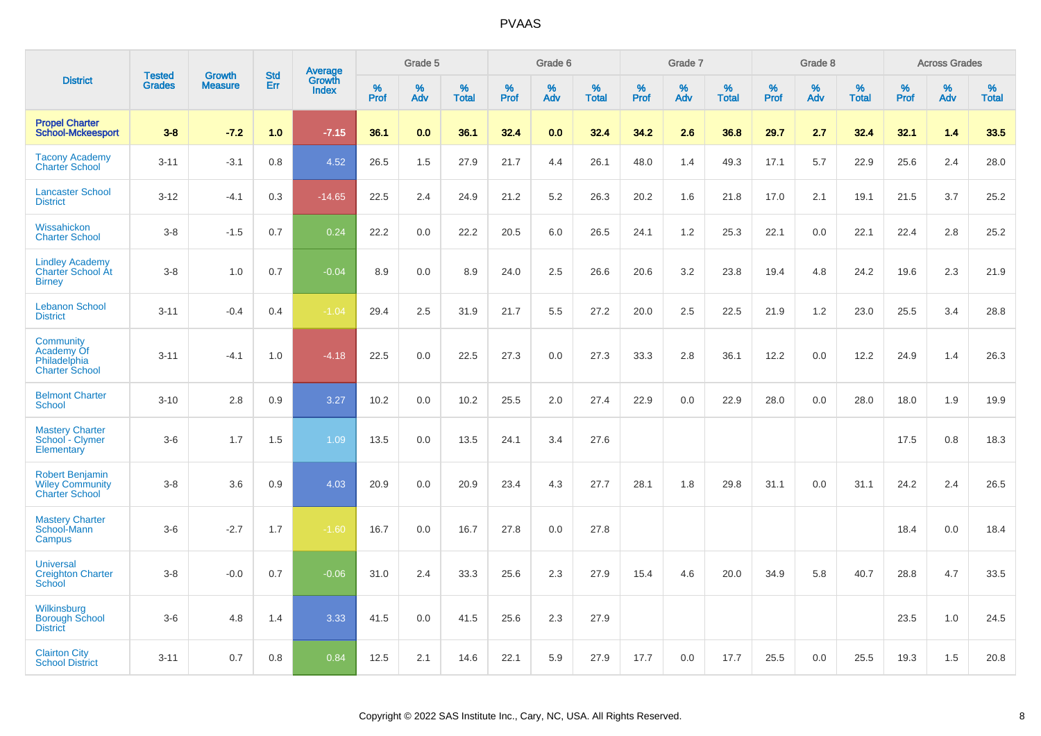|                                                                           |                                | <b>Growth</b>  | <b>Std</b> |                                   |                     | Grade 5     |                      |              | Grade 6  |                      |              | Grade 7  |                      |              | Grade 8  |                      |              | <b>Across Grades</b> |                      |
|---------------------------------------------------------------------------|--------------------------------|----------------|------------|-----------------------------------|---------------------|-------------|----------------------|--------------|----------|----------------------|--------------|----------|----------------------|--------------|----------|----------------------|--------------|----------------------|----------------------|
| <b>District</b>                                                           | <b>Tested</b><br><b>Grades</b> | <b>Measure</b> | Err        | <b>Average</b><br>Growth<br>Index | $\%$<br><b>Prof</b> | $\%$<br>Adv | $\%$<br><b>Total</b> | $\%$<br>Prof | %<br>Adv | $\%$<br><b>Total</b> | $\%$<br>Prof | %<br>Adv | $\%$<br><b>Total</b> | $\%$<br>Prof | %<br>Adv | $\%$<br><b>Total</b> | $\%$<br>Prof | $\%$<br>Adv          | $\%$<br><b>Total</b> |
| <b>Propel Charter</b><br><b>School-Mckeesport</b>                         | $3 - 8$                        | $-7.2$         | 1.0        | $-7.15$                           | 36.1                | 0.0         | 36.1                 | 32.4         | 0.0      | 32.4                 | 34.2         | 2.6      | 36.8                 | 29.7         | 2.7      | 32.4                 | 32.1         | 1.4                  | 33.5                 |
| <b>Tacony Academy</b><br><b>Charter School</b>                            | $3 - 11$                       | $-3.1$         | 0.8        | 4.52                              | 26.5                | 1.5         | 27.9                 | 21.7         | 4.4      | 26.1                 | 48.0         | 1.4      | 49.3                 | 17.1         | 5.7      | 22.9                 | 25.6         | 2.4                  | 28.0                 |
| <b>Lancaster School</b><br><b>District</b>                                | $3 - 12$                       | $-4.1$         | 0.3        | $-14.65$                          | 22.5                | 2.4         | 24.9                 | 21.2         | 5.2      | 26.3                 | 20.2         | 1.6      | 21.8                 | 17.0         | 2.1      | 19.1                 | 21.5         | 3.7                  | 25.2                 |
| Wissahickon<br><b>Charter School</b>                                      | $3 - 8$                        | $-1.5$         | 0.7        | 0.24                              | 22.2                | 0.0         | 22.2                 | 20.5         | 6.0      | 26.5                 | 24.1         | 1.2      | 25.3                 | 22.1         | 0.0      | 22.1                 | 22.4         | 2.8                  | 25.2                 |
| <b>Lindley Academy</b><br>Charter School At<br><b>Birney</b>              | $3 - 8$                        | 1.0            | 0.7        | $-0.04$                           | 8.9                 | 0.0         | 8.9                  | 24.0         | 2.5      | 26.6                 | 20.6         | 3.2      | 23.8                 | 19.4         | 4.8      | 24.2                 | 19.6         | 2.3                  | 21.9                 |
| <b>Lebanon School</b><br><b>District</b>                                  | $3 - 11$                       | $-0.4$         | 0.4        | $-1.04$                           | 29.4                | 2.5         | 31.9                 | 21.7         | 5.5      | 27.2                 | 20.0         | 2.5      | 22.5                 | 21.9         | 1.2      | 23.0                 | 25.5         | 3.4                  | 28.8                 |
| Community<br>Academy Of<br>Philadelphia<br><b>Charter School</b>          | $3 - 11$                       | $-4.1$         | 1.0        | $-4.18$                           | 22.5                | 0.0         | 22.5                 | 27.3         | 0.0      | 27.3                 | 33.3         | 2.8      | 36.1                 | 12.2         | 0.0      | 12.2                 | 24.9         | 1.4                  | 26.3                 |
| <b>Belmont Charter</b><br><b>School</b>                                   | $3 - 10$                       | 2.8            | 0.9        | 3.27                              | 10.2                | 0.0         | 10.2                 | 25.5         | 2.0      | 27.4                 | 22.9         | 0.0      | 22.9                 | 28.0         | 0.0      | 28.0                 | 18.0         | 1.9                  | 19.9                 |
| <b>Mastery Charter</b><br>School - Clymer<br>Elementary                   | $3-6$                          | 1.7            | 1.5        | 1.09                              | 13.5                | 0.0         | 13.5                 | 24.1         | 3.4      | 27.6                 |              |          |                      |              |          |                      | 17.5         | 0.8                  | 18.3                 |
| <b>Robert Benjamin</b><br><b>Wiley Community</b><br><b>Charter School</b> | $3 - 8$                        | 3.6            | 0.9        | 4.03                              | 20.9                | 0.0         | 20.9                 | 23.4         | 4.3      | 27.7                 | 28.1         | 1.8      | 29.8                 | 31.1         | 0.0      | 31.1                 | 24.2         | 2.4                  | 26.5                 |
| <b>Mastery Charter</b><br>School-Mann<br>Campus                           | $3-6$                          | $-2.7$         | 1.7        | $-1.60$                           | 16.7                | 0.0         | 16.7                 | 27.8         | 0.0      | 27.8                 |              |          |                      |              |          |                      | 18.4         | 0.0                  | 18.4                 |
| <b>Universal</b><br><b>Creighton Charter</b><br>School                    | $3 - 8$                        | $-0.0$         | 0.7        | $-0.06$                           | 31.0                | 2.4         | 33.3                 | 25.6         | 2.3      | 27.9                 | 15.4         | 4.6      | 20.0                 | 34.9         | 5.8      | 40.7                 | 28.8         | 4.7                  | 33.5                 |
| Wilkinsburg<br><b>Borough School</b><br><b>District</b>                   | $3-6$                          | 4.8            | 1.4        | 3.33                              | 41.5                | 0.0         | 41.5                 | 25.6         | 2.3      | 27.9                 |              |          |                      |              |          |                      | 23.5         | 1.0                  | 24.5                 |
| <b>Clairton City</b><br><b>School District</b>                            | $3 - 11$                       | 0.7            | 0.8        | 0.84                              | 12.5                | 2.1         | 14.6                 | 22.1         | 5.9      | 27.9                 | 17.7         | 0.0      | 17.7                 | 25.5         | 0.0      | 25.5                 | 19.3         | 1.5                  | 20.8                 |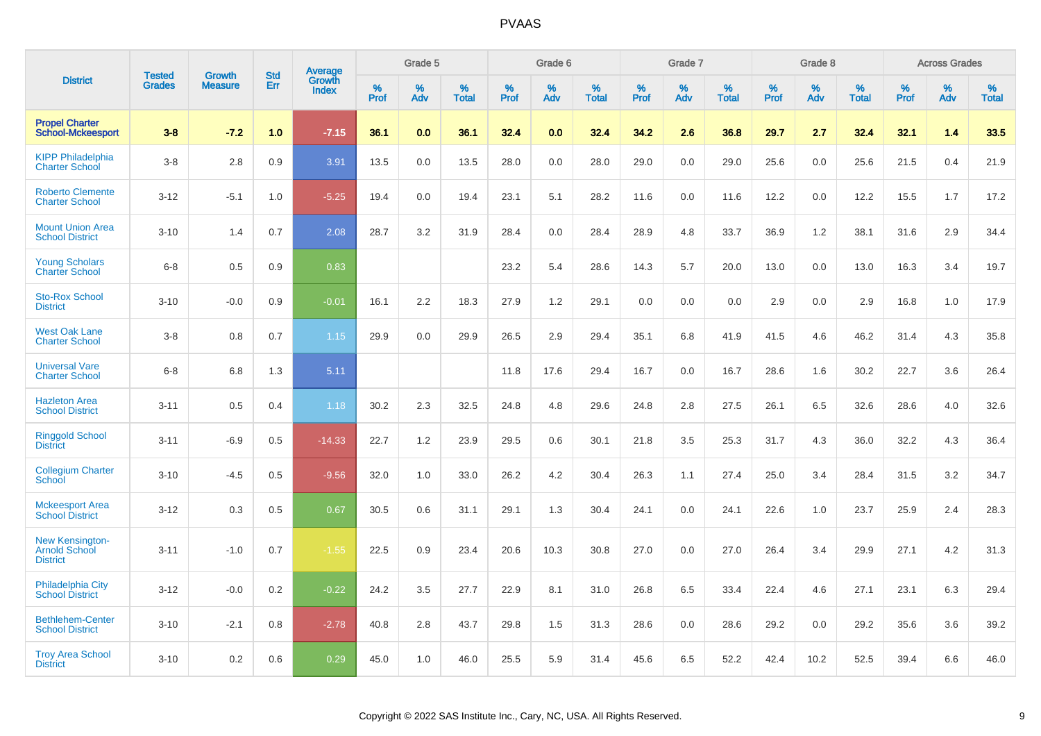|                                                                   | <b>Tested</b> | <b>Growth</b>  | <b>Std</b> | Average                |              | Grade 5     |                      |              | Grade 6     |                      |              | Grade 7     |                   |              | Grade 8     |                   |                     | <b>Across Grades</b> |                      |
|-------------------------------------------------------------------|---------------|----------------|------------|------------------------|--------------|-------------|----------------------|--------------|-------------|----------------------|--------------|-------------|-------------------|--------------|-------------|-------------------|---------------------|----------------------|----------------------|
| <b>District</b>                                                   | <b>Grades</b> | <b>Measure</b> | Err        | Growth<br><b>Index</b> | $\%$<br>Prof | $\%$<br>Adv | $\%$<br><b>Total</b> | $\%$<br>Prof | $\%$<br>Adv | $\%$<br><b>Total</b> | $\%$<br>Prof | $\%$<br>Adv | %<br><b>Total</b> | $\%$<br>Prof | $\%$<br>Adv | %<br><b>Total</b> | $\%$<br><b>Prof</b> | $\%$<br>Adv          | $\%$<br><b>Total</b> |
| <b>Propel Charter</b><br><b>School-Mckeesport</b>                 | $3 - 8$       | $-7.2$         | 1.0        | $-7.15$                | 36.1         | 0.0         | 36.1                 | 32.4         | 0.0         | 32.4                 | 34.2         | 2.6         | 36.8              | 29.7         | 2.7         | 32.4              | 32.1                | 1.4                  | 33.5                 |
| <b>KIPP Philadelphia</b><br><b>Charter School</b>                 | $3 - 8$       | 2.8            | 0.9        | 3.91                   | 13.5         | 0.0         | 13.5                 | 28.0         | 0.0         | 28.0                 | 29.0         | 0.0         | 29.0              | 25.6         | 0.0         | 25.6              | 21.5                | 0.4                  | 21.9                 |
| <b>Roberto Clemente</b><br><b>Charter School</b>                  | $3 - 12$      | $-5.1$         | 1.0        | $-5.25$                | 19.4         | 0.0         | 19.4                 | 23.1         | 5.1         | 28.2                 | 11.6         | 0.0         | 11.6              | 12.2         | 0.0         | 12.2              | 15.5                | 1.7                  | 17.2                 |
| <b>Mount Union Area</b><br><b>School District</b>                 | $3 - 10$      | 1.4            | 0.7        | 2.08                   | 28.7         | 3.2         | 31.9                 | 28.4         | 0.0         | 28.4                 | 28.9         | 4.8         | 33.7              | 36.9         | 1.2         | 38.1              | 31.6                | 2.9                  | 34.4                 |
| <b>Young Scholars</b><br><b>Charter School</b>                    | $6-8$         | 0.5            | 0.9        | 0.83                   |              |             |                      | 23.2         | 5.4         | 28.6                 | 14.3         | 5.7         | 20.0              | 13.0         | 0.0         | 13.0              | 16.3                | 3.4                  | 19.7                 |
| <b>Sto-Rox School</b><br><b>District</b>                          | $3 - 10$      | $-0.0$         | 0.9        | $-0.01$                | 16.1         | 2.2         | 18.3                 | 27.9         | 1.2         | 29.1                 | 0.0          | 0.0         | 0.0               | 2.9          | 0.0         | 2.9               | 16.8                | 1.0                  | 17.9                 |
| <b>West Oak Lane</b><br><b>Charter School</b>                     | $3 - 8$       | 0.8            | 0.7        | 1.15                   | 29.9         | 0.0         | 29.9                 | 26.5         | 2.9         | 29.4                 | 35.1         | 6.8         | 41.9              | 41.5         | 4.6         | 46.2              | 31.4                | 4.3                  | 35.8                 |
| <b>Universal Vare</b><br><b>Charter School</b>                    | $6 - 8$       | 6.8            | 1.3        | 5.11                   |              |             |                      | 11.8         | 17.6        | 29.4                 | 16.7         | 0.0         | 16.7              | 28.6         | 1.6         | 30.2              | 22.7                | 3.6                  | 26.4                 |
| <b>Hazleton Area</b><br><b>School District</b>                    | $3 - 11$      | 0.5            | 0.4        | 1.18                   | 30.2         | 2.3         | 32.5                 | 24.8         | 4.8         | 29.6                 | 24.8         | 2.8         | 27.5              | 26.1         | 6.5         | 32.6              | 28.6                | 4.0                  | 32.6                 |
| <b>Ringgold School</b><br><b>District</b>                         | $3 - 11$      | $-6.9$         | 0.5        | $-14.33$               | 22.7         | 1.2         | 23.9                 | 29.5         | 0.6         | 30.1                 | 21.8         | 3.5         | 25.3              | 31.7         | 4.3         | 36.0              | 32.2                | 4.3                  | 36.4                 |
| <b>Collegium Charter</b><br>School                                | $3 - 10$      | $-4.5$         | 0.5        | $-9.56$                | 32.0         | 1.0         | 33.0                 | 26.2         | 4.2         | 30.4                 | 26.3         | 1.1         | 27.4              | 25.0         | 3.4         | 28.4              | 31.5                | 3.2                  | 34.7                 |
| <b>Mckeesport Area</b><br><b>School District</b>                  | $3 - 12$      | 0.3            | 0.5        | 0.67                   | 30.5         | 0.6         | 31.1                 | 29.1         | 1.3         | 30.4                 | 24.1         | 0.0         | 24.1              | 22.6         | 1.0         | 23.7              | 25.9                | 2.4                  | 28.3                 |
| <b>New Kensington-</b><br><b>Arnold School</b><br><b>District</b> | $3 - 11$      | $-1.0$         | 0.7        | $-1.55$                | 22.5         | 0.9         | 23.4                 | 20.6         | 10.3        | 30.8                 | 27.0         | 0.0         | 27.0              | 26.4         | 3.4         | 29.9              | 27.1                | 4.2                  | 31.3                 |
| <b>Philadelphia City</b><br><b>School District</b>                | $3 - 12$      | $-0.0$         | 0.2        | $-0.22$                | 24.2         | 3.5         | 27.7                 | 22.9         | 8.1         | 31.0                 | 26.8         | 6.5         | 33.4              | 22.4         | 4.6         | 27.1              | 23.1                | 6.3                  | 29.4                 |
| <b>Bethlehem-Center</b><br><b>School District</b>                 | $3 - 10$      | $-2.1$         | 0.8        | $-2.78$                | 40.8         | 2.8         | 43.7                 | 29.8         | 1.5         | 31.3                 | 28.6         | 0.0         | 28.6              | 29.2         | 0.0         | 29.2              | 35.6                | 3.6                  | 39.2                 |
| <b>Troy Area School</b><br><b>District</b>                        | $3 - 10$      | 0.2            | 0.6        | 0.29                   | 45.0         | 1.0         | 46.0                 | 25.5         | 5.9         | 31.4                 | 45.6         | 6.5         | 52.2              | 42.4         | 10.2        | 52.5              | 39.4                | 6.6                  | 46.0                 |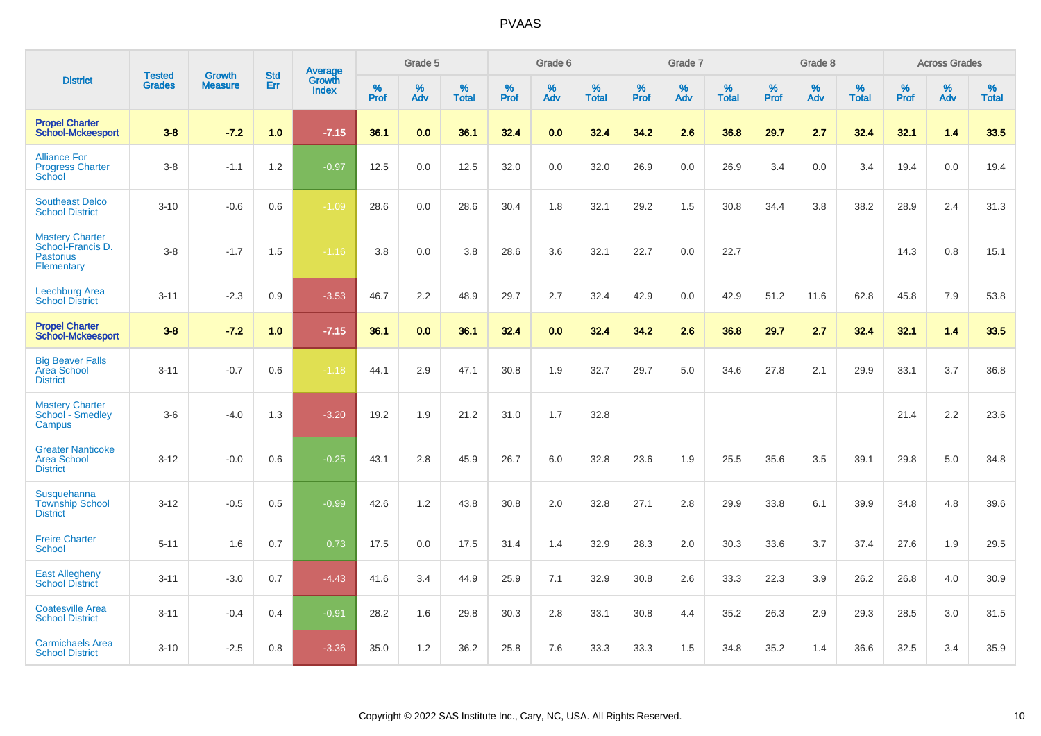|                                                                               | <b>Tested</b> | <b>Growth</b>  | <b>Std</b> | Average                |           | Grade 5  |                   |           | Grade 6  |                   |           | Grade 7  |                   |           | Grade 8  |                   |           | <b>Across Grades</b> |                   |
|-------------------------------------------------------------------------------|---------------|----------------|------------|------------------------|-----------|----------|-------------------|-----------|----------|-------------------|-----------|----------|-------------------|-----------|----------|-------------------|-----------|----------------------|-------------------|
| <b>District</b>                                                               | <b>Grades</b> | <b>Measure</b> | Err        | Growth<br><b>Index</b> | %<br>Prof | %<br>Adv | %<br><b>Total</b> | %<br>Prof | %<br>Adv | %<br><b>Total</b> | %<br>Prof | %<br>Adv | %<br><b>Total</b> | %<br>Prof | %<br>Adv | %<br><b>Total</b> | %<br>Prof | %<br>Adv             | %<br><b>Total</b> |
| <b>Propel Charter</b><br><b>School-Mckeesport</b>                             | $3 - 8$       | $-7.2$         | 1.0        | $-7.15$                | 36.1      | 0.0      | 36.1              | 32.4      | 0.0      | 32.4              | 34.2      | 2.6      | 36.8              | 29.7      | 2.7      | 32.4              | 32.1      | 1.4                  | 33.5              |
| <b>Alliance For</b><br><b>Progress Charter</b><br>School                      | $3 - 8$       | $-1.1$         | 1.2        | $-0.97$                | 12.5      | 0.0      | 12.5              | 32.0      | 0.0      | 32.0              | 26.9      | 0.0      | 26.9              | 3.4       | 0.0      | 3.4               | 19.4      | 0.0                  | 19.4              |
| <b>Southeast Delco</b><br><b>School District</b>                              | $3 - 10$      | $-0.6$         | 0.6        | $-1.09$                | 28.6      | 0.0      | 28.6              | 30.4      | 1.8      | 32.1              | 29.2      | 1.5      | 30.8              | 34.4      | 3.8      | 38.2              | 28.9      | 2.4                  | 31.3              |
| <b>Mastery Charter</b><br>School-Francis D.<br><b>Pastorius</b><br>Elementary | $3 - 8$       | $-1.7$         | 1.5        | $-1.16$                | 3.8       | 0.0      | 3.8               | 28.6      | 3.6      | 32.1              | 22.7      | 0.0      | 22.7              |           |          |                   | 14.3      | 0.8                  | 15.1              |
| <b>Leechburg Area</b><br><b>School District</b>                               | $3 - 11$      | $-2.3$         | 0.9        | $-3.53$                | 46.7      | 2.2      | 48.9              | 29.7      | 2.7      | 32.4              | 42.9      | 0.0      | 42.9              | 51.2      | 11.6     | 62.8              | 45.8      | 7.9                  | 53.8              |
| <b>Propel Charter</b><br><b>School-Mckeesport</b>                             | $3 - 8$       | $-7.2$         | 1.0        | $-7.15$                | 36.1      | 0.0      | 36.1              | 32.4      | 0.0      | 32.4              | 34.2      | 2.6      | 36.8              | 29.7      | 2.7      | 32.4              | 32.1      | 1.4                  | 33.5              |
| <b>Big Beaver Falls</b><br>Area School<br><b>District</b>                     | $3 - 11$      | $-0.7$         | 0.6        | $-1.18$                | 44.1      | 2.9      | 47.1              | 30.8      | 1.9      | 32.7              | 29.7      | 5.0      | 34.6              | 27.8      | 2.1      | 29.9              | 33.1      | 3.7                  | 36.8              |
| <b>Mastery Charter</b><br>School - Smedley<br>Campus                          | $3-6$         | $-4.0$         | 1.3        | $-3.20$                | 19.2      | 1.9      | 21.2              | 31.0      | 1.7      | 32.8              |           |          |                   |           |          |                   | 21.4      | $2.2\,$              | 23.6              |
| <b>Greater Nanticoke</b><br><b>Area School</b><br><b>District</b>             | $3 - 12$      | $-0.0$         | 0.6        | $-0.25$                | 43.1      | 2.8      | 45.9              | 26.7      | 6.0      | 32.8              | 23.6      | 1.9      | 25.5              | 35.6      | 3.5      | 39.1              | 29.8      | 5.0                  | 34.8              |
| <b>Susquehanna</b><br><b>Township School</b><br><b>District</b>               | $3 - 12$      | $-0.5$         | 0.5        | $-0.99$                | 42.6      | 1.2      | 43.8              | 30.8      | 2.0      | 32.8              | 27.1      | 2.8      | 29.9              | 33.8      | 6.1      | 39.9              | 34.8      | 4.8                  | 39.6              |
| <b>Freire Charter</b><br><b>School</b>                                        | $5 - 11$      | 1.6            | $0.7\,$    | 0.73                   | 17.5      | 0.0      | 17.5              | 31.4      | 1.4      | 32.9              | 28.3      | 2.0      | 30.3              | 33.6      | 3.7      | 37.4              | 27.6      | 1.9                  | 29.5              |
| <b>East Allegheny</b><br><b>School District</b>                               | $3 - 11$      | $-3.0$         | 0.7        | $-4.43$                | 41.6      | 3.4      | 44.9              | 25.9      | 7.1      | 32.9              | 30.8      | 2.6      | 33.3              | 22.3      | 3.9      | 26.2              | 26.8      | 4.0                  | 30.9              |
| <b>Coatesville Area</b><br><b>School District</b>                             | $3 - 11$      | $-0.4$         | 0.4        | $-0.91$                | 28.2      | 1.6      | 29.8              | 30.3      | 2.8      | 33.1              | 30.8      | 4.4      | 35.2              | 26.3      | 2.9      | 29.3              | 28.5      | 3.0                  | 31.5              |
| <b>Carmichaels Area</b><br><b>School District</b>                             | $3 - 10$      | $-2.5$         | 0.8        | $-3.36$                | 35.0      | 1.2      | 36.2              | 25.8      | 7.6      | 33.3              | 33.3      | 1.5      | 34.8              | 35.2      | 1.4      | 36.6              | 32.5      | 3.4                  | 35.9              |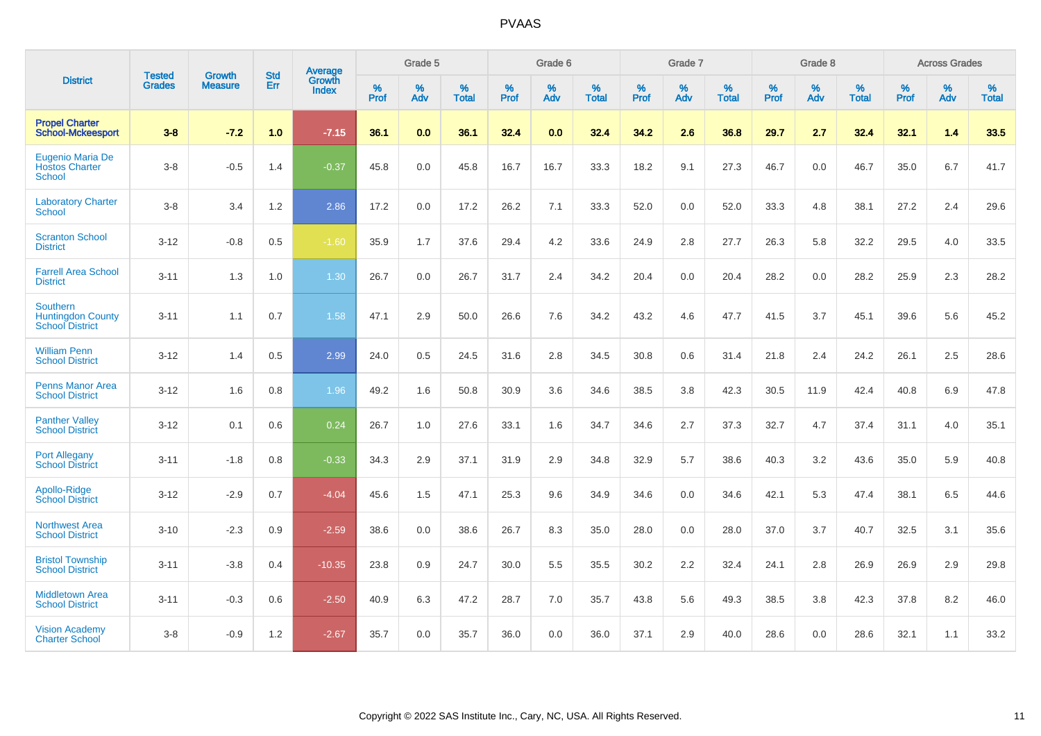|                                                                       | <b>Tested</b> | <b>Growth</b>  | <b>Std</b> | Average                |                  | Grade 5  |                   |                  | Grade 6  |                   |           | Grade 7  |                   |           | Grade 8  |                   |           | <b>Across Grades</b> |                   |
|-----------------------------------------------------------------------|---------------|----------------|------------|------------------------|------------------|----------|-------------------|------------------|----------|-------------------|-----------|----------|-------------------|-----------|----------|-------------------|-----------|----------------------|-------------------|
| <b>District</b>                                                       | <b>Grades</b> | <b>Measure</b> | Err        | Growth<br><b>Index</b> | %<br><b>Prof</b> | %<br>Adv | %<br><b>Total</b> | %<br><b>Prof</b> | %<br>Adv | %<br><b>Total</b> | %<br>Prof | %<br>Adv | %<br><b>Total</b> | %<br>Prof | %<br>Adv | %<br><b>Total</b> | %<br>Prof | %<br>Adv             | %<br><b>Total</b> |
| <b>Propel Charter</b><br><b>School-Mckeesport</b>                     | $3 - 8$       | $-7.2$         | 1.0        | $-7.15$                | 36.1             | 0.0      | 36.1              | 32.4             | 0.0      | 32.4              | 34.2      | 2.6      | 36.8              | 29.7      | 2.7      | 32.4              | 32.1      | 1.4                  | 33.5              |
| Eugenio Maria De<br><b>Hostos Charter</b><br><b>School</b>            | $3 - 8$       | $-0.5$         | 1.4        | $-0.37$                | 45.8             | 0.0      | 45.8              | 16.7             | 16.7     | 33.3              | 18.2      | 9.1      | 27.3              | 46.7      | 0.0      | 46.7              | 35.0      | 6.7                  | 41.7              |
| <b>Laboratory Charter</b><br>School                                   | $3 - 8$       | 3.4            | $1.2$      | 2.86                   | 17.2             | 0.0      | 17.2              | 26.2             | 7.1      | 33.3              | 52.0      | 0.0      | 52.0              | 33.3      | 4.8      | 38.1              | 27.2      | 2.4                  | 29.6              |
| <b>Scranton School</b><br><b>District</b>                             | $3 - 12$      | $-0.8$         | 0.5        | $-1.60$                | 35.9             | 1.7      | 37.6              | 29.4             | 4.2      | 33.6              | 24.9      | 2.8      | 27.7              | 26.3      | 5.8      | 32.2              | 29.5      | 4.0                  | 33.5              |
| <b>Farrell Area School</b><br><b>District</b>                         | $3 - 11$      | 1.3            | 1.0        | 1.30                   | 26.7             | 0.0      | 26.7              | 31.7             | 2.4      | 34.2              | 20.4      | 0.0      | 20.4              | 28.2      | 0.0      | 28.2              | 25.9      | 2.3                  | 28.2              |
| <b>Southern</b><br><b>Huntingdon County</b><br><b>School District</b> | $3 - 11$      | 1.1            | 0.7        | 1.58                   | 47.1             | 2.9      | 50.0              | 26.6             | 7.6      | 34.2              | 43.2      | 4.6      | 47.7              | 41.5      | 3.7      | 45.1              | 39.6      | 5.6                  | 45.2              |
| <b>William Penn</b><br><b>School District</b>                         | $3 - 12$      | 1.4            | 0.5        | 2.99                   | 24.0             | 0.5      | 24.5              | 31.6             | 2.8      | 34.5              | 30.8      | 0.6      | 31.4              | 21.8      | 2.4      | 24.2              | 26.1      | 2.5                  | 28.6              |
| Penns Manor Area<br><b>School District</b>                            | $3 - 12$      | 1.6            | 0.8        | 1.96                   | 49.2             | 1.6      | 50.8              | 30.9             | 3.6      | 34.6              | 38.5      | 3.8      | 42.3              | 30.5      | 11.9     | 42.4              | 40.8      | 6.9                  | 47.8              |
| <b>Panther Valley</b><br><b>School District</b>                       | $3 - 12$      | 0.1            | 0.6        | 0.24                   | 26.7             | 1.0      | 27.6              | 33.1             | 1.6      | 34.7              | 34.6      | 2.7      | 37.3              | 32.7      | 4.7      | 37.4              | 31.1      | 4.0                  | 35.1              |
| <b>Port Allegany</b><br><b>School District</b>                        | $3 - 11$      | $-1.8$         | 0.8        | $-0.33$                | 34.3             | 2.9      | 37.1              | 31.9             | 2.9      | 34.8              | 32.9      | 5.7      | 38.6              | 40.3      | 3.2      | 43.6              | 35.0      | 5.9                  | 40.8              |
| Apollo-Ridge<br><b>School District</b>                                | $3 - 12$      | $-2.9$         | 0.7        | $-4.04$                | 45.6             | 1.5      | 47.1              | 25.3             | 9.6      | 34.9              | 34.6      | 0.0      | 34.6              | 42.1      | 5.3      | 47.4              | 38.1      | 6.5                  | 44.6              |
| <b>Northwest Area</b><br><b>School District</b>                       | $3 - 10$      | $-2.3$         | 0.9        | $-2.59$                | 38.6             | 0.0      | 38.6              | 26.7             | 8.3      | 35.0              | 28.0      | 0.0      | 28.0              | 37.0      | 3.7      | 40.7              | 32.5      | 3.1                  | 35.6              |
| <b>Bristol Township</b><br><b>School District</b>                     | $3 - 11$      | $-3.8$         | 0.4        | $-10.35$               | 23.8             | 0.9      | 24.7              | 30.0             | 5.5      | 35.5              | 30.2      | 2.2      | 32.4              | 24.1      | 2.8      | 26.9              | 26.9      | 2.9                  | 29.8              |
| <b>Middletown Area</b><br><b>School District</b>                      | $3 - 11$      | $-0.3$         | 0.6        | $-2.50$                | 40.9             | 6.3      | 47.2              | 28.7             | 7.0      | 35.7              | 43.8      | 5.6      | 49.3              | 38.5      | 3.8      | 42.3              | 37.8      | 8.2                  | 46.0              |
| <b>Vision Academy</b><br><b>Charter School</b>                        | $3 - 8$       | $-0.9$         | 1.2        | $-2.67$                | 35.7             | 0.0      | 35.7              | 36.0             | 0.0      | 36.0              | 37.1      | 2.9      | 40.0              | 28.6      | 0.0      | 28.6              | 32.1      | 1.1                  | 33.2              |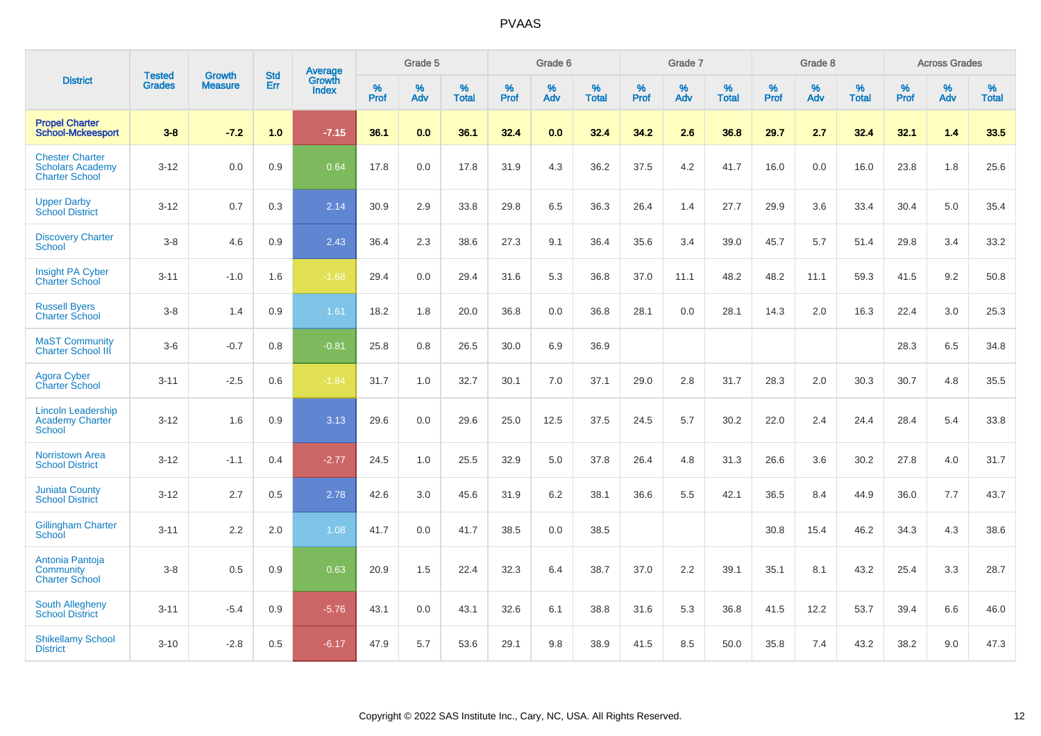|                                                                            | <b>Tested</b> | <b>Growth</b>  | <b>Std</b> | Average                       |              | Grade 5  |                   |           | Grade 6  |                   |           | Grade 7  |                   |           | Grade 8  |                   |           | <b>Across Grades</b> |                   |
|----------------------------------------------------------------------------|---------------|----------------|------------|-------------------------------|--------------|----------|-------------------|-----------|----------|-------------------|-----------|----------|-------------------|-----------|----------|-------------------|-----------|----------------------|-------------------|
| <b>District</b>                                                            | <b>Grades</b> | <b>Measure</b> | <b>Err</b> | <b>Growth</b><br><b>Index</b> | $\%$<br>Prof | %<br>Adv | %<br><b>Total</b> | %<br>Prof | %<br>Adv | %<br><b>Total</b> | %<br>Prof | %<br>Adv | %<br><b>Total</b> | %<br>Prof | %<br>Adv | %<br><b>Total</b> | %<br>Prof | %<br>Adv             | %<br><b>Total</b> |
| <b>Propel Charter</b><br><b>School-Mckeesport</b>                          | $3 - 8$       | $-7.2$         | 1.0        | $-7.15$                       | 36.1         | 0.0      | 36.1              | 32.4      | 0.0      | 32.4              | 34.2      | 2.6      | 36.8              | 29.7      | 2.7      | 32.4              | 32.1      | 1.4                  | 33.5              |
| <b>Chester Charter</b><br><b>Scholars Academy</b><br><b>Charter School</b> | $3 - 12$      | 0.0            | 0.9        | 0.64                          | 17.8         | 0.0      | 17.8              | 31.9      | 4.3      | 36.2              | 37.5      | 4.2      | 41.7              | 16.0      | $0.0\,$  | 16.0              | 23.8      | 1.8                  | 25.6              |
| <b>Upper Darby</b><br><b>School District</b>                               | $3 - 12$      | 0.7            | 0.3        | 2.14                          | 30.9         | 2.9      | 33.8              | 29.8      | 6.5      | 36.3              | 26.4      | 1.4      | 27.7              | 29.9      | 3.6      | 33.4              | 30.4      | 5.0                  | 35.4              |
| <b>Discovery Charter</b><br>School                                         | $3 - 8$       | 4.6            | 0.9        | 2.43                          | 36.4         | 2.3      | 38.6              | 27.3      | 9.1      | 36.4              | 35.6      | 3.4      | 39.0              | 45.7      | 5.7      | 51.4              | 29.8      | 3.4                  | 33.2              |
| Insight PA Cyber<br><b>Charter School</b>                                  | $3 - 11$      | $-1.0$         | 1.6        | $-1.68$                       | 29.4         | 0.0      | 29.4              | 31.6      | 5.3      | 36.8              | 37.0      | 11.1     | 48.2              | 48.2      | 11.1     | 59.3              | 41.5      | 9.2                  | 50.8              |
| <b>Russell Byers</b><br><b>Charter School</b>                              | $3 - 8$       | 1.4            | 0.9        | 1.61                          | 18.2         | 1.8      | 20.0              | 36.8      | 0.0      | 36.8              | 28.1      | 0.0      | 28.1              | 14.3      | 2.0      | 16.3              | 22.4      | 3.0                  | 25.3              |
| <b>MaST Community</b><br><b>Charter School III</b>                         | $3-6$         | $-0.7$         | 0.8        | $-0.81$                       | 25.8         | 0.8      | 26.5              | 30.0      | 6.9      | 36.9              |           |          |                   |           |          |                   | 28.3      | 6.5                  | 34.8              |
| <b>Agora Cyber</b><br><b>Charter School</b>                                | $3 - 11$      | $-2.5$         | 0.6        | $-1.84$                       | 31.7         | 1.0      | 32.7              | 30.1      | 7.0      | 37.1              | 29.0      | 2.8      | 31.7              | 28.3      | 2.0      | 30.3              | 30.7      | 4.8                  | 35.5              |
| <b>Lincoln Leadership</b><br><b>Academy Charter</b><br><b>School</b>       | $3 - 12$      | 1.6            | 0.9        | 3.13                          | 29.6         | 0.0      | 29.6              | 25.0      | 12.5     | 37.5              | 24.5      | 5.7      | 30.2              | 22.0      | 2.4      | 24.4              | 28.4      | 5.4                  | 33.8              |
| <b>Norristown Area</b><br><b>School District</b>                           | $3 - 12$      | $-1.1$         | 0.4        | $-2.77$                       | 24.5         | 1.0      | 25.5              | 32.9      | 5.0      | 37.8              | 26.4      | 4.8      | 31.3              | 26.6      | 3.6      | 30.2              | 27.8      | 4.0                  | 31.7              |
| <b>Juniata County</b><br><b>School District</b>                            | $3 - 12$      | 2.7            | 0.5        | 2.78                          | 42.6         | 3.0      | 45.6              | 31.9      | 6.2      | 38.1              | 36.6      | 5.5      | 42.1              | 36.5      | 8.4      | 44.9              | 36.0      | 7.7                  | 43.7              |
| <b>Gillingham Charter</b><br>School                                        | $3 - 11$      | 2.2            | 2.0        | 1.08                          | 41.7         | 0.0      | 41.7              | 38.5      | 0.0      | 38.5              |           |          |                   | 30.8      | 15.4     | 46.2              | 34.3      | 4.3                  | 38.6              |
| Antonia Pantoja<br>Community<br><b>Charter School</b>                      | $3 - 8$       | 0.5            | 0.9        | 0.63                          | 20.9         | 1.5      | 22.4              | 32.3      | 6.4      | 38.7              | 37.0      | 2.2      | 39.1              | 35.1      | 8.1      | 43.2              | 25.4      | 3.3                  | 28.7              |
| <b>South Allegheny</b><br><b>School District</b>                           | $3 - 11$      | $-5.4$         | 0.9        | $-5.76$                       | 43.1         | 0.0      | 43.1              | 32.6      | 6.1      | 38.8              | 31.6      | 5.3      | 36.8              | 41.5      | 12.2     | 53.7              | 39.4      | 6.6                  | 46.0              |
| <b>Shikellamy School</b><br><b>District</b>                                | $3 - 10$      | $-2.8$         | 0.5        | $-6.17$                       | 47.9         | 5.7      | 53.6              | 29.1      | 9.8      | 38.9              | 41.5      | 8.5      | 50.0              | 35.8      | 7.4      | 43.2              | 38.2      | 9.0                  | 47.3              |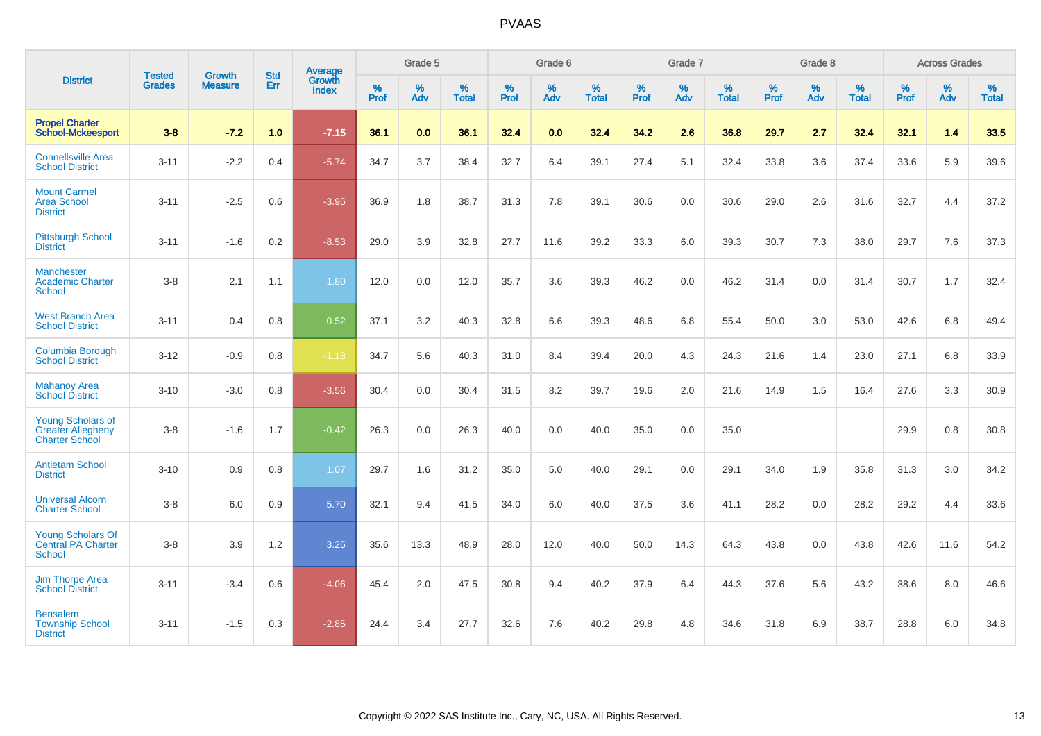|                                                                               | <b>Tested</b> | <b>Growth</b>  | <b>Std</b> | Average                |                  | Grade 5  |                   |                  | Grade 6  |                   |           | Grade 7  |                   |                  | Grade 8  |                   |           | <b>Across Grades</b> |                   |
|-------------------------------------------------------------------------------|---------------|----------------|------------|------------------------|------------------|----------|-------------------|------------------|----------|-------------------|-----------|----------|-------------------|------------------|----------|-------------------|-----------|----------------------|-------------------|
| <b>District</b>                                                               | <b>Grades</b> | <b>Measure</b> | Err        | Growth<br><b>Index</b> | %<br><b>Prof</b> | %<br>Adv | %<br><b>Total</b> | %<br><b>Prof</b> | %<br>Adv | %<br><b>Total</b> | %<br>Prof | %<br>Adv | %<br><b>Total</b> | %<br><b>Prof</b> | %<br>Adv | %<br><b>Total</b> | %<br>Prof | %<br>Adv             | %<br><b>Total</b> |
| <b>Propel Charter</b><br><b>School-Mckeesport</b>                             | $3 - 8$       | $-7.2$         | 1.0        | $-7.15$                | 36.1             | 0.0      | 36.1              | 32.4             | 0.0      | 32.4              | 34.2      | 2.6      | 36.8              | 29.7             | 2.7      | 32.4              | 32.1      | 1.4                  | 33.5              |
| <b>Connellsville Area</b><br><b>School District</b>                           | $3 - 11$      | $-2.2$         | 0.4        | $-5.74$                | 34.7             | 3.7      | 38.4              | 32.7             | 6.4      | 39.1              | 27.4      | 5.1      | 32.4              | 33.8             | 3.6      | 37.4              | 33.6      | 5.9                  | 39.6              |
| <b>Mount Carmel</b><br><b>Area School</b><br><b>District</b>                  | $3 - 11$      | $-2.5$         | 0.6        | $-3.95$                | 36.9             | 1.8      | 38.7              | 31.3             | 7.8      | 39.1              | 30.6      | 0.0      | 30.6              | 29.0             | 2.6      | 31.6              | 32.7      | 4.4                  | 37.2              |
| <b>Pittsburgh School</b><br><b>District</b>                                   | $3 - 11$      | $-1.6$         | 0.2        | $-8.53$                | 29.0             | 3.9      | 32.8              | 27.7             | 11.6     | 39.2              | 33.3      | 6.0      | 39.3              | 30.7             | 7.3      | 38.0              | 29.7      | 7.6                  | 37.3              |
| <b>Manchester</b><br><b>Academic Charter</b><br>School                        | $3 - 8$       | 2.1            | 1.1        | 1.80                   | 12.0             | 0.0      | 12.0              | 35.7             | 3.6      | 39.3              | 46.2      | 0.0      | 46.2              | 31.4             | 0.0      | 31.4              | 30.7      | 1.7                  | 32.4              |
| <b>West Branch Area</b><br><b>School District</b>                             | $3 - 11$      | 0.4            | 0.8        | 0.52                   | 37.1             | 3.2      | 40.3              | 32.8             | 6.6      | 39.3              | 48.6      | 6.8      | 55.4              | 50.0             | 3.0      | 53.0              | 42.6      | 6.8                  | 49.4              |
| <b>Columbia Borough</b><br><b>School District</b>                             | $3 - 12$      | $-0.9$         | 0.8        | $-1.18$                | 34.7             | 5.6      | 40.3              | 31.0             | 8.4      | 39.4              | 20.0      | 4.3      | 24.3              | 21.6             | 1.4      | 23.0              | 27.1      | 6.8                  | 33.9              |
| <b>Mahanoy Area</b><br><b>School District</b>                                 | $3 - 10$      | $-3.0$         | 0.8        | $-3.56$                | 30.4             | 0.0      | 30.4              | 31.5             | 8.2      | 39.7              | 19.6      | 2.0      | 21.6              | 14.9             | 1.5      | 16.4              | 27.6      | 3.3                  | 30.9              |
| <b>Young Scholars of</b><br><b>Greater Allegheny</b><br><b>Charter School</b> | $3 - 8$       | $-1.6$         | 1.7        | $-0.42$                | 26.3             | 0.0      | 26.3              | 40.0             | 0.0      | 40.0              | 35.0      | 0.0      | 35.0              |                  |          |                   | 29.9      | 0.8                  | 30.8              |
| <b>Antietam School</b><br><b>District</b>                                     | $3 - 10$      | 0.9            | 0.8        | 1.07                   | 29.7             | 1.6      | 31.2              | 35.0             | 5.0      | 40.0              | 29.1      | 0.0      | 29.1              | 34.0             | 1.9      | 35.8              | 31.3      | 3.0                  | 34.2              |
| <b>Universal Alcorn</b><br><b>Charter School</b>                              | $3 - 8$       | 6.0            | 0.9        | 5.70                   | 32.1             | 9.4      | 41.5              | 34.0             | 6.0      | 40.0              | 37.5      | 3.6      | 41.1              | 28.2             | 0.0      | 28.2              | 29.2      | 4.4                  | 33.6              |
| <b>Young Scholars Of</b><br><b>Central PA Charter</b><br>School               | $3 - 8$       | 3.9            | 1.2        | 3.25                   | 35.6             | 13.3     | 48.9              | 28.0             | 12.0     | 40.0              | 50.0      | 14.3     | 64.3              | 43.8             | 0.0      | 43.8              | 42.6      | 11.6                 | 54.2              |
| <b>Jim Thorpe Area</b><br><b>School District</b>                              | $3 - 11$      | $-3.4$         | 0.6        | $-4.06$                | 45.4             | 2.0      | 47.5              | 30.8             | 9.4      | 40.2              | 37.9      | 6.4      | 44.3              | 37.6             | 5.6      | 43.2              | 38.6      | 8.0                  | 46.6              |
| <b>Bensalem</b><br><b>Township School</b><br><b>District</b>                  | $3 - 11$      | $-1.5$         | 0.3        | $-2.85$                | 24.4             | 3.4      | 27.7              | 32.6             | 7.6      | 40.2              | 29.8      | 4.8      | 34.6              | 31.8             | 6.9      | 38.7              | 28.8      | 6.0                  | 34.8              |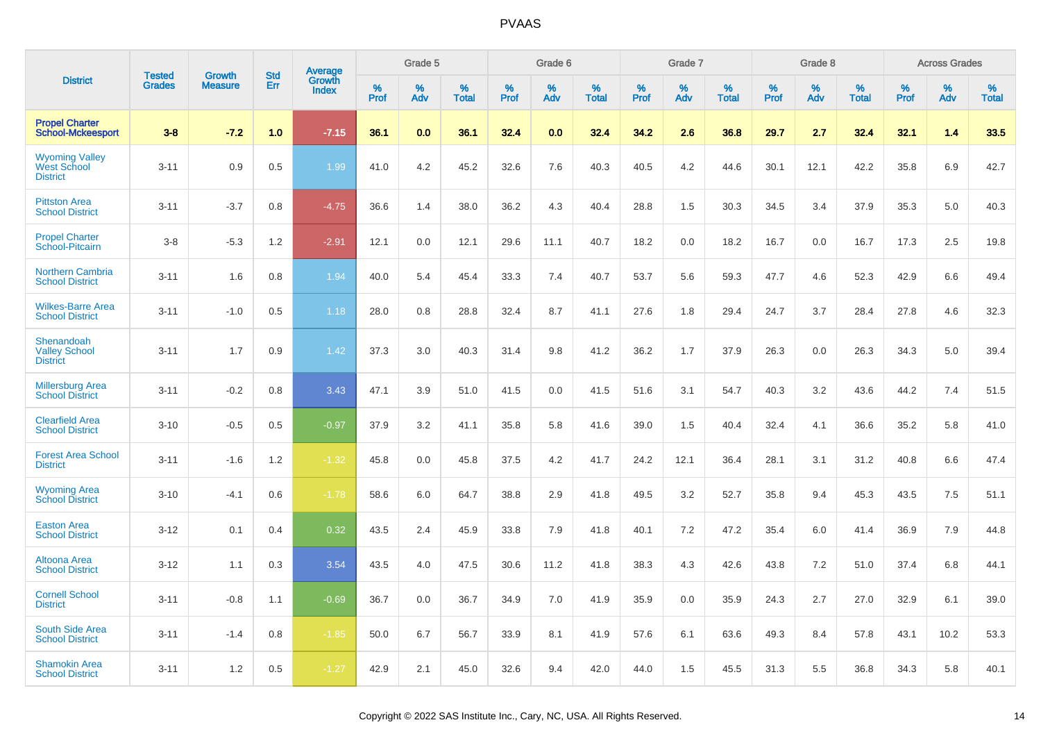|                                                                | <b>Tested</b> | <b>Growth</b>  | <b>Std</b> | Average                |              | Grade 5  |                   |              | Grade 6  |                   |              | Grade 7  |                   |              | Grade 8  |                   |              | <b>Across Grades</b> |                   |
|----------------------------------------------------------------|---------------|----------------|------------|------------------------|--------------|----------|-------------------|--------------|----------|-------------------|--------------|----------|-------------------|--------------|----------|-------------------|--------------|----------------------|-------------------|
| <b>District</b>                                                | <b>Grades</b> | <b>Measure</b> | Err        | Growth<br><b>Index</b> | $\%$<br>Prof | %<br>Adv | %<br><b>Total</b> | $\%$<br>Prof | %<br>Adv | %<br><b>Total</b> | $\%$<br>Prof | %<br>Adv | %<br><b>Total</b> | $\%$<br>Prof | %<br>Adv | %<br><b>Total</b> | $\%$<br>Prof | %<br>Adv             | %<br><b>Total</b> |
| <b>Propel Charter</b><br><b>School-Mckeesport</b>              | $3 - 8$       | $-7.2$         | 1.0        | $-7.15$                | 36.1         | 0.0      | 36.1              | 32.4         | 0.0      | 32.4              | 34.2         | 2.6      | 36.8              | 29.7         | 2.7      | 32.4              | 32.1         | 1.4                  | 33.5              |
| <b>Wyoming Valley</b><br><b>West School</b><br><b>District</b> | $3 - 11$      | 0.9            | 0.5        | 1.99                   | 41.0         | 4.2      | 45.2              | 32.6         | 7.6      | 40.3              | 40.5         | 4.2      | 44.6              | 30.1         | 12.1     | 42.2              | 35.8         | 6.9                  | 42.7              |
| <b>Pittston Area</b><br><b>School District</b>                 | $3 - 11$      | $-3.7$         | 0.8        | $-4.75$                | 36.6         | 1.4      | 38.0              | 36.2         | 4.3      | 40.4              | 28.8         | 1.5      | 30.3              | 34.5         | 3.4      | 37.9              | 35.3         | 5.0                  | 40.3              |
| <b>Propel Charter</b><br>School-Pitcairn                       | $3 - 8$       | $-5.3$         | 1.2        | $-2.91$                | 12.1         | 0.0      | 12.1              | 29.6         | 11.1     | 40.7              | 18.2         | 0.0      | 18.2              | 16.7         | 0.0      | 16.7              | 17.3         | 2.5                  | 19.8              |
| <b>Northern Cambria</b><br><b>School District</b>              | $3 - 11$      | 1.6            | 0.8        | 1.94                   | 40.0         | 5.4      | 45.4              | 33.3         | 7.4      | 40.7              | 53.7         | 5.6      | 59.3              | 47.7         | 4.6      | 52.3              | 42.9         | 6.6                  | 49.4              |
| <b>Wilkes-Barre Area</b><br><b>School District</b>             | $3 - 11$      | $-1.0$         | 0.5        | 1.18                   | 28.0         | 0.8      | 28.8              | 32.4         | 8.7      | 41.1              | 27.6         | 1.8      | 29.4              | 24.7         | 3.7      | 28.4              | 27.8         | 4.6                  | 32.3              |
| Shenandoah<br><b>Valley School</b><br><b>District</b>          | $3 - 11$      | 1.7            | 0.9        | 1.42                   | 37.3         | 3.0      | 40.3              | 31.4         | 9.8      | 41.2              | 36.2         | 1.7      | 37.9              | 26.3         | 0.0      | 26.3              | 34.3         | 5.0                  | 39.4              |
| <b>Millersburg Area</b><br><b>School District</b>              | $3 - 11$      | $-0.2$         | 0.8        | 3.43                   | 47.1         | 3.9      | 51.0              | 41.5         | 0.0      | 41.5              | 51.6         | 3.1      | 54.7              | 40.3         | 3.2      | 43.6              | 44.2         | 7.4                  | 51.5              |
| <b>Clearfield Area</b><br><b>School District</b>               | $3 - 10$      | $-0.5$         | 0.5        | $-0.97$                | 37.9         | 3.2      | 41.1              | 35.8         | 5.8      | 41.6              | 39.0         | 1.5      | 40.4              | 32.4         | 4.1      | 36.6              | 35.2         | 5.8                  | 41.0              |
| <b>Forest Area School</b><br><b>District</b>                   | $3 - 11$      | $-1.6$         | 1.2        | $-1.32$                | 45.8         | 0.0      | 45.8              | 37.5         | 4.2      | 41.7              | 24.2         | 12.1     | 36.4              | 28.1         | 3.1      | 31.2              | 40.8         | 6.6                  | 47.4              |
| <b>Wyoming Area</b><br><b>School District</b>                  | $3 - 10$      | $-4.1$         | 0.6        | $-1.78$                | 58.6         | 6.0      | 64.7              | 38.8         | 2.9      | 41.8              | 49.5         | 3.2      | 52.7              | 35.8         | 9.4      | 45.3              | 43.5         | 7.5                  | 51.1              |
| <b>Easton Area</b><br><b>School District</b>                   | $3 - 12$      | 0.1            | 0.4        | 0.32                   | 43.5         | 2.4      | 45.9              | 33.8         | 7.9      | 41.8              | 40.1         | 7.2      | 47.2              | 35.4         | 6.0      | 41.4              | 36.9         | 7.9                  | 44.8              |
| Altoona Area<br><b>School District</b>                         | $3 - 12$      | 1.1            | 0.3        | 3.54                   | 43.5         | 4.0      | 47.5              | 30.6         | 11.2     | 41.8              | 38.3         | 4.3      | 42.6              | 43.8         | 7.2      | 51.0              | 37.4         | 6.8                  | 44.1              |
| <b>Cornell School</b><br><b>District</b>                       | $3 - 11$      | $-0.8$         | 1.1        | $-0.69$                | 36.7         | 0.0      | 36.7              | 34.9         | 7.0      | 41.9              | 35.9         | 0.0      | 35.9              | 24.3         | 2.7      | 27.0              | 32.9         | 6.1                  | 39.0              |
| <b>South Side Area</b><br><b>School District</b>               | $3 - 11$      | $-1.4$         | 0.8        | $-1.85$                | 50.0         | 6.7      | 56.7              | 33.9         | 8.1      | 41.9              | 57.6         | 6.1      | 63.6              | 49.3         | 8.4      | 57.8              | 43.1         | 10.2                 | 53.3              |
| <b>Shamokin Area</b><br><b>School District</b>                 | $3 - 11$      | 1.2            | 0.5        | $-1.27$                | 42.9         | 2.1      | 45.0              | 32.6         | 9.4      | 42.0              | 44.0         | 1.5      | 45.5              | 31.3         | 5.5      | 36.8              | 34.3         | 5.8                  | 40.1              |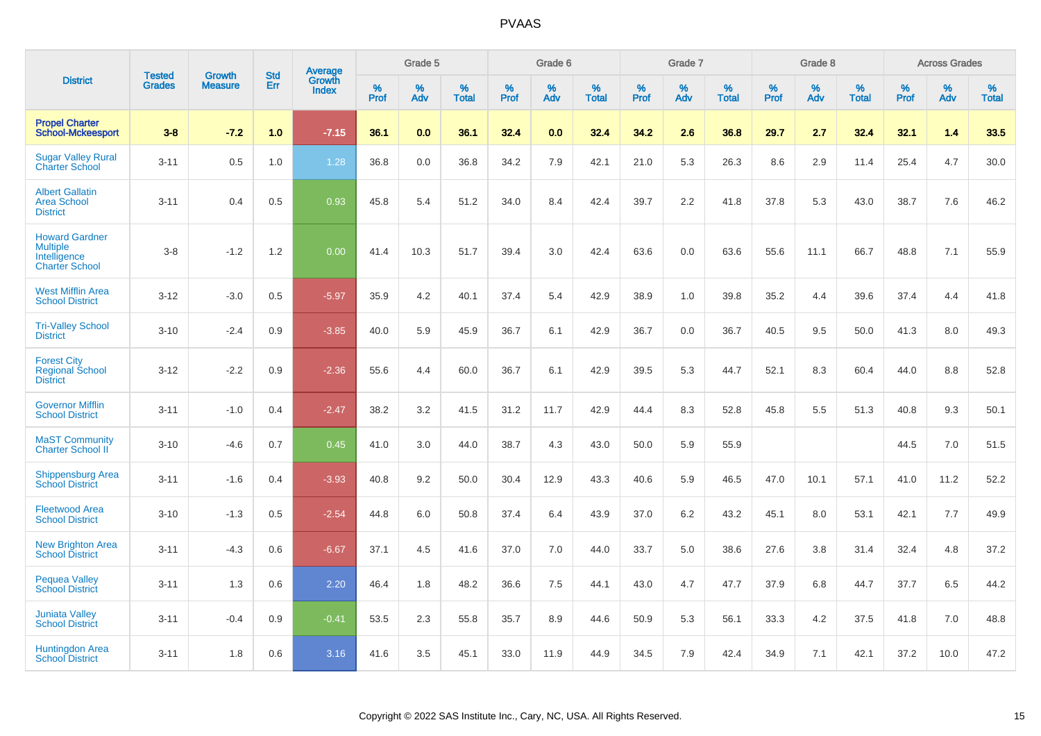|                                                                                   |                                | <b>Growth</b>  | <b>Std</b> | <b>Average</b>         |              | Grade 5  |                   |           | Grade 6  |                   |           | Grade 7  |                   |           | Grade 8  |                   |           | <b>Across Grades</b> |                   |
|-----------------------------------------------------------------------------------|--------------------------------|----------------|------------|------------------------|--------------|----------|-------------------|-----------|----------|-------------------|-----------|----------|-------------------|-----------|----------|-------------------|-----------|----------------------|-------------------|
| <b>District</b>                                                                   | <b>Tested</b><br><b>Grades</b> | <b>Measure</b> | <b>Err</b> | Growth<br><b>Index</b> | $\%$<br>Prof | %<br>Adv | %<br><b>Total</b> | %<br>Prof | %<br>Adv | %<br><b>Total</b> | %<br>Prof | %<br>Adv | %<br><b>Total</b> | %<br>Prof | %<br>Adv | %<br><b>Total</b> | %<br>Prof | %<br>Adv             | %<br><b>Total</b> |
| <b>Propel Charter</b><br><b>School-Mckeesport</b>                                 | $3 - 8$                        | $-7.2$         | 1.0        | $-7.15$                | 36.1         | 0.0      | 36.1              | 32.4      | 0.0      | 32.4              | 34.2      | 2.6      | 36.8              | 29.7      | 2.7      | 32.4              | 32.1      | 1.4                  | 33.5              |
| <b>Sugar Valley Rural</b><br><b>Charter School</b>                                | $3 - 11$                       | 0.5            | 1.0        | 1.28                   | 36.8         | 0.0      | 36.8              | 34.2      | 7.9      | 42.1              | 21.0      | 5.3      | 26.3              | 8.6       | 2.9      | 11.4              | 25.4      | 4.7                  | 30.0              |
| <b>Albert Gallatin</b><br><b>Area School</b><br><b>District</b>                   | $3 - 11$                       | 0.4            | 0.5        | 0.93                   | 45.8         | 5.4      | 51.2              | 34.0      | 8.4      | 42.4              | 39.7      | 2.2      | 41.8              | 37.8      | 5.3      | 43.0              | 38.7      | 7.6                  | 46.2              |
| <b>Howard Gardner</b><br><b>Multiple</b><br>Intelligence<br><b>Charter School</b> | $3 - 8$                        | $-1.2$         | 1.2        | 0.00                   | 41.4         | 10.3     | 51.7              | 39.4      | 3.0      | 42.4              | 63.6      | 0.0      | 63.6              | 55.6      | 11.1     | 66.7              | 48.8      | 7.1                  | 55.9              |
| <b>West Mifflin Area</b><br><b>School District</b>                                | $3 - 12$                       | $-3.0$         | 0.5        | $-5.97$                | 35.9         | 4.2      | 40.1              | 37.4      | 5.4      | 42.9              | 38.9      | 1.0      | 39.8              | 35.2      | 4.4      | 39.6              | 37.4      | 4.4                  | 41.8              |
| <b>Tri-Valley School</b><br><b>District</b>                                       | $3 - 10$                       | $-2.4$         | 0.9        | $-3.85$                | 40.0         | 5.9      | 45.9              | 36.7      | 6.1      | 42.9              | 36.7      | 0.0      | 36.7              | 40.5      | 9.5      | 50.0              | 41.3      | 8.0                  | 49.3              |
| <b>Forest City</b><br><b>Regional School</b><br><b>District</b>                   | $3 - 12$                       | $-2.2$         | 0.9        | $-2.36$                | 55.6         | 4.4      | 60.0              | 36.7      | 6.1      | 42.9              | 39.5      | 5.3      | 44.7              | 52.1      | 8.3      | 60.4              | 44.0      | 8.8                  | 52.8              |
| <b>Governor Mifflin</b><br><b>School District</b>                                 | $3 - 11$                       | $-1.0$         | 0.4        | $-2.47$                | 38.2         | 3.2      | 41.5              | 31.2      | 11.7     | 42.9              | 44.4      | 8.3      | 52.8              | 45.8      | 5.5      | 51.3              | 40.8      | 9.3                  | 50.1              |
| <b>MaST Community</b><br>Charter School II                                        | $3 - 10$                       | $-4.6$         | 0.7        | 0.45                   | 41.0         | 3.0      | 44.0              | 38.7      | 4.3      | 43.0              | 50.0      | 5.9      | 55.9              |           |          |                   | 44.5      | 7.0                  | 51.5              |
| <b>Shippensburg Area</b><br><b>School District</b>                                | $3 - 11$                       | $-1.6$         | 0.4        | $-3.93$                | 40.8         | 9.2      | 50.0              | 30.4      | 12.9     | 43.3              | 40.6      | 5.9      | 46.5              | 47.0      | 10.1     | 57.1              | 41.0      | 11.2                 | 52.2              |
| <b>Fleetwood Area</b><br><b>School District</b>                                   | $3 - 10$                       | $-1.3$         | 0.5        | $-2.54$                | 44.8         | 6.0      | 50.8              | 37.4      | 6.4      | 43.9              | 37.0      | $6.2\,$  | 43.2              | 45.1      | 8.0      | 53.1              | 42.1      | $7.7\,$              | 49.9              |
| <b>New Brighton Area</b><br><b>School District</b>                                | $3 - 11$                       | $-4.3$         | 0.6        | $-6.67$                | 37.1         | 4.5      | 41.6              | 37.0      | 7.0      | 44.0              | 33.7      | 5.0      | 38.6              | 27.6      | 3.8      | 31.4              | 32.4      | 4.8                  | 37.2              |
| <b>Pequea Valley</b><br><b>School District</b>                                    | $3 - 11$                       | 1.3            | 0.6        | 2.20                   | 46.4         | 1.8      | 48.2              | 36.6      | 7.5      | 44.1              | 43.0      | 4.7      | 47.7              | 37.9      | 6.8      | 44.7              | 37.7      | 6.5                  | 44.2              |
| <b>Juniata Valley</b><br><b>School District</b>                                   | $3 - 11$                       | $-0.4$         | 0.9        | $-0.41$                | 53.5         | 2.3      | 55.8              | 35.7      | 8.9      | 44.6              | 50.9      | 5.3      | 56.1              | 33.3      | 4.2      | 37.5              | 41.8      | 7.0                  | 48.8              |
| <b>Huntingdon Area</b><br><b>School District</b>                                  | $3 - 11$                       | 1.8            | 0.6        | 3.16                   | 41.6         | 3.5      | 45.1              | 33.0      | 11.9     | 44.9              | 34.5      | 7.9      | 42.4              | 34.9      | 7.1      | 42.1              | 37.2      | 10.0                 | 47.2              |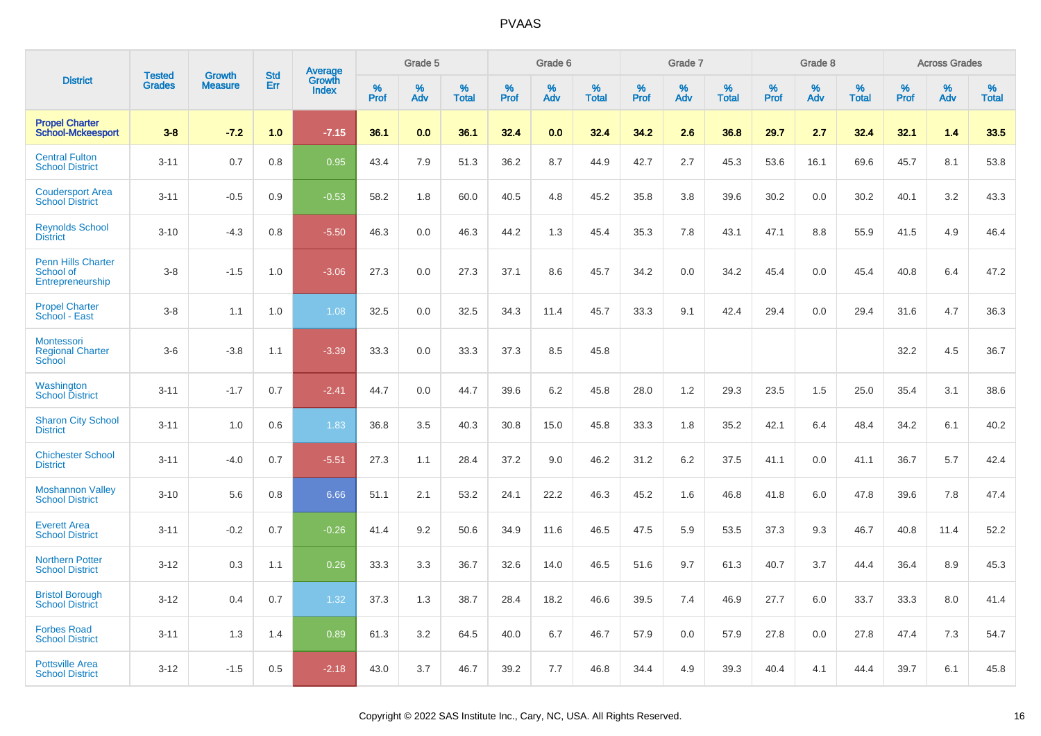|                                                            | <b>Tested</b> | <b>Growth</b>  | <b>Std</b> | Average                |              | Grade 5  |                      |              | Grade 6  |                   |              | Grade 7  |                   |              | Grade 8  |                   |              | <b>Across Grades</b> |                   |
|------------------------------------------------------------|---------------|----------------|------------|------------------------|--------------|----------|----------------------|--------------|----------|-------------------|--------------|----------|-------------------|--------------|----------|-------------------|--------------|----------------------|-------------------|
| <b>District</b>                                            | <b>Grades</b> | <b>Measure</b> | Err        | Growth<br><b>Index</b> | $\%$<br>Prof | %<br>Adv | $\%$<br><b>Total</b> | $\%$<br>Prof | %<br>Adv | %<br><b>Total</b> | $\%$<br>Prof | %<br>Adv | %<br><b>Total</b> | $\%$<br>Prof | %<br>Adv | %<br><b>Total</b> | $\%$<br>Prof | %<br>Adv             | %<br><b>Total</b> |
| <b>Propel Charter</b><br><b>School-Mckeesport</b>          | $3 - 8$       | $-7.2$         | 1.0        | $-7.15$                | 36.1         | 0.0      | 36.1                 | 32.4         | 0.0      | 32.4              | 34.2         | 2.6      | 36.8              | 29.7         | 2.7      | 32.4              | 32.1         | 1.4                  | 33.5              |
| <b>Central Fulton</b><br><b>School District</b>            | $3 - 11$      | 0.7            | 0.8        | 0.95                   | 43.4         | 7.9      | 51.3                 | 36.2         | 8.7      | 44.9              | 42.7         | 2.7      | 45.3              | 53.6         | 16.1     | 69.6              | 45.7         | 8.1                  | 53.8              |
| <b>Coudersport Area</b><br><b>School District</b>          | $3 - 11$      | $-0.5$         | 0.9        | $-0.53$                | 58.2         | 1.8      | 60.0                 | 40.5         | 4.8      | 45.2              | 35.8         | 3.8      | 39.6              | 30.2         | 0.0      | 30.2              | 40.1         | 3.2                  | 43.3              |
| <b>Reynolds School</b><br><b>District</b>                  | $3 - 10$      | $-4.3$         | 0.8        | $-5.50$                | 46.3         | 0.0      | 46.3                 | 44.2         | 1.3      | 45.4              | 35.3         | 7.8      | 43.1              | 47.1         | 8.8      | 55.9              | 41.5         | 4.9                  | 46.4              |
| <b>Penn Hills Charter</b><br>School of<br>Entrepreneurship | $3-8$         | $-1.5$         | 1.0        | $-3.06$                | 27.3         | 0.0      | 27.3                 | 37.1         | 8.6      | 45.7              | 34.2         | 0.0      | 34.2              | 45.4         | 0.0      | 45.4              | 40.8         | 6.4                  | 47.2              |
| <b>Propel Charter</b><br>School - East                     | $3-8$         | 1.1            | 1.0        | 1.08                   | 32.5         | 0.0      | 32.5                 | 34.3         | 11.4     | 45.7              | 33.3         | 9.1      | 42.4              | 29.4         | 0.0      | 29.4              | 31.6         | 4.7                  | 36.3              |
| Montessori<br><b>Regional Charter</b><br><b>School</b>     | $3-6$         | $-3.8$         | 1.1        | $-3.39$                | 33.3         | 0.0      | 33.3                 | 37.3         | 8.5      | 45.8              |              |          |                   |              |          |                   | 32.2         | 4.5                  | 36.7              |
| Washington<br><b>School District</b>                       | $3 - 11$      | $-1.7$         | 0.7        | $-2.41$                | 44.7         | 0.0      | 44.7                 | 39.6         | 6.2      | 45.8              | 28.0         | 1.2      | 29.3              | 23.5         | 1.5      | 25.0              | 35.4         | 3.1                  | 38.6              |
| <b>Sharon City School</b><br><b>District</b>               | $3 - 11$      | 1.0            | 0.6        | 1.83                   | 36.8         | 3.5      | 40.3                 | 30.8         | 15.0     | 45.8              | 33.3         | 1.8      | 35.2              | 42.1         | 6.4      | 48.4              | 34.2         | 6.1                  | 40.2              |
| <b>Chichester School</b><br><b>District</b>                | $3 - 11$      | $-4.0$         | 0.7        | $-5.51$                | 27.3         | 1.1      | 28.4                 | 37.2         | 9.0      | 46.2              | 31.2         | 6.2      | 37.5              | 41.1         | 0.0      | 41.1              | 36.7         | 5.7                  | 42.4              |
| <b>Moshannon Valley</b><br><b>School District</b>          | $3 - 10$      | 5.6            | 0.8        | 6.66                   | 51.1         | 2.1      | 53.2                 | 24.1         | 22.2     | 46.3              | 45.2         | 1.6      | 46.8              | 41.8         | 6.0      | 47.8              | 39.6         | 7.8                  | 47.4              |
| <b>Everett Area</b><br><b>School District</b>              | $3 - 11$      | $-0.2$         | 0.7        | $-0.26$                | 41.4         | 9.2      | 50.6                 | 34.9         | 11.6     | 46.5              | 47.5         | 5.9      | 53.5              | 37.3         | 9.3      | 46.7              | 40.8         | 11.4                 | 52.2              |
| <b>Northern Potter</b><br><b>School District</b>           | $3 - 12$      | 0.3            | 1.1        | 0.26                   | 33.3         | 3.3      | 36.7                 | 32.6         | 14.0     | 46.5              | 51.6         | 9.7      | 61.3              | 40.7         | 3.7      | 44.4              | 36.4         | 8.9                  | 45.3              |
| <b>Bristol Borough</b><br><b>School District</b>           | $3 - 12$      | 0.4            | 0.7        | 1.32                   | 37.3         | 1.3      | 38.7                 | 28.4         | 18.2     | 46.6              | 39.5         | 7.4      | 46.9              | 27.7         | 6.0      | 33.7              | 33.3         | 8.0                  | 41.4              |
| <b>Forbes Road</b><br><b>School District</b>               | $3 - 11$      | 1.3            | 1.4        | 0.89                   | 61.3         | 3.2      | 64.5                 | 40.0         | 6.7      | 46.7              | 57.9         | 0.0      | 57.9              | 27.8         | 0.0      | 27.8              | 47.4         | 7.3                  | 54.7              |
| <b>Pottsville Area</b><br><b>School District</b>           | $3 - 12$      | $-1.5$         | 0.5        | $-2.18$                | 43.0         | 3.7      | 46.7                 | 39.2         | 7.7      | 46.8              | 34.4         | 4.9      | 39.3              | 40.4         | 4.1      | 44.4              | 39.7         | 6.1                  | 45.8              |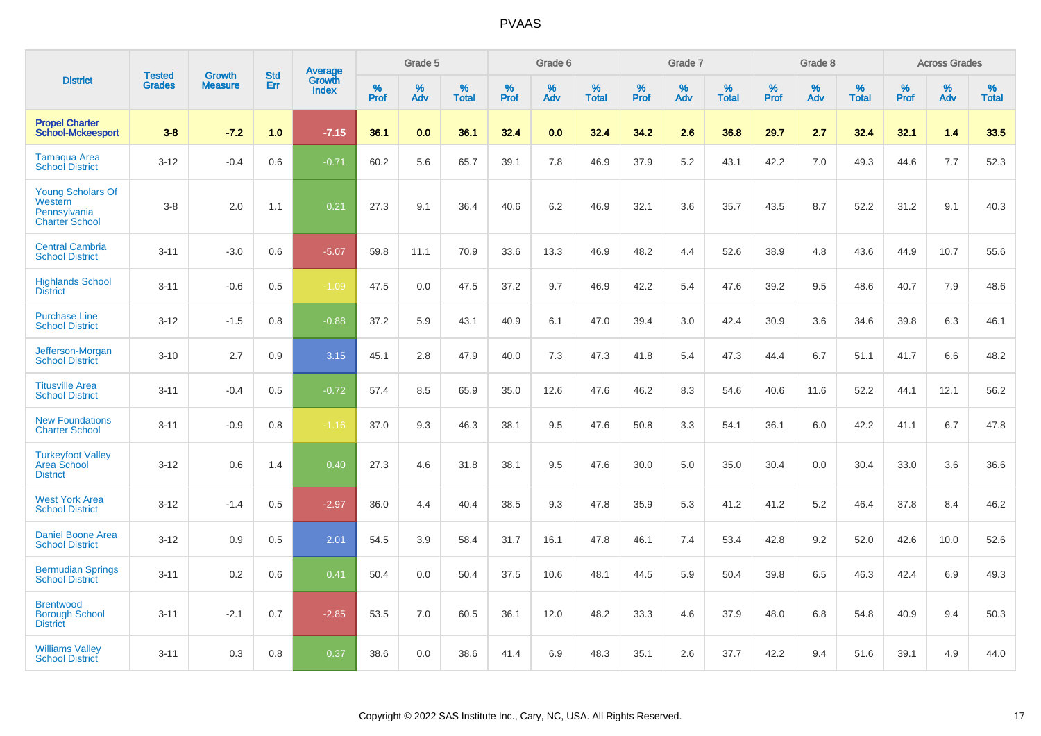|                                                                              |                                | <b>Growth</b>  | <b>Std</b> | Average                |           | Grade 5  |                   |           | Grade 6  |                   |           | Grade 7  |                   |           | Grade 8  |                   |           | <b>Across Grades</b> |                   |
|------------------------------------------------------------------------------|--------------------------------|----------------|------------|------------------------|-----------|----------|-------------------|-----------|----------|-------------------|-----------|----------|-------------------|-----------|----------|-------------------|-----------|----------------------|-------------------|
| <b>District</b>                                                              | <b>Tested</b><br><b>Grades</b> | <b>Measure</b> | Err        | Growth<br><b>Index</b> | %<br>Prof | %<br>Adv | %<br><b>Total</b> | %<br>Prof | %<br>Adv | %<br><b>Total</b> | %<br>Prof | %<br>Adv | %<br><b>Total</b> | %<br>Prof | %<br>Adv | %<br><b>Total</b> | %<br>Prof | %<br>Adv             | %<br><b>Total</b> |
| <b>Propel Charter</b><br><b>School-Mckeesport</b>                            | $3 - 8$                        | $-7.2$         | 1.0        | $-7.15$                | 36.1      | 0.0      | 36.1              | 32.4      | 0.0      | 32.4              | 34.2      | 2.6      | 36.8              | 29.7      | 2.7      | 32.4              | 32.1      | 1.4                  | 33.5              |
| <b>Tamaqua Area</b><br><b>School District</b>                                | $3 - 12$                       | $-0.4$         | 0.6        | $-0.71$                | 60.2      | 5.6      | 65.7              | 39.1      | 7.8      | 46.9              | 37.9      | 5.2      | 43.1              | 42.2      | 7.0      | 49.3              | 44.6      | 7.7                  | 52.3              |
| <b>Young Scholars Of</b><br>Western<br>Pennsylvania<br><b>Charter School</b> | $3 - 8$                        | 2.0            | 1.1        | 0.21                   | 27.3      | 9.1      | 36.4              | 40.6      | 6.2      | 46.9              | 32.1      | 3.6      | 35.7              | 43.5      | 8.7      | 52.2              | 31.2      | 9.1                  | 40.3              |
| <b>Central Cambria</b><br><b>School District</b>                             | $3 - 11$                       | $-3.0$         | 0.6        | $-5.07$                | 59.8      | 11.1     | 70.9              | 33.6      | 13.3     | 46.9              | 48.2      | 4.4      | 52.6              | 38.9      | 4.8      | 43.6              | 44.9      | 10.7                 | 55.6              |
| <b>Highlands School</b><br><b>District</b>                                   | $3 - 11$                       | $-0.6$         | 0.5        | $-1.09$                | 47.5      | 0.0      | 47.5              | 37.2      | 9.7      | 46.9              | 42.2      | 5.4      | 47.6              | 39.2      | 9.5      | 48.6              | 40.7      | 7.9                  | 48.6              |
| <b>Purchase Line</b><br><b>School District</b>                               | $3 - 12$                       | $-1.5$         | 0.8        | $-0.88$                | 37.2      | 5.9      | 43.1              | 40.9      | 6.1      | 47.0              | 39.4      | 3.0      | 42.4              | 30.9      | 3.6      | 34.6              | 39.8      | 6.3                  | 46.1              |
| Jefferson-Morgan<br><b>School District</b>                                   | $3 - 10$                       | 2.7            | 0.9        | 3.15                   | 45.1      | 2.8      | 47.9              | 40.0      | 7.3      | 47.3              | 41.8      | 5.4      | 47.3              | 44.4      | 6.7      | 51.1              | 41.7      | 6.6                  | 48.2              |
| <b>Titusville Area</b><br><b>School District</b>                             | $3 - 11$                       | $-0.4$         | 0.5        | $-0.72$                | 57.4      | 8.5      | 65.9              | 35.0      | 12.6     | 47.6              | 46.2      | 8.3      | 54.6              | 40.6      | 11.6     | 52.2              | 44.1      | 12.1                 | 56.2              |
| <b>New Foundations</b><br><b>Charter School</b>                              | $3 - 11$                       | $-0.9$         | 0.8        | $-1.16$                | 37.0      | 9.3      | 46.3              | 38.1      | 9.5      | 47.6              | 50.8      | 3.3      | 54.1              | 36.1      | 6.0      | 42.2              | 41.1      | 6.7                  | 47.8              |
| <b>Turkeyfoot Valley</b><br>Area School<br><b>District</b>                   | $3 - 12$                       | 0.6            | 1.4        | 0.40                   | 27.3      | 4.6      | 31.8              | 38.1      | 9.5      | 47.6              | 30.0      | 5.0      | 35.0              | 30.4      | 0.0      | 30.4              | 33.0      | 3.6                  | 36.6              |
| <b>West York Area</b><br><b>School District</b>                              | $3 - 12$                       | $-1.4$         | 0.5        | $-2.97$                | 36.0      | 4.4      | 40.4              | 38.5      | 9.3      | 47.8              | 35.9      | 5.3      | 41.2              | 41.2      | 5.2      | 46.4              | 37.8      | 8.4                  | 46.2              |
| <b>Daniel Boone Area</b><br><b>School District</b>                           | $3 - 12$                       | 0.9            | 0.5        | 2.01                   | 54.5      | 3.9      | 58.4              | 31.7      | 16.1     | 47.8              | 46.1      | 7.4      | 53.4              | 42.8      | 9.2      | 52.0              | 42.6      | 10.0                 | 52.6              |
| <b>Bermudian Springs</b><br><b>School District</b>                           | $3 - 11$                       | 0.2            | 0.6        | 0.41                   | 50.4      | 0.0      | 50.4              | 37.5      | 10.6     | 48.1              | 44.5      | 5.9      | 50.4              | 39.8      | 6.5      | 46.3              | 42.4      | 6.9                  | 49.3              |
| <b>Brentwood</b><br><b>Borough School</b><br><b>District</b>                 | $3 - 11$                       | $-2.1$         | 0.7        | $-2.85$                | 53.5      | 7.0      | 60.5              | 36.1      | 12.0     | 48.2              | 33.3      | 4.6      | 37.9              | 48.0      | 6.8      | 54.8              | 40.9      | 9.4                  | 50.3              |
| <b>Williams Valley</b><br><b>School District</b>                             | $3 - 11$                       | 0.3            | 0.8        | 0.37                   | 38.6      | 0.0      | 38.6              | 41.4      | 6.9      | 48.3              | 35.1      | 2.6      | 37.7              | 42.2      | 9.4      | 51.6              | 39.1      | 4.9                  | 44.0              |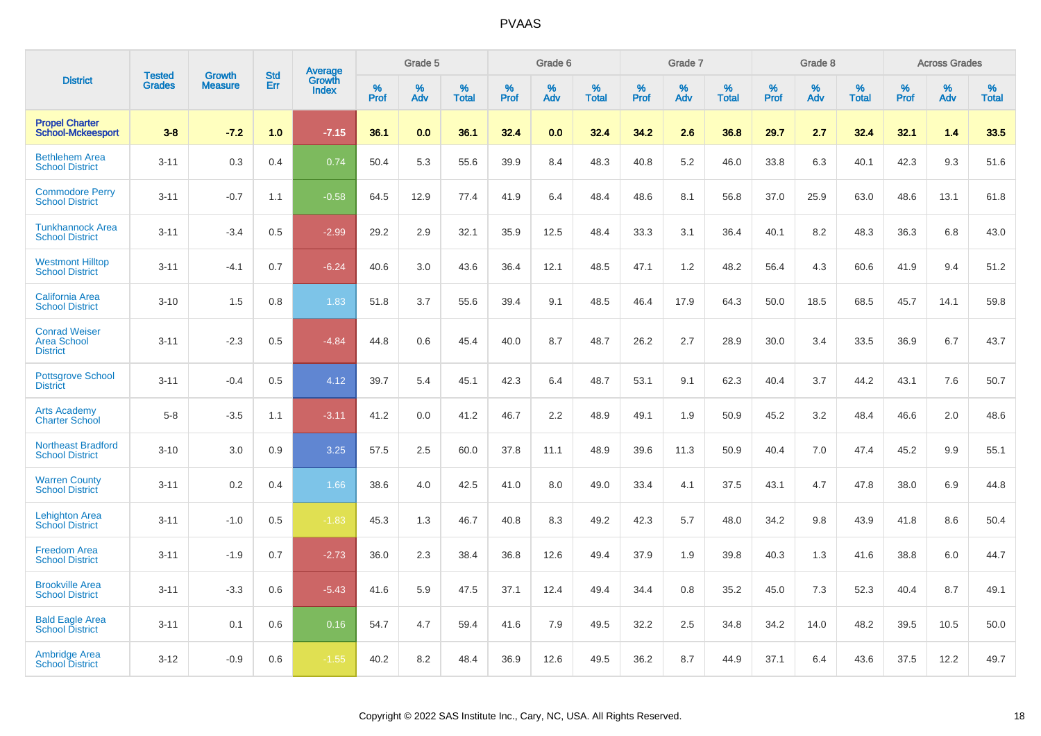|                                                               | <b>Tested</b> | <b>Growth</b>  | <b>Std</b> | Average                |              | Grade 5     |                      |              | Grade 6     |                      |              | Grade 7     |                      |              | Grade 8     |                   |                     | <b>Across Grades</b> |                      |
|---------------------------------------------------------------|---------------|----------------|------------|------------------------|--------------|-------------|----------------------|--------------|-------------|----------------------|--------------|-------------|----------------------|--------------|-------------|-------------------|---------------------|----------------------|----------------------|
| <b>District</b>                                               | <b>Grades</b> | <b>Measure</b> | Err        | Growth<br><b>Index</b> | $\%$<br>Prof | $\%$<br>Adv | $\%$<br><b>Total</b> | $\%$<br>Prof | $\%$<br>Adv | $\%$<br><b>Total</b> | $\%$<br>Prof | $\%$<br>Adv | $\%$<br><b>Total</b> | $\%$<br>Prof | $\%$<br>Adv | %<br><b>Total</b> | $\%$<br><b>Prof</b> | $\%$<br>Adv          | $\%$<br><b>Total</b> |
| <b>Propel Charter</b><br><b>School-Mckeesport</b>             | $3 - 8$       | $-7.2$         | 1.0        | $-7.15$                | 36.1         | 0.0         | 36.1                 | 32.4         | 0.0         | 32.4                 | 34.2         | 2.6         | 36.8                 | 29.7         | 2.7         | 32.4              | 32.1                | 1.4                  | 33.5                 |
| <b>Bethlehem Area</b><br><b>School District</b>               | $3 - 11$      | 0.3            | 0.4        | 0.74                   | 50.4         | 5.3         | 55.6                 | 39.9         | 8.4         | 48.3                 | 40.8         | 5.2         | 46.0                 | 33.8         | 6.3         | 40.1              | 42.3                | 9.3                  | 51.6                 |
| <b>Commodore Perry</b><br><b>School District</b>              | $3 - 11$      | $-0.7$         | 1.1        | $-0.58$                | 64.5         | 12.9        | 77.4                 | 41.9         | 6.4         | 48.4                 | 48.6         | 8.1         | 56.8                 | 37.0         | 25.9        | 63.0              | 48.6                | 13.1                 | 61.8                 |
| <b>Tunkhannock Area</b><br><b>School District</b>             | $3 - 11$      | $-3.4$         | 0.5        | $-2.99$                | 29.2         | 2.9         | 32.1                 | 35.9         | 12.5        | 48.4                 | 33.3         | 3.1         | 36.4                 | 40.1         | 8.2         | 48.3              | 36.3                | 6.8                  | 43.0                 |
| <b>Westmont Hilltop</b><br><b>School District</b>             | $3 - 11$      | $-4.1$         | 0.7        | $-6.24$                | 40.6         | 3.0         | 43.6                 | 36.4         | 12.1        | 48.5                 | 47.1         | 1.2         | 48.2                 | 56.4         | 4.3         | 60.6              | 41.9                | 9.4                  | 51.2                 |
| <b>California Area</b><br><b>School District</b>              | $3 - 10$      | 1.5            | 0.8        | 1.83                   | 51.8         | 3.7         | 55.6                 | 39.4         | 9.1         | 48.5                 | 46.4         | 17.9        | 64.3                 | 50.0         | 18.5        | 68.5              | 45.7                | 14.1                 | 59.8                 |
| <b>Conrad Weiser</b><br><b>Area School</b><br><b>District</b> | $3 - 11$      | $-2.3$         | 0.5        | $-4.84$                | 44.8         | 0.6         | 45.4                 | 40.0         | 8.7         | 48.7                 | 26.2         | 2.7         | 28.9                 | 30.0         | 3.4         | 33.5              | 36.9                | 6.7                  | 43.7                 |
| <b>Pottsgrove School</b><br><b>District</b>                   | $3 - 11$      | $-0.4$         | 0.5        | 4.12                   | 39.7         | 5.4         | 45.1                 | 42.3         | 6.4         | 48.7                 | 53.1         | 9.1         | 62.3                 | 40.4         | 3.7         | 44.2              | 43.1                | 7.6                  | 50.7                 |
| <b>Arts Academy</b><br><b>Charter School</b>                  | $5 - 8$       | $-3.5$         | 1.1        | $-3.11$                | 41.2         | 0.0         | 41.2                 | 46.7         | 2.2         | 48.9                 | 49.1         | 1.9         | 50.9                 | 45.2         | 3.2         | 48.4              | 46.6                | 2.0                  | 48.6                 |
| <b>Northeast Bradford</b><br><b>School District</b>           | $3 - 10$      | 3.0            | 0.9        | 3.25                   | 57.5         | 2.5         | 60.0                 | 37.8         | 11.1        | 48.9                 | 39.6         | 11.3        | 50.9                 | 40.4         | 7.0         | 47.4              | 45.2                | 9.9                  | 55.1                 |
| <b>Warren County</b><br><b>School District</b>                | $3 - 11$      | 0.2            | 0.4        | 1.66                   | 38.6         | 4.0         | 42.5                 | 41.0         | 8.0         | 49.0                 | 33.4         | 4.1         | 37.5                 | 43.1         | 4.7         | 47.8              | 38.0                | 6.9                  | 44.8                 |
| <b>Lehighton Area</b><br><b>School District</b>               | $3 - 11$      | $-1.0$         | 0.5        | $-1.83$                | 45.3         | 1.3         | 46.7                 | 40.8         | 8.3         | 49.2                 | 42.3         | 5.7         | 48.0                 | 34.2         | 9.8         | 43.9              | 41.8                | 8.6                  | 50.4                 |
| <b>Freedom Area</b><br><b>School District</b>                 | $3 - 11$      | $-1.9$         | 0.7        | $-2.73$                | 36.0         | 2.3         | 38.4                 | 36.8         | 12.6        | 49.4                 | 37.9         | 1.9         | 39.8                 | 40.3         | 1.3         | 41.6              | 38.8                | 6.0                  | 44.7                 |
| <b>Brookville Area</b><br><b>School District</b>              | $3 - 11$      | $-3.3$         | 0.6        | $-5.43$                | 41.6         | 5.9         | 47.5                 | 37.1         | 12.4        | 49.4                 | 34.4         | 0.8         | 35.2                 | 45.0         | 7.3         | 52.3              | 40.4                | 8.7                  | 49.1                 |
| <b>Bald Eagle Area</b><br>School District                     | $3 - 11$      | 0.1            | 0.6        | 0.16                   | 54.7         | 4.7         | 59.4                 | 41.6         | 7.9         | 49.5                 | 32.2         | 2.5         | 34.8                 | 34.2         | 14.0        | 48.2              | 39.5                | 10.5                 | 50.0                 |
| <b>Ambridge Area</b><br><b>School District</b>                | $3 - 12$      | $-0.9$         | 0.6        | $-1.55$                | 40.2         | 8.2         | 48.4                 | 36.9         | 12.6        | 49.5                 | 36.2         | 8.7         | 44.9                 | 37.1         | 6.4         | 43.6              | 37.5                | 12.2                 | 49.7                 |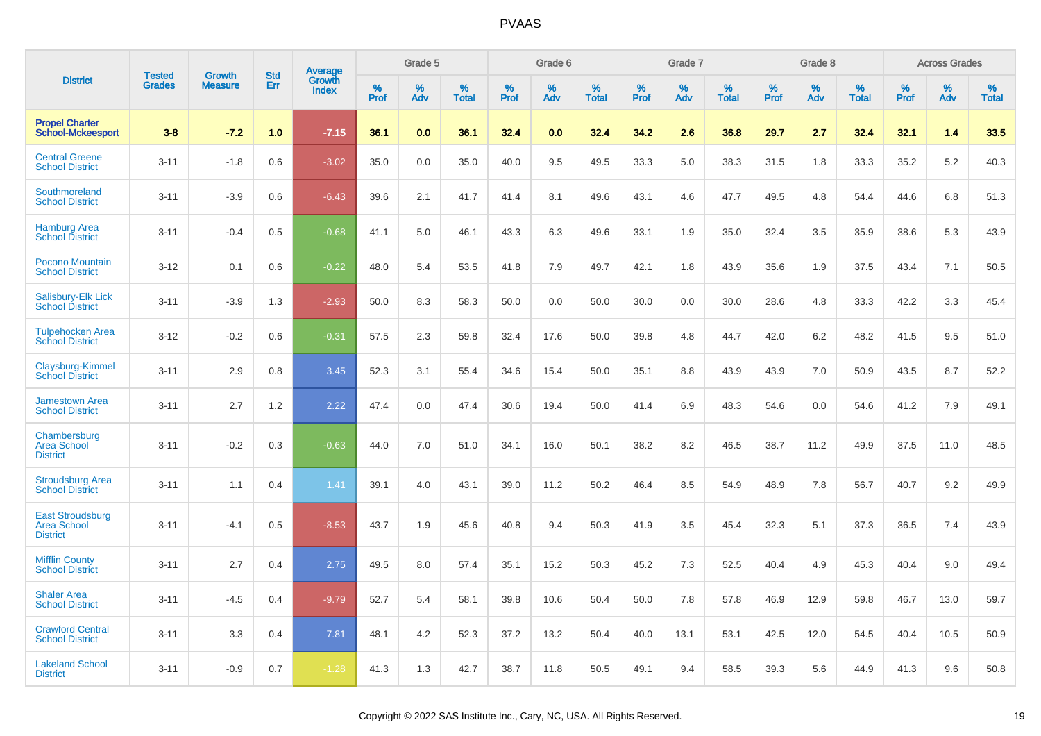|                                                                  | <b>Tested</b> | <b>Growth</b>  | <b>Std</b> | Average                |              | Grade 5  |                   |              | Grade 6  |                   |              | Grade 7  |                   |              | Grade 8  |                   |              | <b>Across Grades</b> |                   |
|------------------------------------------------------------------|---------------|----------------|------------|------------------------|--------------|----------|-------------------|--------------|----------|-------------------|--------------|----------|-------------------|--------------|----------|-------------------|--------------|----------------------|-------------------|
| <b>District</b>                                                  | <b>Grades</b> | <b>Measure</b> | Err        | Growth<br><b>Index</b> | $\%$<br>Prof | %<br>Adv | %<br><b>Total</b> | $\%$<br>Prof | %<br>Adv | %<br><b>Total</b> | $\%$<br>Prof | %<br>Adv | %<br><b>Total</b> | $\%$<br>Prof | %<br>Adv | %<br><b>Total</b> | $\%$<br>Prof | %<br>Adv             | %<br><b>Total</b> |
| <b>Propel Charter</b><br><b>School-Mckeesport</b>                | $3 - 8$       | $-7.2$         | 1.0        | $-7.15$                | 36.1         | 0.0      | 36.1              | 32.4         | 0.0      | 32.4              | 34.2         | 2.6      | 36.8              | 29.7         | 2.7      | 32.4              | 32.1         | 1.4                  | 33.5              |
| <b>Central Greene</b><br><b>School District</b>                  | $3 - 11$      | $-1.8$         | 0.6        | $-3.02$                | 35.0         | 0.0      | 35.0              | 40.0         | 9.5      | 49.5              | 33.3         | 5.0      | 38.3              | 31.5         | 1.8      | 33.3              | 35.2         | 5.2                  | 40.3              |
| Southmoreland<br><b>School District</b>                          | $3 - 11$      | $-3.9$         | 0.6        | $-6.43$                | 39.6         | 2.1      | 41.7              | 41.4         | 8.1      | 49.6              | 43.1         | 4.6      | 47.7              | 49.5         | 4.8      | 54.4              | 44.6         | 6.8                  | 51.3              |
| <b>Hamburg Area</b><br><b>School District</b>                    | $3 - 11$      | $-0.4$         | 0.5        | $-0.68$                | 41.1         | 5.0      | 46.1              | 43.3         | 6.3      | 49.6              | 33.1         | 1.9      | 35.0              | 32.4         | 3.5      | 35.9              | 38.6         | 5.3                  | 43.9              |
| Pocono Mountain<br><b>School District</b>                        | $3 - 12$      | 0.1            | 0.6        | $-0.22$                | 48.0         | 5.4      | 53.5              | 41.8         | 7.9      | 49.7              | 42.1         | 1.8      | 43.9              | 35.6         | 1.9      | 37.5              | 43.4         | 7.1                  | 50.5              |
| <b>Salisbury-Elk Lick</b><br><b>School District</b>              | $3 - 11$      | $-3.9$         | 1.3        | $-2.93$                | 50.0         | 8.3      | 58.3              | 50.0         | 0.0      | 50.0              | 30.0         | 0.0      | 30.0              | 28.6         | 4.8      | 33.3              | 42.2         | 3.3                  | 45.4              |
| <b>Tulpehocken Area</b><br><b>School District</b>                | $3 - 12$      | $-0.2$         | 0.6        | $-0.31$                | 57.5         | 2.3      | 59.8              | 32.4         | 17.6     | 50.0              | 39.8         | 4.8      | 44.7              | 42.0         | 6.2      | 48.2              | 41.5         | 9.5                  | 51.0              |
| Claysburg-Kimmel<br><b>School District</b>                       | $3 - 11$      | 2.9            | 0.8        | 3.45                   | 52.3         | 3.1      | 55.4              | 34.6         | 15.4     | 50.0              | 35.1         | 8.8      | 43.9              | 43.9         | 7.0      | 50.9              | 43.5         | 8.7                  | 52.2              |
| <b>Jamestown Area</b><br><b>School District</b>                  | $3 - 11$      | 2.7            | 1.2        | 2.22                   | 47.4         | 0.0      | 47.4              | 30.6         | 19.4     | 50.0              | 41.4         | 6.9      | 48.3              | 54.6         | 0.0      | 54.6              | 41.2         | 7.9                  | 49.1              |
| Chambersburg<br><b>Area School</b><br><b>District</b>            | $3 - 11$      | $-0.2$         | 0.3        | $-0.63$                | 44.0         | 7.0      | 51.0              | 34.1         | 16.0     | 50.1              | 38.2         | 8.2      | 46.5              | 38.7         | 11.2     | 49.9              | 37.5         | 11.0                 | 48.5              |
| <b>Stroudsburg Area</b><br><b>School District</b>                | $3 - 11$      | 1.1            | 0.4        | 1.41                   | 39.1         | 4.0      | 43.1              | 39.0         | 11.2     | 50.2              | 46.4         | 8.5      | 54.9              | 48.9         | 7.8      | 56.7              | 40.7         | 9.2                  | 49.9              |
| <b>East Stroudsburg</b><br><b>Area School</b><br><b>District</b> | $3 - 11$      | $-4.1$         | 0.5        | $-8.53$                | 43.7         | 1.9      | 45.6              | 40.8         | 9.4      | 50.3              | 41.9         | 3.5      | 45.4              | 32.3         | 5.1      | 37.3              | 36.5         | 7.4                  | 43.9              |
| <b>Mifflin County</b><br><b>School District</b>                  | $3 - 11$      | 2.7            | 0.4        | 2.75                   | 49.5         | 8.0      | 57.4              | 35.1         | 15.2     | 50.3              | 45.2         | 7.3      | 52.5              | 40.4         | 4.9      | 45.3              | 40.4         | 9.0                  | 49.4              |
| <b>Shaler Area</b><br><b>School District</b>                     | $3 - 11$      | $-4.5$         | 0.4        | $-9.79$                | 52.7         | 5.4      | 58.1              | 39.8         | 10.6     | 50.4              | 50.0         | 7.8      | 57.8              | 46.9         | 12.9     | 59.8              | 46.7         | 13.0                 | 59.7              |
| <b>Crawford Central</b><br><b>School District</b>                | $3 - 11$      | 3.3            | 0.4        | 7.81                   | 48.1         | 4.2      | 52.3              | 37.2         | 13.2     | 50.4              | 40.0         | 13.1     | 53.1              | 42.5         | 12.0     | 54.5              | 40.4         | 10.5                 | 50.9              |
| <b>Lakeland School</b><br><b>District</b>                        | $3 - 11$      | $-0.9$         | 0.7        | $-1.28$                | 41.3         | 1.3      | 42.7              | 38.7         | 11.8     | 50.5              | 49.1         | 9.4      | 58.5              | 39.3         | 5.6      | 44.9              | 41.3         | 9.6                  | 50.8              |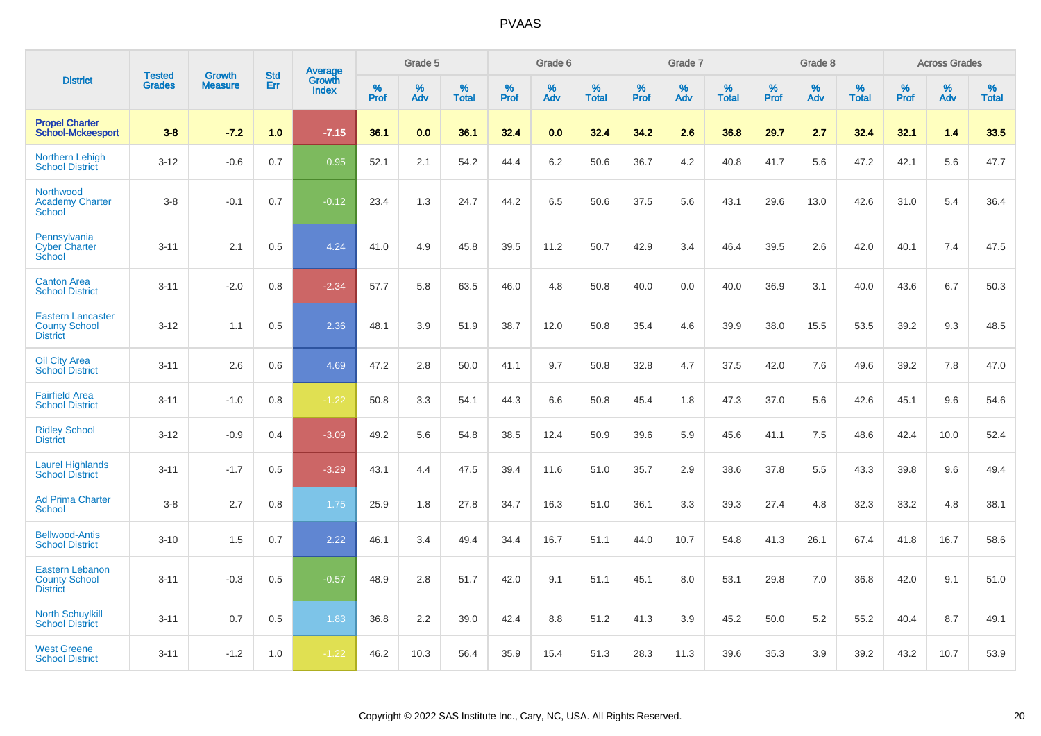|                                                                     |                                | <b>Growth</b>  | <b>Std</b> |                                   |              | Grade 5  |                   |              | Grade 6  |                   |              | Grade 7  |                   |              | Grade 8  |                   |              | <b>Across Grades</b> |                   |
|---------------------------------------------------------------------|--------------------------------|----------------|------------|-----------------------------------|--------------|----------|-------------------|--------------|----------|-------------------|--------------|----------|-------------------|--------------|----------|-------------------|--------------|----------------------|-------------------|
| <b>District</b>                                                     | <b>Tested</b><br><b>Grades</b> | <b>Measure</b> | <b>Err</b> | <b>Average</b><br>Growth<br>Index | $\%$<br>Prof | %<br>Adv | %<br><b>Total</b> | $\%$<br>Prof | %<br>Adv | %<br><b>Total</b> | $\%$<br>Prof | %<br>Adv | %<br><b>Total</b> | $\%$<br>Prof | %<br>Adv | %<br><b>Total</b> | $\%$<br>Prof | %<br>Adv             | %<br><b>Total</b> |
| <b>Propel Charter</b><br><b>School-Mckeesport</b>                   | $3 - 8$                        | $-7.2$         | 1.0        | $-7.15$                           | 36.1         | 0.0      | 36.1              | 32.4         | 0.0      | 32.4              | 34.2         | 2.6      | 36.8              | 29.7         | 2.7      | 32.4              | 32.1         | 1.4                  | 33.5              |
| <b>Northern Lehigh</b><br><b>School District</b>                    | $3 - 12$                       | $-0.6$         | 0.7        | 0.95                              | 52.1         | 2.1      | 54.2              | 44.4         | $6.2\,$  | 50.6              | 36.7         | 4.2      | 40.8              | 41.7         | 5.6      | 47.2              | 42.1         | 5.6                  | 47.7              |
| Northwood<br><b>Academy Charter</b><br>School                       | $3 - 8$                        | $-0.1$         | 0.7        | $-0.12$                           | 23.4         | 1.3      | 24.7              | 44.2         | 6.5      | 50.6              | 37.5         | 5.6      | 43.1              | 29.6         | 13.0     | 42.6              | 31.0         | 5.4                  | 36.4              |
| Pennsylvania<br><b>Cyber Charter</b><br>School                      | $3 - 11$                       | 2.1            | 0.5        | 4.24                              | 41.0         | 4.9      | 45.8              | 39.5         | 11.2     | 50.7              | 42.9         | 3.4      | 46.4              | 39.5         | 2.6      | 42.0              | 40.1         | 7.4                  | 47.5              |
| <b>Canton Area</b><br><b>School District</b>                        | $3 - 11$                       | $-2.0$         | 0.8        | $-2.34$                           | 57.7         | 5.8      | 63.5              | 46.0         | 4.8      | 50.8              | 40.0         | 0.0      | 40.0              | 36.9         | 3.1      | 40.0              | 43.6         | 6.7                  | 50.3              |
| <b>Eastern Lancaster</b><br><b>County School</b><br><b>District</b> | $3 - 12$                       | 1.1            | 0.5        | 2.36                              | 48.1         | 3.9      | 51.9              | 38.7         | 12.0     | 50.8              | 35.4         | 4.6      | 39.9              | 38.0         | 15.5     | 53.5              | 39.2         | 9.3                  | 48.5              |
| <b>Oil City Area</b><br><b>School District</b>                      | $3 - 11$                       | 2.6            | 0.6        | 4.69                              | 47.2         | 2.8      | 50.0              | 41.1         | 9.7      | 50.8              | 32.8         | 4.7      | 37.5              | 42.0         | 7.6      | 49.6              | 39.2         | 7.8                  | 47.0              |
| <b>Fairfield Area</b><br><b>School District</b>                     | $3 - 11$                       | $-1.0$         | 0.8        | $-1.22$                           | 50.8         | 3.3      | 54.1              | 44.3         | 6.6      | 50.8              | 45.4         | 1.8      | 47.3              | 37.0         | 5.6      | 42.6              | 45.1         | 9.6                  | 54.6              |
| <b>Ridley School</b><br><b>District</b>                             | $3 - 12$                       | $-0.9$         | 0.4        | $-3.09$                           | 49.2         | 5.6      | 54.8              | 38.5         | 12.4     | 50.9              | 39.6         | 5.9      | 45.6              | 41.1         | 7.5      | 48.6              | 42.4         | 10.0                 | 52.4              |
| <b>Laurel Highlands</b><br><b>School District</b>                   | $3 - 11$                       | $-1.7$         | 0.5        | $-3.29$                           | 43.1         | 4.4      | 47.5              | 39.4         | 11.6     | 51.0              | 35.7         | 2.9      | 38.6              | 37.8         | 5.5      | 43.3              | 39.8         | 9.6                  | 49.4              |
| <b>Ad Prima Charter</b><br><b>School</b>                            | $3 - 8$                        | 2.7            | 0.8        | 1.75                              | 25.9         | 1.8      | 27.8              | 34.7         | 16.3     | 51.0              | 36.1         | 3.3      | 39.3              | 27.4         | 4.8      | 32.3              | 33.2         | 4.8                  | 38.1              |
| <b>Bellwood-Antis</b><br><b>School District</b>                     | $3 - 10$                       | 1.5            | 0.7        | 2.22                              | 46.1         | 3.4      | 49.4              | 34.4         | 16.7     | 51.1              | 44.0         | 10.7     | 54.8              | 41.3         | 26.1     | 67.4              | 41.8         | 16.7                 | 58.6              |
| Eastern Lebanon<br><b>County School</b><br><b>District</b>          | $3 - 11$                       | $-0.3$         | 0.5        | $-0.57$                           | 48.9         | 2.8      | 51.7              | 42.0         | 9.1      | 51.1              | 45.1         | 8.0      | 53.1              | 29.8         | 7.0      | 36.8              | 42.0         | 9.1                  | 51.0              |
| <b>North Schuylkill</b><br><b>School District</b>                   | $3 - 11$                       | 0.7            | 0.5        | 1.83                              | 36.8         | 2.2      | 39.0              | 42.4         | 8.8      | 51.2              | 41.3         | 3.9      | 45.2              | 50.0         | 5.2      | 55.2              | 40.4         | 8.7                  | 49.1              |
| <b>West Greene</b><br><b>School District</b>                        | $3 - 11$                       | $-1.2$         | 1.0        | $-1.22$                           | 46.2         | 10.3     | 56.4              | 35.9         | 15.4     | 51.3              | 28.3         | 11.3     | 39.6              | 35.3         | 3.9      | 39.2              | 43.2         | 10.7                 | 53.9              |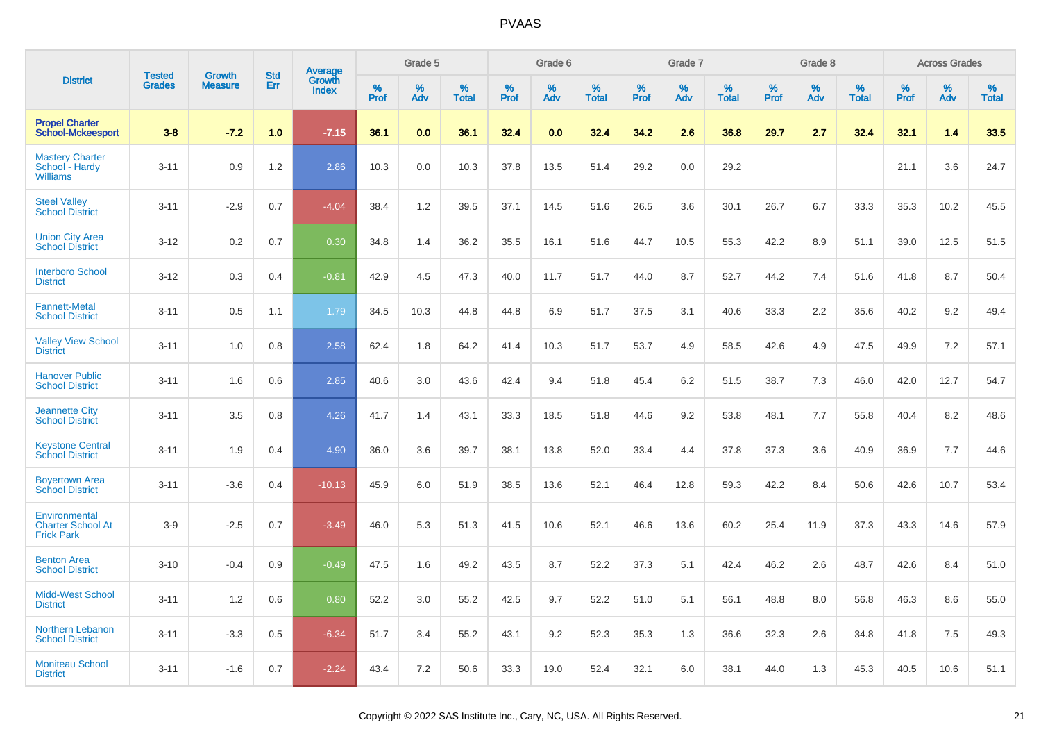|                                                                | <b>Tested</b> | <b>Growth</b>  | <b>Std</b> |                                          |                     | Grade 5  |                   |                     | Grade 6  |                   |                     | Grade 7  |                   |                     | Grade 8  |                   |              | <b>Across Grades</b> |                   |
|----------------------------------------------------------------|---------------|----------------|------------|------------------------------------------|---------------------|----------|-------------------|---------------------|----------|-------------------|---------------------|----------|-------------------|---------------------|----------|-------------------|--------------|----------------------|-------------------|
| <b>District</b>                                                | <b>Grades</b> | <b>Measure</b> | Err        | <b>Average</b><br>Growth<br><b>Index</b> | $\%$<br><b>Prof</b> | %<br>Adv | %<br><b>Total</b> | $\%$<br><b>Prof</b> | %<br>Adv | %<br><b>Total</b> | $\%$<br><b>Prof</b> | %<br>Adv | %<br><b>Total</b> | $\%$<br><b>Prof</b> | %<br>Adv | %<br><b>Total</b> | $\%$<br>Prof | %<br>Adv             | %<br><b>Total</b> |
| <b>Propel Charter</b><br><b>School-Mckeesport</b>              | $3 - 8$       | $-7.2$         | 1.0        | $-7.15$                                  | 36.1                | 0.0      | 36.1              | 32.4                | 0.0      | 32.4              | 34.2                | 2.6      | 36.8              | 29.7                | 2.7      | 32.4              | 32.1         | 1.4                  | 33.5              |
| <b>Mastery Charter</b><br>School - Hardy<br><b>Williams</b>    | $3 - 11$      | 0.9            | 1.2        | 2.86                                     | 10.3                | 0.0      | 10.3              | 37.8                | 13.5     | 51.4              | 29.2                | 0.0      | 29.2              |                     |          |                   | 21.1         | 3.6                  | 24.7              |
| <b>Steel Valley</b><br><b>School District</b>                  | $3 - 11$      | $-2.9$         | 0.7        | $-4.04$                                  | 38.4                | 1.2      | 39.5              | 37.1                | 14.5     | 51.6              | 26.5                | 3.6      | 30.1              | 26.7                | 6.7      | 33.3              | 35.3         | 10.2                 | 45.5              |
| <b>Union City Area</b><br><b>School District</b>               | $3 - 12$      | 0.2            | 0.7        | 0.30                                     | 34.8                | 1.4      | 36.2              | 35.5                | 16.1     | 51.6              | 44.7                | 10.5     | 55.3              | 42.2                | 8.9      | 51.1              | 39.0         | 12.5                 | 51.5              |
| <b>Interboro School</b><br><b>District</b>                     | $3 - 12$      | 0.3            | 0.4        | $-0.81$                                  | 42.9                | 4.5      | 47.3              | 40.0                | 11.7     | 51.7              | 44.0                | 8.7      | 52.7              | 44.2                | 7.4      | 51.6              | 41.8         | 8.7                  | 50.4              |
| <b>Fannett-Metal</b><br><b>School District</b>                 | $3 - 11$      | 0.5            | 1.1        | 1.79                                     | 34.5                | 10.3     | 44.8              | 44.8                | 6.9      | 51.7              | 37.5                | 3.1      | 40.6              | 33.3                | 2.2      | 35.6              | 40.2         | 9.2                  | 49.4              |
| <b>Valley View School</b><br><b>District</b>                   | $3 - 11$      | 1.0            | 0.8        | 2.58                                     | 62.4                | 1.8      | 64.2              | 41.4                | 10.3     | 51.7              | 53.7                | 4.9      | 58.5              | 42.6                | 4.9      | 47.5              | 49.9         | 7.2                  | 57.1              |
| <b>Hanover Public</b><br><b>School District</b>                | $3 - 11$      | 1.6            | 0.6        | 2.85                                     | 40.6                | 3.0      | 43.6              | 42.4                | 9.4      | 51.8              | 45.4                | 6.2      | 51.5              | 38.7                | 7.3      | 46.0              | 42.0         | 12.7                 | 54.7              |
| <b>Jeannette City</b><br><b>School District</b>                | $3 - 11$      | 3.5            | 0.8        | 4.26                                     | 41.7                | 1.4      | 43.1              | 33.3                | 18.5     | 51.8              | 44.6                | 9.2      | 53.8              | 48.1                | 7.7      | 55.8              | 40.4         | 8.2                  | 48.6              |
| <b>Keystone Central</b><br><b>School District</b>              | $3 - 11$      | 1.9            | 0.4        | 4.90                                     | 36.0                | 3.6      | 39.7              | 38.1                | 13.8     | 52.0              | 33.4                | 4.4      | 37.8              | 37.3                | 3.6      | 40.9              | 36.9         | 7.7                  | 44.6              |
| <b>Boyertown Area</b><br><b>School District</b>                | $3 - 11$      | $-3.6$         | 0.4        | $-10.13$                                 | 45.9                | 6.0      | 51.9              | 38.5                | 13.6     | 52.1              | 46.4                | 12.8     | 59.3              | 42.2                | 8.4      | 50.6              | 42.6         | 10.7                 | 53.4              |
| Environmental<br><b>Charter School At</b><br><b>Frick Park</b> | $3-9$         | $-2.5$         | 0.7        | $-3.49$                                  | 46.0                | 5.3      | 51.3              | 41.5                | 10.6     | 52.1              | 46.6                | 13.6     | 60.2              | 25.4                | 11.9     | 37.3              | 43.3         | 14.6                 | 57.9              |
| <b>Benton Area</b><br><b>School District</b>                   | $3 - 10$      | $-0.4$         | 0.9        | $-0.49$                                  | 47.5                | 1.6      | 49.2              | 43.5                | 8.7      | 52.2              | 37.3                | 5.1      | 42.4              | 46.2                | 2.6      | 48.7              | 42.6         | 8.4                  | 51.0              |
| <b>Midd-West School</b><br><b>District</b>                     | $3 - 11$      | 1.2            | 0.6        | 0.80                                     | 52.2                | 3.0      | 55.2              | 42.5                | 9.7      | 52.2              | 51.0                | 5.1      | 56.1              | 48.8                | 8.0      | 56.8              | 46.3         | 8.6                  | 55.0              |
| <b>Northern Lebanon</b><br><b>School District</b>              | $3 - 11$      | $-3.3$         | 0.5        | $-6.34$                                  | 51.7                | 3.4      | 55.2              | 43.1                | 9.2      | 52.3              | 35.3                | 1.3      | 36.6              | 32.3                | 2.6      | 34.8              | 41.8         | 7.5                  | 49.3              |
| <b>Moniteau School</b><br><b>District</b>                      | $3 - 11$      | $-1.6$         | 0.7        | $-2.24$                                  | 43.4                | 7.2      | 50.6              | 33.3                | 19.0     | 52.4              | 32.1                | 6.0      | 38.1              | 44.0                | 1.3      | 45.3              | 40.5         | 10.6                 | 51.1              |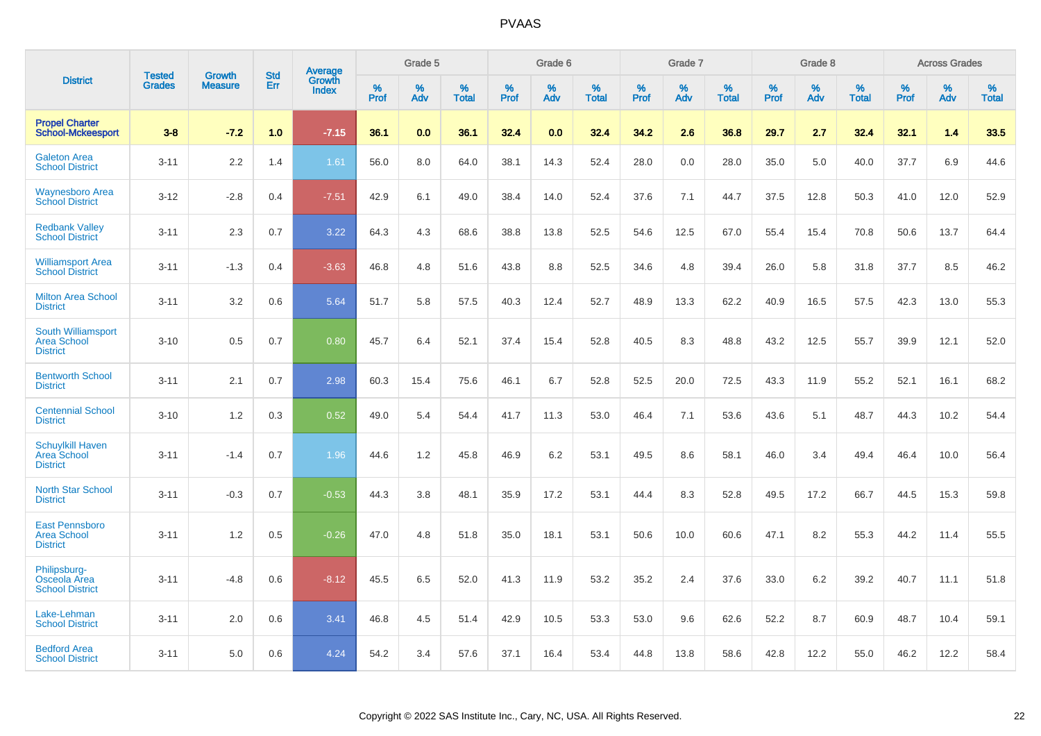|                                                                    | <b>Tested</b> | <b>Growth</b>  | <b>Std</b> | Average         |           | Grade 5  |                   |           | Grade 6  |                   |           | Grade 7  |                   |           | Grade 8  |                   |                     | <b>Across Grades</b> |                   |
|--------------------------------------------------------------------|---------------|----------------|------------|-----------------|-----------|----------|-------------------|-----------|----------|-------------------|-----------|----------|-------------------|-----------|----------|-------------------|---------------------|----------------------|-------------------|
| <b>District</b>                                                    | <b>Grades</b> | <b>Measure</b> | Err        | Growth<br>Index | %<br>Prof | %<br>Adv | %<br><b>Total</b> | %<br>Prof | %<br>Adv | %<br><b>Total</b> | %<br>Prof | %<br>Adv | %<br><b>Total</b> | %<br>Prof | %<br>Adv | %<br><b>Total</b> | $\%$<br><b>Prof</b> | %<br>Adv             | %<br><b>Total</b> |
| <b>Propel Charter</b><br><b>School-Mckeesport</b>                  | $3 - 8$       | $-7.2$         | 1.0        | $-7.15$         | 36.1      | 0.0      | 36.1              | 32.4      | 0.0      | 32.4              | 34.2      | 2.6      | 36.8              | 29.7      | 2.7      | 32.4              | 32.1                | 1.4                  | 33.5              |
| <b>Galeton Area</b><br><b>School District</b>                      | $3 - 11$      | 2.2            | 1.4        | 1.61            | 56.0      | 8.0      | 64.0              | 38.1      | 14.3     | 52.4              | 28.0      | 0.0      | 28.0              | 35.0      | 5.0      | 40.0              | 37.7                | 6.9                  | 44.6              |
| <b>Waynesboro Area</b><br><b>School District</b>                   | $3 - 12$      | $-2.8$         | 0.4        | $-7.51$         | 42.9      | 6.1      | 49.0              | 38.4      | 14.0     | 52.4              | 37.6      | 7.1      | 44.7              | 37.5      | 12.8     | 50.3              | 41.0                | 12.0                 | 52.9              |
| <b>Redbank Valley</b><br><b>School District</b>                    | $3 - 11$      | 2.3            | 0.7        | 3.22            | 64.3      | 4.3      | 68.6              | 38.8      | 13.8     | 52.5              | 54.6      | 12.5     | 67.0              | 55.4      | 15.4     | 70.8              | 50.6                | 13.7                 | 64.4              |
| <b>Williamsport Area</b><br><b>School District</b>                 | $3 - 11$      | $-1.3$         | 0.4        | $-3.63$         | 46.8      | 4.8      | 51.6              | 43.8      | 8.8      | 52.5              | 34.6      | 4.8      | 39.4              | 26.0      | 5.8      | 31.8              | 37.7                | 8.5                  | 46.2              |
| <b>Milton Area School</b><br><b>District</b>                       | $3 - 11$      | 3.2            | 0.6        | 5.64            | 51.7      | 5.8      | 57.5              | 40.3      | 12.4     | 52.7              | 48.9      | 13.3     | 62.2              | 40.9      | 16.5     | 57.5              | 42.3                | 13.0                 | 55.3              |
| <b>South Williamsport</b><br><b>Area School</b><br><b>District</b> | $3 - 10$      | 0.5            | 0.7        | 0.80            | 45.7      | 6.4      | 52.1              | 37.4      | 15.4     | 52.8              | 40.5      | 8.3      | 48.8              | 43.2      | 12.5     | 55.7              | 39.9                | 12.1                 | 52.0              |
| <b>Bentworth School</b><br><b>District</b>                         | $3 - 11$      | 2.1            | 0.7        | 2.98            | 60.3      | 15.4     | 75.6              | 46.1      | 6.7      | 52.8              | 52.5      | 20.0     | 72.5              | 43.3      | 11.9     | 55.2              | 52.1                | 16.1                 | 68.2              |
| <b>Centennial School</b><br><b>District</b>                        | $3 - 10$      | 1.2            | 0.3        | 0.52            | 49.0      | 5.4      | 54.4              | 41.7      | 11.3     | 53.0              | 46.4      | 7.1      | 53.6              | 43.6      | 5.1      | 48.7              | 44.3                | 10.2                 | 54.4              |
| <b>Schuylkill Haven</b><br>Area School<br><b>District</b>          | $3 - 11$      | $-1.4$         | 0.7        | 1.96            | 44.6      | 1.2      | 45.8              | 46.9      | 6.2      | 53.1              | 49.5      | 8.6      | 58.1              | 46.0      | 3.4      | 49.4              | 46.4                | 10.0                 | 56.4              |
| <b>North Star School</b><br><b>District</b>                        | $3 - 11$      | $-0.3$         | 0.7        | $-0.53$         | 44.3      | 3.8      | 48.1              | 35.9      | 17.2     | 53.1              | 44.4      | 8.3      | 52.8              | 49.5      | 17.2     | 66.7              | 44.5                | 15.3                 | 59.8              |
| <b>East Pennsboro</b><br><b>Area School</b><br><b>District</b>     | $3 - 11$      | 1.2            | 0.5        | $-0.26$         | 47.0      | 4.8      | 51.8              | 35.0      | 18.1     | 53.1              | 50.6      | 10.0     | 60.6              | 47.1      | 8.2      | 55.3              | 44.2                | 11.4                 | 55.5              |
| Philipsburg-<br><b>Osceola Area</b><br><b>School District</b>      | $3 - 11$      | $-4.8$         | 0.6        | $-8.12$         | 45.5      | 6.5      | 52.0              | 41.3      | 11.9     | 53.2              | 35.2      | 2.4      | 37.6              | 33.0      | 6.2      | 39.2              | 40.7                | 11.1                 | 51.8              |
| Lake-Lehman<br><b>School District</b>                              | $3 - 11$      | 2.0            | 0.6        | 3.41            | 46.8      | 4.5      | 51.4              | 42.9      | 10.5     | 53.3              | 53.0      | 9.6      | 62.6              | 52.2      | 8.7      | 60.9              | 48.7                | 10.4                 | 59.1              |
| <b>Bedford Area</b><br><b>School District</b>                      | $3 - 11$      | 5.0            | 0.6        | 4.24            | 54.2      | 3.4      | 57.6              | 37.1      | 16.4     | 53.4              | 44.8      | 13.8     | 58.6              | 42.8      | 12.2     | 55.0              | 46.2                | 12.2                 | 58.4              |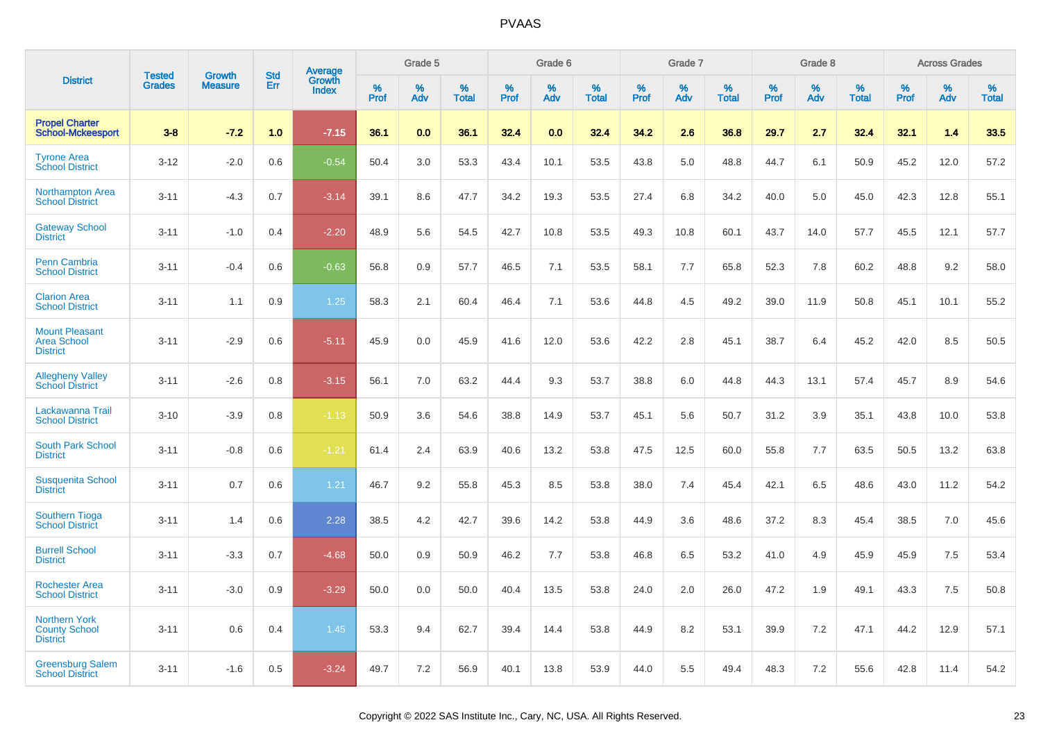|                                                                 | <b>Tested</b> | <b>Growth</b>  | <b>Std</b> | Average                |              | Grade 5  |                   |              | Grade 6  |                   |              | Grade 7  |                   |              | Grade 8  |                   |              | <b>Across Grades</b> |                   |
|-----------------------------------------------------------------|---------------|----------------|------------|------------------------|--------------|----------|-------------------|--------------|----------|-------------------|--------------|----------|-------------------|--------------|----------|-------------------|--------------|----------------------|-------------------|
| <b>District</b>                                                 | <b>Grades</b> | <b>Measure</b> | Err        | Growth<br><b>Index</b> | $\%$<br>Prof | %<br>Adv | %<br><b>Total</b> | $\%$<br>Prof | %<br>Adv | %<br><b>Total</b> | $\%$<br>Prof | %<br>Adv | %<br><b>Total</b> | $\%$<br>Prof | %<br>Adv | %<br><b>Total</b> | $\%$<br>Prof | %<br>Adv             | %<br><b>Total</b> |
| <b>Propel Charter</b><br><b>School-Mckeesport</b>               | $3 - 8$       | $-7.2$         | 1.0        | $-7.15$                | 36.1         | 0.0      | 36.1              | 32.4         | 0.0      | 32.4              | 34.2         | 2.6      | 36.8              | 29.7         | 2.7      | 32.4              | 32.1         | 1.4                  | 33.5              |
| <b>Tyrone Area</b><br><b>School District</b>                    | $3 - 12$      | $-2.0$         | 0.6        | $-0.54$                | 50.4         | 3.0      | 53.3              | 43.4         | 10.1     | 53.5              | 43.8         | 5.0      | 48.8              | 44.7         | 6.1      | 50.9              | 45.2         | 12.0                 | 57.2              |
| <b>Northampton Area</b><br><b>School District</b>               | $3 - 11$      | $-4.3$         | 0.7        | $-3.14$                | 39.1         | 8.6      | 47.7              | 34.2         | 19.3     | 53.5              | 27.4         | 6.8      | 34.2              | 40.0         | 5.0      | 45.0              | 42.3         | 12.8                 | 55.1              |
| <b>Gateway School</b><br><b>District</b>                        | $3 - 11$      | $-1.0$         | 0.4        | $-2.20$                | 48.9         | 5.6      | 54.5              | 42.7         | 10.8     | 53.5              | 49.3         | 10.8     | 60.1              | 43.7         | 14.0     | 57.7              | 45.5         | 12.1                 | 57.7              |
| <b>Penn Cambria</b><br><b>School District</b>                   | $3 - 11$      | $-0.4$         | 0.6        | $-0.63$                | 56.8         | 0.9      | 57.7              | 46.5         | 7.1      | 53.5              | 58.1         | 7.7      | 65.8              | 52.3         | 7.8      | 60.2              | 48.8         | 9.2                  | 58.0              |
| <b>Clarion Area</b><br><b>School District</b>                   | $3 - 11$      | 1.1            | 0.9        | 1.25                   | 58.3         | 2.1      | 60.4              | 46.4         | 7.1      | 53.6              | 44.8         | 4.5      | 49.2              | 39.0         | 11.9     | 50.8              | 45.1         | 10.1                 | 55.2              |
| <b>Mount Pleasant</b><br><b>Area School</b><br><b>District</b>  | $3 - 11$      | $-2.9$         | 0.6        | $-5.11$                | 45.9         | 0.0      | 45.9              | 41.6         | 12.0     | 53.6              | 42.2         | 2.8      | 45.1              | 38.7         | 6.4      | 45.2              | 42.0         | 8.5                  | 50.5              |
| <b>Allegheny Valley</b><br><b>School District</b>               | $3 - 11$      | $-2.6$         | 0.8        | $-3.15$                | 56.1         | 7.0      | 63.2              | 44.4         | 9.3      | 53.7              | 38.8         | 6.0      | 44.8              | 44.3         | 13.1     | 57.4              | 45.7         | 8.9                  | 54.6              |
| Lackawanna Trail<br><b>School District</b>                      | $3 - 10$      | $-3.9$         | 0.8        | $-1.13$                | 50.9         | 3.6      | 54.6              | 38.8         | 14.9     | 53.7              | 45.1         | 5.6      | 50.7              | 31.2         | 3.9      | 35.1              | 43.8         | 10.0                 | 53.8              |
| <b>South Park School</b><br><b>District</b>                     | $3 - 11$      | $-0.8$         | 0.6        | $-1.21$                | 61.4         | 2.4      | 63.9              | 40.6         | 13.2     | 53.8              | 47.5         | 12.5     | 60.0              | 55.8         | 7.7      | 63.5              | 50.5         | 13.2                 | 63.8              |
| <b>Susquenita School</b><br><b>District</b>                     | $3 - 11$      | 0.7            | 0.6        | 1.21                   | 46.7         | 9.2      | 55.8              | 45.3         | 8.5      | 53.8              | 38.0         | 7.4      | 45.4              | 42.1         | 6.5      | 48.6              | 43.0         | 11.2                 | 54.2              |
| Southern Tioga<br><b>School District</b>                        | $3 - 11$      | 1.4            | 0.6        | 2.28                   | 38.5         | 4.2      | 42.7              | 39.6         | 14.2     | 53.8              | 44.9         | 3.6      | 48.6              | 37.2         | 8.3      | 45.4              | 38.5         | 7.0                  | 45.6              |
| <b>Burrell School</b><br><b>District</b>                        | $3 - 11$      | $-3.3$         | 0.7        | $-4.68$                | 50.0         | 0.9      | 50.9              | 46.2         | 7.7      | 53.8              | 46.8         | 6.5      | 53.2              | 41.0         | 4.9      | 45.9              | 45.9         | $7.5\,$              | 53.4              |
| <b>Rochester Area</b><br><b>School District</b>                 | $3 - 11$      | $-3.0$         | 0.9        | $-3.29$                | 50.0         | 0.0      | 50.0              | 40.4         | 13.5     | 53.8              | 24.0         | 2.0      | 26.0              | 47.2         | 1.9      | 49.1              | 43.3         | 7.5                  | 50.8              |
| <b>Northern York</b><br><b>County School</b><br><b>District</b> | $3 - 11$      | 0.6            | 0.4        | 1.45                   | 53.3         | 9.4      | 62.7              | 39.4         | 14.4     | 53.8              | 44.9         | 8.2      | 53.1              | 39.9         | 7.2      | 47.1              | 44.2         | 12.9                 | 57.1              |
| <b>Greensburg Salem</b><br><b>School District</b>               | $3 - 11$      | $-1.6$         | 0.5        | $-3.24$                | 49.7         | 7.2      | 56.9              | 40.1         | 13.8     | 53.9              | 44.0         | 5.5      | 49.4              | 48.3         | 7.2      | 55.6              | 42.8         | 11.4                 | 54.2              |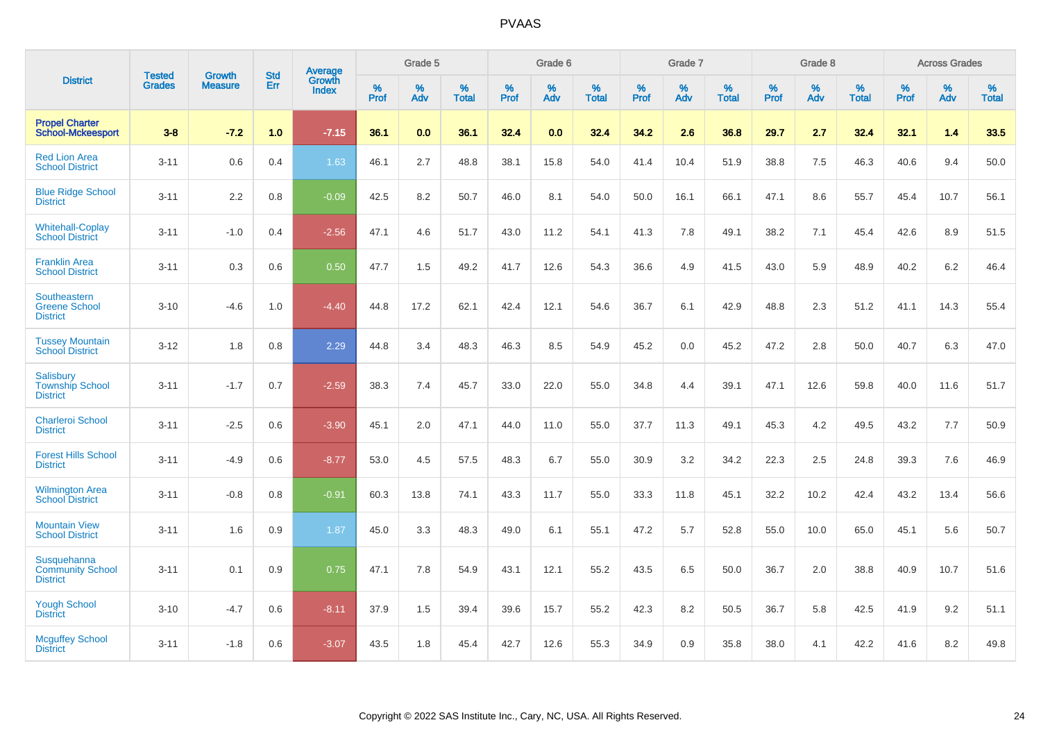|                                                               |                                |                                 | <b>Std</b> | Average                       |              | Grade 5  |                   |           | Grade 6  |                   |           | Grade 7  |                   |           | Grade 8  |                   |           | <b>Across Grades</b> |                   |
|---------------------------------------------------------------|--------------------------------|---------------------------------|------------|-------------------------------|--------------|----------|-------------------|-----------|----------|-------------------|-----------|----------|-------------------|-----------|----------|-------------------|-----------|----------------------|-------------------|
| <b>District</b>                                               | <b>Tested</b><br><b>Grades</b> | <b>Growth</b><br><b>Measure</b> | Err        | <b>Growth</b><br><b>Index</b> | $\%$<br>Prof | %<br>Adv | %<br><b>Total</b> | %<br>Prof | %<br>Adv | %<br><b>Total</b> | %<br>Prof | %<br>Adv | %<br><b>Total</b> | %<br>Prof | %<br>Adv | %<br><b>Total</b> | %<br>Prof | %<br>Adv             | %<br><b>Total</b> |
| <b>Propel Charter</b><br><b>School-Mckeesport</b>             | $3 - 8$                        | $-7.2$                          | 1.0        | $-7.15$                       | 36.1         | 0.0      | 36.1              | 32.4      | 0.0      | 32.4              | 34.2      | 2.6      | 36.8              | 29.7      | 2.7      | 32.4              | 32.1      | 1.4                  | 33.5              |
| <b>Red Lion Area</b><br><b>School District</b>                | $3 - 11$                       | 0.6                             | 0.4        | 1.63                          | 46.1         | 2.7      | 48.8              | 38.1      | 15.8     | 54.0              | 41.4      | 10.4     | 51.9              | 38.8      | 7.5      | 46.3              | 40.6      | 9.4                  | 50.0              |
| <b>Blue Ridge School</b><br><b>District</b>                   | $3 - 11$                       | 2.2                             | 0.8        | $-0.09$                       | 42.5         | 8.2      | 50.7              | 46.0      | 8.1      | 54.0              | 50.0      | 16.1     | 66.1              | 47.1      | 8.6      | 55.7              | 45.4      | 10.7                 | 56.1              |
| <b>Whitehall-Coplay</b><br><b>School District</b>             | $3 - 11$                       | $-1.0$                          | 0.4        | $-2.56$                       | 47.1         | 4.6      | 51.7              | 43.0      | 11.2     | 54.1              | 41.3      | 7.8      | 49.1              | 38.2      | 7.1      | 45.4              | 42.6      | 8.9                  | 51.5              |
| <b>Franklin Area</b><br><b>School District</b>                | $3 - 11$                       | 0.3                             | 0.6        | 0.50                          | 47.7         | 1.5      | 49.2              | 41.7      | 12.6     | 54.3              | 36.6      | 4.9      | 41.5              | 43.0      | 5.9      | 48.9              | 40.2      | $6.2\,$              | 46.4              |
| Southeastern<br><b>Greene School</b><br><b>District</b>       | $3 - 10$                       | $-4.6$                          | 1.0        | $-4.40$                       | 44.8         | 17.2     | 62.1              | 42.4      | 12.1     | 54.6              | 36.7      | 6.1      | 42.9              | 48.8      | 2.3      | 51.2              | 41.1      | 14.3                 | 55.4              |
| <b>Tussey Mountain</b><br><b>School District</b>              | $3 - 12$                       | 1.8                             | 0.8        | 2.29                          | 44.8         | 3.4      | 48.3              | 46.3      | 8.5      | 54.9              | 45.2      | 0.0      | 45.2              | 47.2      | 2.8      | 50.0              | 40.7      | 6.3                  | 47.0              |
| <b>Salisbury</b><br><b>Township School</b><br><b>District</b> | $3 - 11$                       | $-1.7$                          | 0.7        | $-2.59$                       | 38.3         | 7.4      | 45.7              | 33.0      | 22.0     | 55.0              | 34.8      | 4.4      | 39.1              | 47.1      | 12.6     | 59.8              | 40.0      | 11.6                 | 51.7              |
| <b>Charleroi School</b><br><b>District</b>                    | $3 - 11$                       | $-2.5$                          | 0.6        | $-3.90$                       | 45.1         | 2.0      | 47.1              | 44.0      | 11.0     | 55.0              | 37.7      | 11.3     | 49.1              | 45.3      | 4.2      | 49.5              | 43.2      | 7.7                  | 50.9              |
| <b>Forest Hills School</b><br><b>District</b>                 | $3 - 11$                       | $-4.9$                          | 0.6        | $-8.77$                       | 53.0         | 4.5      | 57.5              | 48.3      | 6.7      | 55.0              | 30.9      | 3.2      | 34.2              | 22.3      | 2.5      | 24.8              | 39.3      | 7.6                  | 46.9              |
| <b>Wilmington Area</b><br><b>School District</b>              | $3 - 11$                       | $-0.8$                          | 0.8        | $-0.91$                       | 60.3         | 13.8     | 74.1              | 43.3      | 11.7     | 55.0              | 33.3      | 11.8     | 45.1              | 32.2      | 10.2     | 42.4              | 43.2      | 13.4                 | 56.6              |
| <b>Mountain View</b><br><b>School District</b>                | $3 - 11$                       | 1.6                             | 0.9        | 1.87                          | 45.0         | 3.3      | 48.3              | 49.0      | 6.1      | 55.1              | 47.2      | 5.7      | 52.8              | 55.0      | 10.0     | 65.0              | 45.1      | 5.6                  | 50.7              |
| Susquehanna<br><b>Community School</b><br><b>District</b>     | $3 - 11$                       | 0.1                             | 0.9        | 0.75                          | 47.1         | 7.8      | 54.9              | 43.1      | 12.1     | 55.2              | 43.5      | 6.5      | 50.0              | 36.7      | 2.0      | 38.8              | 40.9      | 10.7                 | 51.6              |
| <b>Yough School</b><br><b>District</b>                        | $3 - 10$                       | $-4.7$                          | 0.6        | $-8.11$                       | 37.9         | 1.5      | 39.4              | 39.6      | 15.7     | 55.2              | 42.3      | 8.2      | 50.5              | 36.7      | 5.8      | 42.5              | 41.9      | 9.2                  | 51.1              |
| <b>Mcguffey School</b><br><b>District</b>                     | $3 - 11$                       | $-1.8$                          | 0.6        | $-3.07$                       | 43.5         | 1.8      | 45.4              | 42.7      | 12.6     | 55.3              | 34.9      | 0.9      | 35.8              | 38.0      | 4.1      | 42.2              | 41.6      | 8.2                  | 49.8              |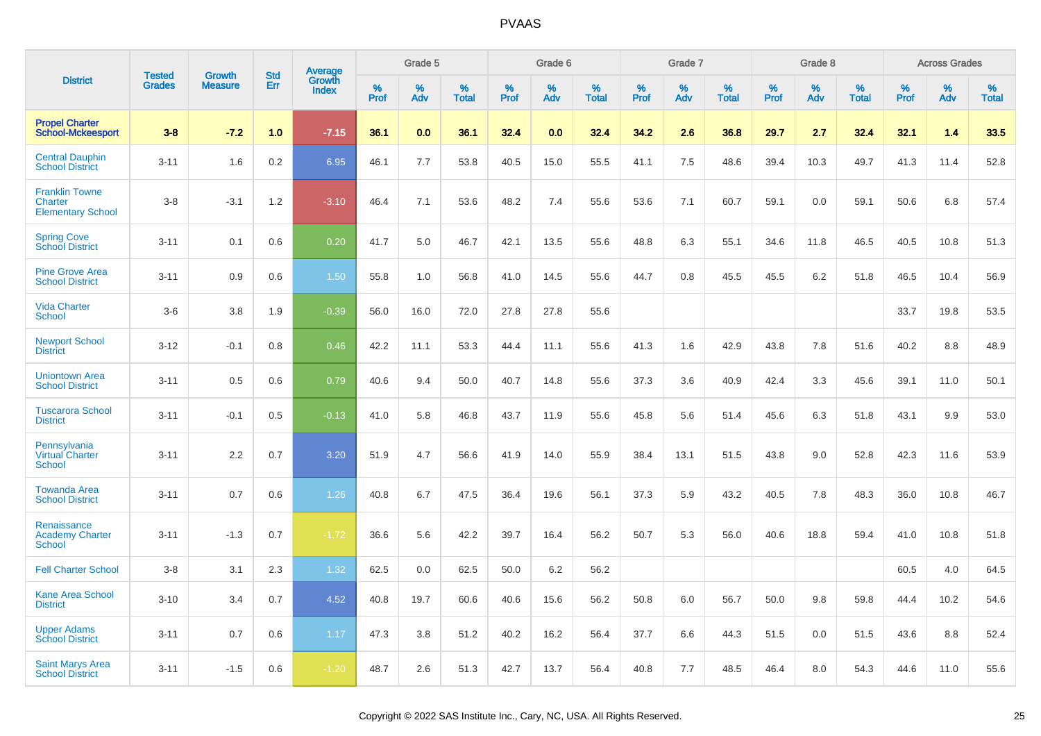|                                                              |                                |                                 |                   |                                          |                     | Grade 5  |                      |              | Grade 6  |                      |              | Grade 7  |                   |                     | Grade 8  |                   |                     | <b>Across Grades</b> |                      |
|--------------------------------------------------------------|--------------------------------|---------------------------------|-------------------|------------------------------------------|---------------------|----------|----------------------|--------------|----------|----------------------|--------------|----------|-------------------|---------------------|----------|-------------------|---------------------|----------------------|----------------------|
| <b>District</b>                                              | <b>Tested</b><br><b>Grades</b> | <b>Growth</b><br><b>Measure</b> | <b>Std</b><br>Err | <b>Average</b><br>Growth<br><b>Index</b> | $\%$<br><b>Prof</b> | %<br>Adv | $\%$<br><b>Total</b> | $\%$<br>Prof | %<br>Adv | $\%$<br><b>Total</b> | $\%$<br>Prof | %<br>Adv | %<br><b>Total</b> | $\%$<br><b>Prof</b> | %<br>Adv | %<br><b>Total</b> | $\%$<br><b>Prof</b> | %<br>Adv             | $\%$<br><b>Total</b> |
| <b>Propel Charter</b><br><b>School-Mckeesport</b>            | $3 - 8$                        | $-7.2$                          | 1.0               | $-7.15$                                  | 36.1                | 0.0      | 36.1                 | 32.4         | 0.0      | 32.4                 | 34.2         | 2.6      | 36.8              | 29.7                | 2.7      | 32.4              | 32.1                | 1.4                  | 33.5                 |
| <b>Central Dauphin</b><br><b>School District</b>             | $3 - 11$                       | 1.6                             | 0.2               | 6.95                                     | 46.1                | 7.7      | 53.8                 | 40.5         | 15.0     | 55.5                 | 41.1         | 7.5      | 48.6              | 39.4                | 10.3     | 49.7              | 41.3                | 11.4                 | 52.8                 |
| <b>Franklin Towne</b><br>Charter<br><b>Elementary School</b> | $3 - 8$                        | $-3.1$                          | 1.2               | $-3.10$                                  | 46.4                | 7.1      | 53.6                 | 48.2         | 7.4      | 55.6                 | 53.6         | 7.1      | 60.7              | 59.1                | 0.0      | 59.1              | 50.6                | 6.8                  | 57.4                 |
| <b>Spring Cove</b><br>School District                        | $3 - 11$                       | 0.1                             | 0.6               | 0.20                                     | 41.7                | 5.0      | 46.7                 | 42.1         | 13.5     | 55.6                 | 48.8         | 6.3      | 55.1              | 34.6                | 11.8     | 46.5              | 40.5                | 10.8                 | 51.3                 |
| <b>Pine Grove Area</b><br><b>School District</b>             | $3 - 11$                       | 0.9                             | 0.6               | 1.50                                     | 55.8                | 1.0      | 56.8                 | 41.0         | 14.5     | 55.6                 | 44.7         | 0.8      | 45.5              | 45.5                | 6.2      | 51.8              | 46.5                | 10.4                 | 56.9                 |
| <b>Vida Charter</b><br><b>School</b>                         | $3-6$                          | 3.8                             | 1.9               | $-0.39$                                  | 56.0                | 16.0     | 72.0                 | 27.8         | 27.8     | 55.6                 |              |          |                   |                     |          |                   | 33.7                | 19.8                 | 53.5                 |
| <b>Newport School</b><br><b>District</b>                     | $3 - 12$                       | $-0.1$                          | 0.8               | 0.46                                     | 42.2                | 11.1     | 53.3                 | 44.4         | 11.1     | 55.6                 | 41.3         | 1.6      | 42.9              | 43.8                | 7.8      | 51.6              | 40.2                | 8.8                  | 48.9                 |
| <b>Uniontown Area</b><br><b>School District</b>              | $3 - 11$                       | 0.5                             | 0.6               | 0.79                                     | 40.6                | 9.4      | 50.0                 | 40.7         | 14.8     | 55.6                 | 37.3         | 3.6      | 40.9              | 42.4                | 3.3      | 45.6              | 39.1                | 11.0                 | 50.1                 |
| <b>Tuscarora School</b><br><b>District</b>                   | $3 - 11$                       | $-0.1$                          | 0.5               | $-0.13$                                  | 41.0                | 5.8      | 46.8                 | 43.7         | 11.9     | 55.6                 | 45.8         | 5.6      | 51.4              | 45.6                | 6.3      | 51.8              | 43.1                | 9.9                  | 53.0                 |
| Pennsylvania<br><b>Virtual Charter</b><br><b>School</b>      | $3 - 11$                       | 2.2                             | 0.7               | 3.20                                     | 51.9                | 4.7      | 56.6                 | 41.9         | 14.0     | 55.9                 | 38.4         | 13.1     | 51.5              | 43.8                | 9.0      | 52.8              | 42.3                | 11.6                 | 53.9                 |
| <b>Towanda Area</b><br><b>School District</b>                | $3 - 11$                       | 0.7                             | 0.6               | 1.26                                     | 40.8                | 6.7      | 47.5                 | 36.4         | 19.6     | 56.1                 | 37.3         | 5.9      | 43.2              | 40.5                | 7.8      | 48.3              | 36.0                | 10.8                 | 46.7                 |
| Renaissance<br><b>Academy Charter</b><br><b>School</b>       | $3 - 11$                       | $-1.3$                          | 0.7               | $-1.72$                                  | 36.6                | 5.6      | 42.2                 | 39.7         | 16.4     | 56.2                 | 50.7         | 5.3      | 56.0              | 40.6                | 18.8     | 59.4              | 41.0                | 10.8                 | 51.8                 |
| <b>Fell Charter School</b>                                   | $3 - 8$                        | 3.1                             | 2.3               | 1.32                                     | 62.5                | 0.0      | 62.5                 | 50.0         | 6.2      | 56.2                 |              |          |                   |                     |          |                   | 60.5                | 4.0                  | 64.5                 |
| <b>Kane Area School</b><br><b>District</b>                   | $3 - 10$                       | 3.4                             | 0.7               | 4.52                                     | 40.8                | 19.7     | 60.6                 | 40.6         | 15.6     | 56.2                 | 50.8         | 6.0      | 56.7              | 50.0                | 9.8      | 59.8              | 44.4                | 10.2                 | 54.6                 |
| <b>Upper Adams</b><br><b>School District</b>                 | $3 - 11$                       | 0.7                             | 0.6               | 1.17                                     | 47.3                | 3.8      | 51.2                 | 40.2         | 16.2     | 56.4                 | 37.7         | 6.6      | 44.3              | 51.5                | 0.0      | 51.5              | 43.6                | 8.8                  | 52.4                 |
| <b>Saint Marys Area</b><br><b>School District</b>            | $3 - 11$                       | $-1.5$                          | 0.6               | $-1.20$                                  | 48.7                | 2.6      | 51.3                 | 42.7         | 13.7     | 56.4                 | 40.8         | 7.7      | 48.5              | 46.4                | 8.0      | 54.3              | 44.6                | 11.0                 | 55.6                 |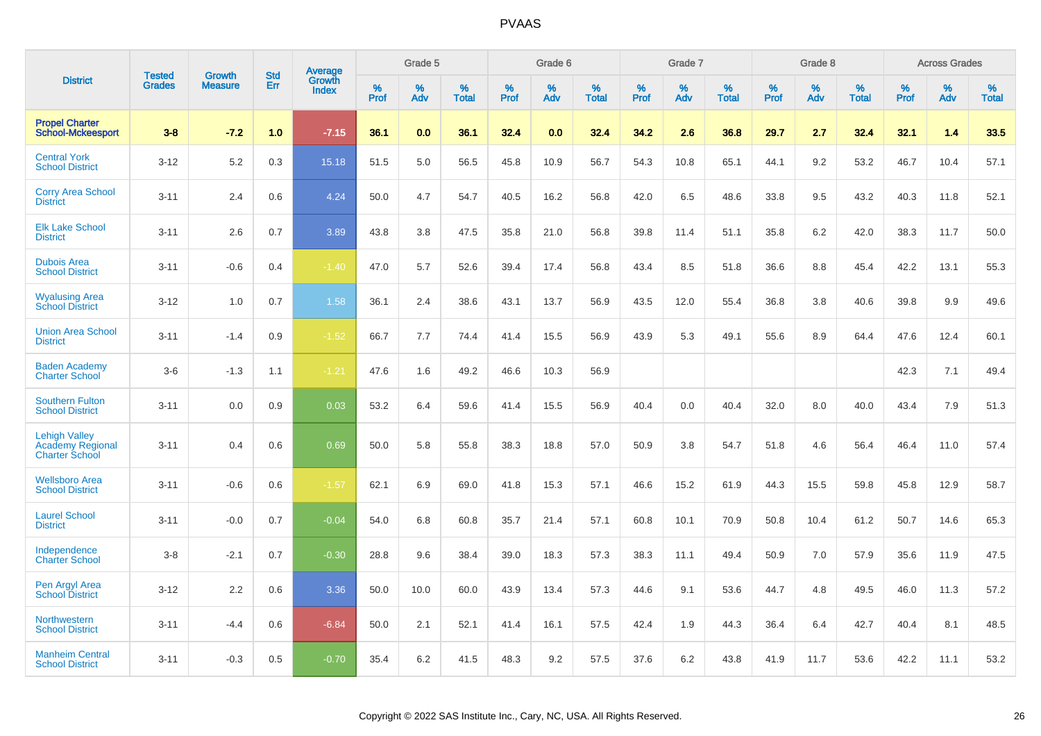|                                                                          | <b>Tested</b> | <b>Growth</b>  | <b>Std</b> | Average                |              | Grade 5     |                      |              | Grade 6     |                      |              | Grade 7     |                   |              | Grade 8     |                   |                     | <b>Across Grades</b> |                      |
|--------------------------------------------------------------------------|---------------|----------------|------------|------------------------|--------------|-------------|----------------------|--------------|-------------|----------------------|--------------|-------------|-------------------|--------------|-------------|-------------------|---------------------|----------------------|----------------------|
| <b>District</b>                                                          | <b>Grades</b> | <b>Measure</b> | Err        | Growth<br><b>Index</b> | $\%$<br>Prof | $\%$<br>Adv | $\%$<br><b>Total</b> | $\%$<br>Prof | $\%$<br>Adv | $\%$<br><b>Total</b> | $\%$<br>Prof | $\%$<br>Adv | %<br><b>Total</b> | $\%$<br>Prof | $\%$<br>Adv | %<br><b>Total</b> | $\%$<br><b>Prof</b> | $\%$<br>Adv          | $\%$<br><b>Total</b> |
| <b>Propel Charter</b><br><b>School-Mckeesport</b>                        | $3 - 8$       | $-7.2$         | 1.0        | $-7.15$                | 36.1         | 0.0         | 36.1                 | 32.4         | 0.0         | 32.4                 | 34.2         | 2.6         | 36.8              | 29.7         | 2.7         | 32.4              | 32.1                | 1.4                  | 33.5                 |
| <b>Central York</b><br><b>School District</b>                            | $3 - 12$      | 5.2            | 0.3        | 15.18                  | 51.5         | 5.0         | 56.5                 | 45.8         | 10.9        | 56.7                 | 54.3         | 10.8        | 65.1              | 44.1         | 9.2         | 53.2              | 46.7                | 10.4                 | 57.1                 |
| <b>Corry Area School</b><br><b>District</b>                              | $3 - 11$      | 2.4            | 0.6        | 4.24                   | 50.0         | 4.7         | 54.7                 | 40.5         | 16.2        | 56.8                 | 42.0         | 6.5         | 48.6              | 33.8         | 9.5         | 43.2              | 40.3                | 11.8                 | 52.1                 |
| <b>Elk Lake School</b><br><b>District</b>                                | $3 - 11$      | 2.6            | 0.7        | 3.89                   | 43.8         | 3.8         | 47.5                 | 35.8         | 21.0        | 56.8                 | 39.8         | 11.4        | 51.1              | 35.8         | 6.2         | 42.0              | 38.3                | 11.7                 | 50.0                 |
| <b>Dubois Area</b><br><b>School District</b>                             | $3 - 11$      | $-0.6$         | 0.4        | $-1.40$                | 47.0         | 5.7         | 52.6                 | 39.4         | 17.4        | 56.8                 | 43.4         | 8.5         | 51.8              | 36.6         | 8.8         | 45.4              | 42.2                | 13.1                 | 55.3                 |
| <b>Wyalusing Area</b><br><b>School District</b>                          | $3 - 12$      | 1.0            | 0.7        | 1.58                   | 36.1         | 2.4         | 38.6                 | 43.1         | 13.7        | 56.9                 | 43.5         | 12.0        | 55.4              | 36.8         | 3.8         | 40.6              | 39.8                | 9.9                  | 49.6                 |
| <b>Union Area School</b><br><b>District</b>                              | $3 - 11$      | $-1.4$         | 0.9        | $-1.52$                | 66.7         | 7.7         | 74.4                 | 41.4         | 15.5        | 56.9                 | 43.9         | 5.3         | 49.1              | 55.6         | 8.9         | 64.4              | 47.6                | 12.4                 | 60.1                 |
| <b>Baden Academy</b><br><b>Charter School</b>                            | $3-6$         | $-1.3$         | 1.1        | $-1.21$                | 47.6         | 1.6         | 49.2                 | 46.6         | 10.3        | 56.9                 |              |             |                   |              |             |                   | 42.3                | 7.1                  | 49.4                 |
| <b>Southern Fulton</b><br><b>School District</b>                         | $3 - 11$      | 0.0            | 0.9        | 0.03                   | 53.2         | 6.4         | 59.6                 | 41.4         | 15.5        | 56.9                 | 40.4         | 0.0         | 40.4              | 32.0         | 8.0         | 40.0              | 43.4                | 7.9                  | 51.3                 |
| <b>Lehigh Valley</b><br><b>Academy Regional</b><br><b>Charter School</b> | $3 - 11$      | 0.4            | 0.6        | 0.69                   | 50.0         | 5.8         | 55.8                 | 38.3         | 18.8        | 57.0                 | 50.9         | 3.8         | 54.7              | 51.8         | 4.6         | 56.4              | 46.4                | 11.0                 | 57.4                 |
| <b>Wellsboro Area</b><br><b>School District</b>                          | $3 - 11$      | $-0.6$         | 0.6        | $-1.57$                | 62.1         | 6.9         | 69.0                 | 41.8         | 15.3        | 57.1                 | 46.6         | 15.2        | 61.9              | 44.3         | 15.5        | 59.8              | 45.8                | 12.9                 | 58.7                 |
| <b>Laurel School</b><br><b>District</b>                                  | $3 - 11$      | $-0.0$         | 0.7        | $-0.04$                | 54.0         | 6.8         | 60.8                 | 35.7         | 21.4        | 57.1                 | 60.8         | 10.1        | 70.9              | 50.8         | 10.4        | 61.2              | 50.7                | 14.6                 | 65.3                 |
| Independence<br><b>Charter School</b>                                    | $3 - 8$       | $-2.1$         | 0.7        | $-0.30$                | 28.8         | 9.6         | 38.4                 | 39.0         | 18.3        | 57.3                 | 38.3         | 11.1        | 49.4              | 50.9         | 7.0         | 57.9              | 35.6                | 11.9                 | 47.5                 |
| Pen Argyl Area<br><b>School District</b>                                 | $3 - 12$      | 2.2            | 0.6        | 3.36                   | 50.0         | 10.0        | 60.0                 | 43.9         | 13.4        | 57.3                 | 44.6         | 9.1         | 53.6              | 44.7         | 4.8         | 49.5              | 46.0                | 11.3                 | 57.2                 |
| Northwestern<br><b>School District</b>                                   | $3 - 11$      | $-4.4$         | 0.6        | $-6.84$                | 50.0         | 2.1         | 52.1                 | 41.4         | 16.1        | 57.5                 | 42.4         | 1.9         | 44.3              | 36.4         | 6.4         | 42.7              | 40.4                | 8.1                  | 48.5                 |
| <b>Manheim Central</b><br><b>School District</b>                         | $3 - 11$      | $-0.3$         | 0.5        | $-0.70$                | 35.4         | 6.2         | 41.5                 | 48.3         | 9.2         | 57.5                 | 37.6         | 6.2         | 43.8              | 41.9         | 11.7        | 53.6              | 42.2                | 11.1                 | 53.2                 |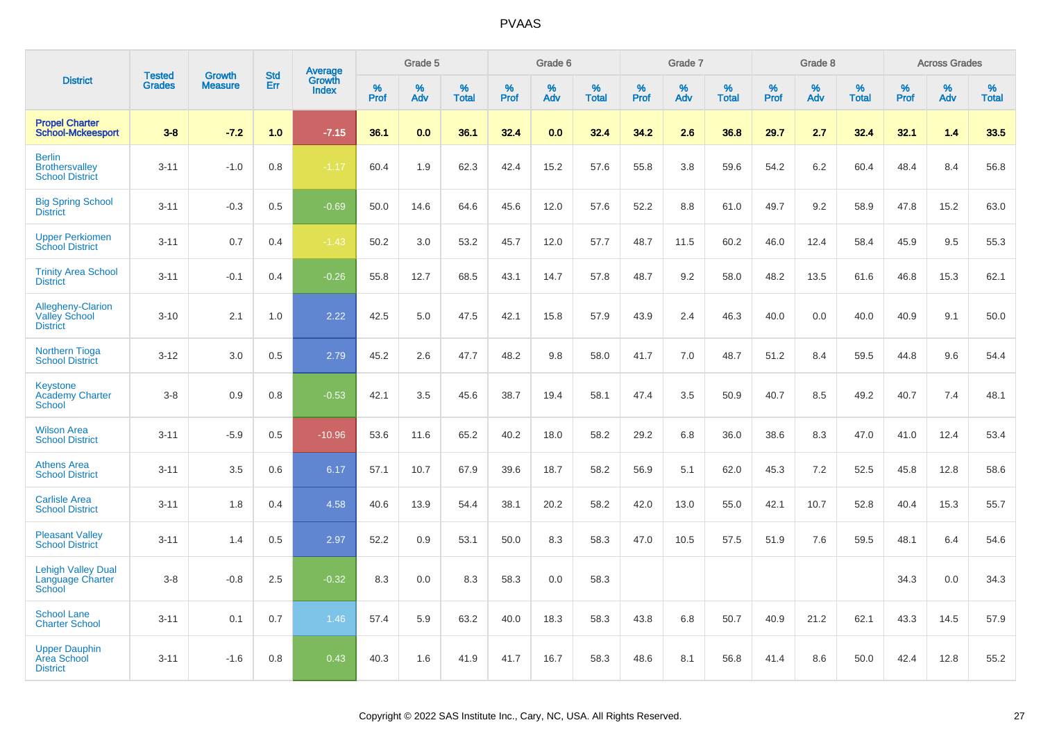|                                                                     | <b>Tested</b> | <b>Growth</b>  | <b>Std</b> | <b>Average</b><br>Growth |           | Grade 5  |                   |           | Grade 6  |                   |           | Grade 7  |                   |           | Grade 8  |                   |           | <b>Across Grades</b> |                   |
|---------------------------------------------------------------------|---------------|----------------|------------|--------------------------|-----------|----------|-------------------|-----------|----------|-------------------|-----------|----------|-------------------|-----------|----------|-------------------|-----------|----------------------|-------------------|
| <b>District</b>                                                     | <b>Grades</b> | <b>Measure</b> | Err        | <b>Index</b>             | %<br>Prof | %<br>Adv | %<br><b>Total</b> | %<br>Prof | %<br>Adv | %<br><b>Total</b> | %<br>Prof | %<br>Adv | %<br><b>Total</b> | %<br>Prof | %<br>Adv | %<br><b>Total</b> | %<br>Prof | %<br>Adv             | %<br><b>Total</b> |
| <b>Propel Charter</b><br><b>School-Mckeesport</b>                   | $3 - 8$       | $-7.2$         | 1.0        | $-7.15$                  | 36.1      | 0.0      | 36.1              | 32.4      | 0.0      | 32.4              | 34.2      | 2.6      | 36.8              | 29.7      | 2.7      | 32.4              | 32.1      | 1.4                  | 33.5              |
| <b>Berlin</b><br><b>Brothersvalley</b><br><b>School District</b>    | $3 - 11$      | $-1.0$         | 0.8        | $-1.17$                  | 60.4      | 1.9      | 62.3              | 42.4      | 15.2     | 57.6              | 55.8      | 3.8      | 59.6              | 54.2      | 6.2      | 60.4              | 48.4      | 8.4                  | 56.8              |
| <b>Big Spring School</b><br><b>District</b>                         | $3 - 11$      | $-0.3$         | 0.5        | $-0.69$                  | 50.0      | 14.6     | 64.6              | 45.6      | 12.0     | 57.6              | 52.2      | 8.8      | 61.0              | 49.7      | 9.2      | 58.9              | 47.8      | 15.2                 | 63.0              |
| <b>Upper Perkiomen</b><br><b>School District</b>                    | $3 - 11$      | 0.7            | 0.4        | $-1.43$                  | 50.2      | 3.0      | 53.2              | 45.7      | 12.0     | 57.7              | 48.7      | 11.5     | 60.2              | 46.0      | 12.4     | 58.4              | 45.9      | 9.5                  | 55.3              |
| <b>Trinity Area School</b><br><b>District</b>                       | $3 - 11$      | $-0.1$         | 0.4        | $-0.26$                  | 55.8      | 12.7     | 68.5              | 43.1      | 14.7     | 57.8              | 48.7      | 9.2      | 58.0              | 48.2      | 13.5     | 61.6              | 46.8      | 15.3                 | 62.1              |
| <b>Allegheny-Clarion</b><br><b>Valley School</b><br><b>District</b> | $3 - 10$      | 2.1            | 1.0        | 2.22                     | 42.5      | 5.0      | 47.5              | 42.1      | 15.8     | 57.9              | 43.9      | 2.4      | 46.3              | 40.0      | 0.0      | 40.0              | 40.9      | 9.1                  | 50.0              |
| Northern Tioga<br><b>School District</b>                            | $3 - 12$      | 3.0            | 0.5        | 2.79                     | 45.2      | 2.6      | 47.7              | 48.2      | 9.8      | 58.0              | 41.7      | 7.0      | 48.7              | 51.2      | 8.4      | 59.5              | 44.8      | 9.6                  | 54.4              |
| <b>Keystone</b><br><b>Academy Charter</b><br><b>School</b>          | $3 - 8$       | 0.9            | 0.8        | $-0.53$                  | 42.1      | 3.5      | 45.6              | 38.7      | 19.4     | 58.1              | 47.4      | 3.5      | 50.9              | 40.7      | 8.5      | 49.2              | 40.7      | 7.4                  | 48.1              |
| <b>Wilson Area</b><br><b>School District</b>                        | $3 - 11$      | $-5.9$         | 0.5        | $-10.96$                 | 53.6      | 11.6     | 65.2              | 40.2      | 18.0     | 58.2              | 29.2      | 6.8      | 36.0              | 38.6      | 8.3      | 47.0              | 41.0      | 12.4                 | 53.4              |
| <b>Athens Area</b><br><b>School District</b>                        | $3 - 11$      | 3.5            | 0.6        | 6.17                     | 57.1      | 10.7     | 67.9              | 39.6      | 18.7     | 58.2              | 56.9      | 5.1      | 62.0              | 45.3      | 7.2      | 52.5              | 45.8      | 12.8                 | 58.6              |
| <b>Carlisle Area</b><br><b>School District</b>                      | $3 - 11$      | 1.8            | 0.4        | 4.58                     | 40.6      | 13.9     | 54.4              | 38.1      | 20.2     | 58.2              | 42.0      | 13.0     | 55.0              | 42.1      | 10.7     | 52.8              | 40.4      | 15.3                 | 55.7              |
| <b>Pleasant Valley</b><br><b>School District</b>                    | $3 - 11$      | 1.4            | 0.5        | 2.97                     | 52.2      | $0.9\,$  | 53.1              | 50.0      | 8.3      | 58.3              | 47.0      | 10.5     | 57.5              | 51.9      | 7.6      | 59.5              | 48.1      | 6.4                  | 54.6              |
| <b>Lehigh Valley Dual</b><br><b>Language Charter</b><br>School      | $3 - 8$       | $-0.8$         | 2.5        | $-0.32$                  | 8.3       | 0.0      | 8.3               | 58.3      | 0.0      | 58.3              |           |          |                   |           |          |                   | 34.3      | 0.0                  | 34.3              |
| <b>School Lane</b><br><b>Charter School</b>                         | $3 - 11$      | 0.1            | 0.7        | 1.46                     | 57.4      | 5.9      | 63.2              | 40.0      | 18.3     | 58.3              | 43.8      | 6.8      | 50.7              | 40.9      | 21.2     | 62.1              | 43.3      | 14.5                 | 57.9              |
| <b>Upper Dauphin</b><br>Area School<br><b>District</b>              | $3 - 11$      | $-1.6$         | 0.8        | 0.43                     | 40.3      | 1.6      | 41.9              | 41.7      | 16.7     | 58.3              | 48.6      | 8.1      | 56.8              | 41.4      | 8.6      | 50.0              | 42.4      | 12.8                 | 55.2              |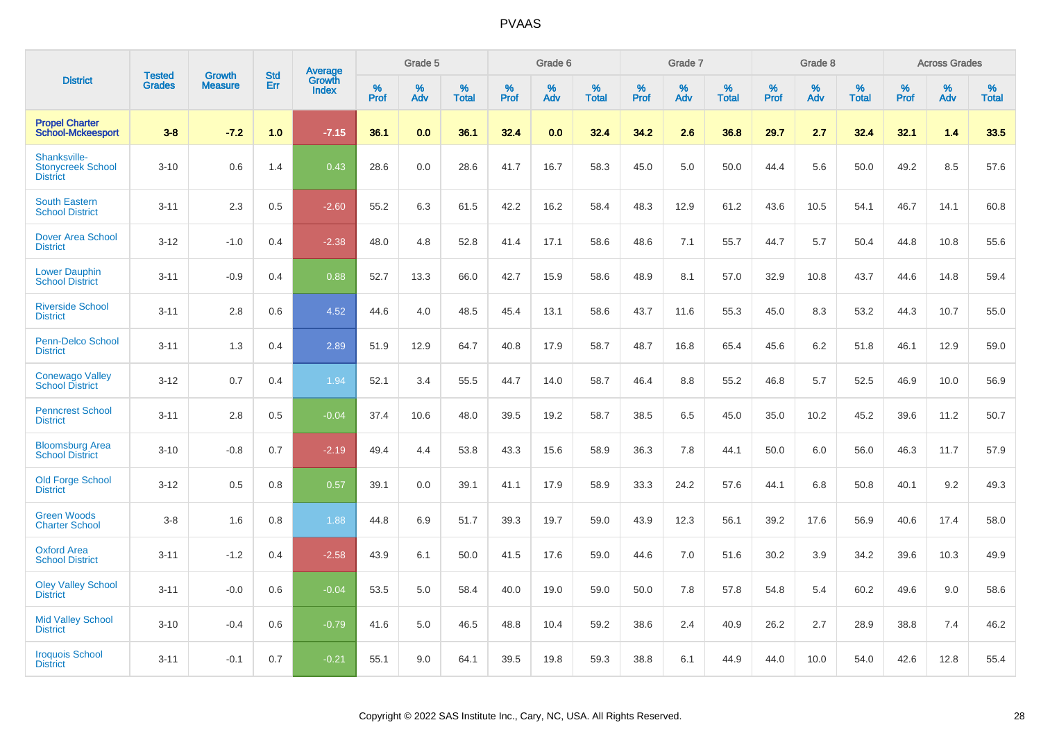| <b>District</b>                                             | <b>Tested</b> | <b>Growth</b>  | <b>Std</b> |                                   |                     | Grade 5  |                      |              | Grade 6  |                      |              | Grade 7  |                      |              | Grade 8  |                      |                     | <b>Across Grades</b> |                      |
|-------------------------------------------------------------|---------------|----------------|------------|-----------------------------------|---------------------|----------|----------------------|--------------|----------|----------------------|--------------|----------|----------------------|--------------|----------|----------------------|---------------------|----------------------|----------------------|
|                                                             | <b>Grades</b> | <b>Measure</b> | Err        | <b>Average</b><br>Growth<br>Index | $\%$<br><b>Prof</b> | %<br>Adv | $\%$<br><b>Total</b> | $\%$<br>Prof | %<br>Adv | $\%$<br><b>Total</b> | $\%$<br>Prof | %<br>Adv | $\%$<br><b>Total</b> | $\%$<br>Prof | %<br>Adv | $\%$<br><b>Total</b> | $\%$<br><b>Prof</b> | $\%$<br>Adv          | $\%$<br><b>Total</b> |
| <b>Propel Charter</b><br><b>School-Mckeesport</b>           | $3 - 8$       | $-7.2$         | 1.0        | $-7.15$                           | 36.1                | 0.0      | 36.1                 | 32.4         | 0.0      | 32.4                 | 34.2         | 2.6      | 36.8                 | 29.7         | 2.7      | 32.4                 | 32.1                | 1.4                  | 33.5                 |
| Shanksville-<br><b>Stonycreek School</b><br><b>District</b> | $3 - 10$      | 0.6            | 1.4        | 0.43                              | 28.6                | 0.0      | 28.6                 | 41.7         | 16.7     | 58.3                 | 45.0         | 5.0      | 50.0                 | 44.4         | 5.6      | 50.0                 | 49.2                | 8.5                  | 57.6                 |
| <b>South Eastern</b><br><b>School District</b>              | $3 - 11$      | 2.3            | 0.5        | $-2.60$                           | 55.2                | 6.3      | 61.5                 | 42.2         | 16.2     | 58.4                 | 48.3         | 12.9     | 61.2                 | 43.6         | 10.5     | 54.1                 | 46.7                | 14.1                 | 60.8                 |
| <b>Dover Area School</b><br><b>District</b>                 | $3 - 12$      | $-1.0$         | 0.4        | $-2.38$                           | 48.0                | 4.8      | 52.8                 | 41.4         | 17.1     | 58.6                 | 48.6         | 7.1      | 55.7                 | 44.7         | 5.7      | 50.4                 | 44.8                | 10.8                 | 55.6                 |
| <b>Lower Dauphin</b><br><b>School District</b>              | $3 - 11$      | $-0.9$         | 0.4        | 0.88                              | 52.7                | 13.3     | 66.0                 | 42.7         | 15.9     | 58.6                 | 48.9         | 8.1      | 57.0                 | 32.9         | 10.8     | 43.7                 | 44.6                | 14.8                 | 59.4                 |
| <b>Riverside School</b><br><b>District</b>                  | $3 - 11$      | 2.8            | 0.6        | 4.52                              | 44.6                | 4.0      | 48.5                 | 45.4         | 13.1     | 58.6                 | 43.7         | 11.6     | 55.3                 | 45.0         | 8.3      | 53.2                 | 44.3                | 10.7                 | 55.0                 |
| <b>Penn-Delco School</b><br><b>District</b>                 | $3 - 11$      | 1.3            | 0.4        | 2.89                              | 51.9                | 12.9     | 64.7                 | 40.8         | 17.9     | 58.7                 | 48.7         | 16.8     | 65.4                 | 45.6         | 6.2      | 51.8                 | 46.1                | 12.9                 | 59.0                 |
| <b>Conewago Valley</b><br><b>School District</b>            | $3 - 12$      | 0.7            | 0.4        | 1.94                              | 52.1                | 3.4      | 55.5                 | 44.7         | 14.0     | 58.7                 | 46.4         | 8.8      | 55.2                 | 46.8         | 5.7      | 52.5                 | 46.9                | 10.0                 | 56.9                 |
| <b>Penncrest School</b><br><b>District</b>                  | $3 - 11$      | 2.8            | 0.5        | $-0.04$                           | 37.4                | 10.6     | 48.0                 | 39.5         | 19.2     | 58.7                 | 38.5         | 6.5      | 45.0                 | 35.0         | 10.2     | 45.2                 | 39.6                | 11.2                 | 50.7                 |
| <b>Bloomsburg Area</b><br><b>School District</b>            | $3 - 10$      | $-0.8$         | 0.7        | $-2.19$                           | 49.4                | 4.4      | 53.8                 | 43.3         | 15.6     | 58.9                 | 36.3         | 7.8      | 44.1                 | 50.0         | 6.0      | 56.0                 | 46.3                | 11.7                 | 57.9                 |
| <b>Old Forge School</b><br><b>District</b>                  | $3 - 12$      | 0.5            | 0.8        | 0.57                              | 39.1                | 0.0      | 39.1                 | 41.1         | 17.9     | 58.9                 | 33.3         | 24.2     | 57.6                 | 44.1         | 6.8      | 50.8                 | 40.1                | 9.2                  | 49.3                 |
| <b>Green Woods</b><br><b>Charter School</b>                 | $3 - 8$       | 1.6            | 0.8        | 1.88                              | 44.8                | 6.9      | 51.7                 | 39.3         | 19.7     | 59.0                 | 43.9         | 12.3     | 56.1                 | 39.2         | 17.6     | 56.9                 | 40.6                | 17.4                 | 58.0                 |
| <b>Oxford Area</b><br><b>School District</b>                | $3 - 11$      | $-1.2$         | 0.4        | $-2.58$                           | 43.9                | 6.1      | 50.0                 | 41.5         | 17.6     | 59.0                 | 44.6         | 7.0      | 51.6                 | 30.2         | 3.9      | 34.2                 | 39.6                | 10.3                 | 49.9                 |
| <b>Oley Valley School</b><br><b>District</b>                | $3 - 11$      | $-0.0$         | 0.6        | $-0.04$                           | 53.5                | 5.0      | 58.4                 | 40.0         | 19.0     | 59.0                 | 50.0         | 7.8      | 57.8                 | 54.8         | 5.4      | 60.2                 | 49.6                | 9.0                  | 58.6                 |
| <b>Mid Valley School</b><br><b>District</b>                 | $3 - 10$      | $-0.4$         | 0.6        | $-0.79$                           | 41.6                | 5.0      | 46.5                 | 48.8         | 10.4     | 59.2                 | 38.6         | 2.4      | 40.9                 | 26.2         | 2.7      | 28.9                 | 38.8                | 7.4                  | 46.2                 |
| <b>Iroquois School</b><br><b>District</b>                   | $3 - 11$      | $-0.1$         | 0.7        | $-0.21$                           | 55.1                | 9.0      | 64.1                 | 39.5         | 19.8     | 59.3                 | 38.8         | 6.1      | 44.9                 | 44.0         | 10.0     | 54.0                 | 42.6                | 12.8                 | 55.4                 |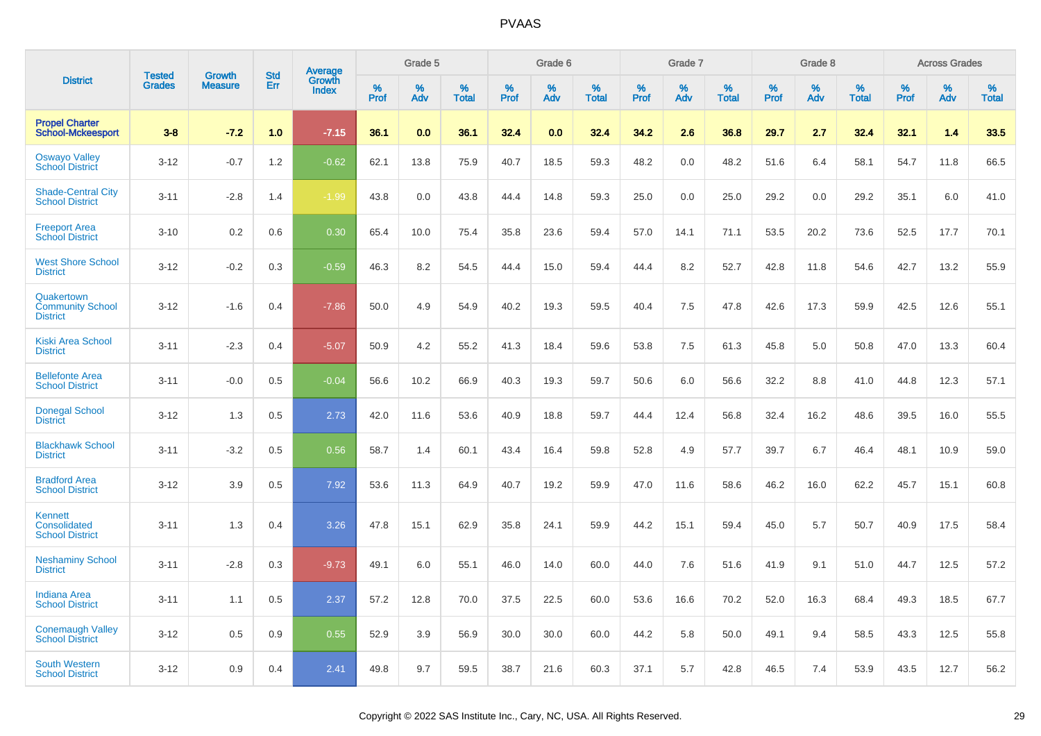|                                                                 | <b>Tested</b> | <b>Growth</b>  | <b>Std</b> | Average         |              | Grade 5  |                   |              | Grade 6  |                   |              | Grade 7  |                   |              | Grade 8  |                   |              | <b>Across Grades</b> |                   |
|-----------------------------------------------------------------|---------------|----------------|------------|-----------------|--------------|----------|-------------------|--------------|----------|-------------------|--------------|----------|-------------------|--------------|----------|-------------------|--------------|----------------------|-------------------|
| <b>District</b>                                                 | <b>Grades</b> | <b>Measure</b> | Err        | Growth<br>Index | $\%$<br>Prof | %<br>Adv | %<br><b>Total</b> | $\%$<br>Prof | %<br>Adv | %<br><b>Total</b> | $\%$<br>Prof | %<br>Adv | %<br><b>Total</b> | $\%$<br>Prof | %<br>Adv | %<br><b>Total</b> | $\%$<br>Prof | $\%$<br>Adv          | %<br><b>Total</b> |
| <b>Propel Charter</b><br><b>School-Mckeesport</b>               | $3 - 8$       | $-7.2$         | 1.0        | $-7.15$         | 36.1         | 0.0      | 36.1              | 32.4         | 0.0      | 32.4              | 34.2         | 2.6      | 36.8              | 29.7         | 2.7      | 32.4              | 32.1         | 1.4                  | 33.5              |
| <b>Oswayo Valley</b><br><b>School District</b>                  | $3 - 12$      | $-0.7$         | 1.2        | $-0.62$         | 62.1         | 13.8     | 75.9              | 40.7         | 18.5     | 59.3              | 48.2         | 0.0      | 48.2              | 51.6         | 6.4      | 58.1              | 54.7         | 11.8                 | 66.5              |
| <b>Shade-Central City</b><br><b>School District</b>             | $3 - 11$      | $-2.8$         | 1.4        | $-1.99$         | 43.8         | 0.0      | 43.8              | 44.4         | 14.8     | 59.3              | 25.0         | 0.0      | 25.0              | 29.2         | 0.0      | 29.2              | 35.1         | 6.0                  | 41.0              |
| <b>Freeport Area</b><br><b>School District</b>                  | $3 - 10$      | 0.2            | 0.6        | 0.30            | 65.4         | 10.0     | 75.4              | 35.8         | 23.6     | 59.4              | 57.0         | 14.1     | 71.1              | 53.5         | 20.2     | 73.6              | 52.5         | 17.7                 | 70.1              |
| <b>West Shore School</b><br><b>District</b>                     | $3 - 12$      | $-0.2$         | 0.3        | $-0.59$         | 46.3         | 8.2      | 54.5              | 44.4         | 15.0     | 59.4              | 44.4         | 8.2      | 52.7              | 42.8         | 11.8     | 54.6              | 42.7         | 13.2                 | 55.9              |
| Quakertown<br><b>Community School</b><br><b>District</b>        | $3 - 12$      | $-1.6$         | 0.4        | $-7.86$         | 50.0         | 4.9      | 54.9              | 40.2         | 19.3     | 59.5              | 40.4         | 7.5      | 47.8              | 42.6         | 17.3     | 59.9              | 42.5         | 12.6                 | 55.1              |
| <b>Kiski Area School</b><br><b>District</b>                     | $3 - 11$      | $-2.3$         | 0.4        | $-5.07$         | 50.9         | 4.2      | 55.2              | 41.3         | 18.4     | 59.6              | 53.8         | 7.5      | 61.3              | 45.8         | 5.0      | 50.8              | 47.0         | 13.3                 | 60.4              |
| <b>Bellefonte Area</b><br><b>School District</b>                | $3 - 11$      | $-0.0$         | 0.5        | $-0.04$         | 56.6         | 10.2     | 66.9              | 40.3         | 19.3     | 59.7              | 50.6         | 6.0      | 56.6              | 32.2         | 8.8      | 41.0              | 44.8         | 12.3                 | 57.1              |
| <b>Donegal School</b><br><b>District</b>                        | $3 - 12$      | 1.3            | 0.5        | 2.73            | 42.0         | 11.6     | 53.6              | 40.9         | 18.8     | 59.7              | 44.4         | 12.4     | 56.8              | 32.4         | 16.2     | 48.6              | 39.5         | 16.0                 | 55.5              |
| <b>Blackhawk School</b><br><b>District</b>                      | $3 - 11$      | $-3.2$         | 0.5        | 0.56            | 58.7         | 1.4      | 60.1              | 43.4         | 16.4     | 59.8              | 52.8         | 4.9      | 57.7              | 39.7         | 6.7      | 46.4              | 48.1         | 10.9                 | 59.0              |
| <b>Bradford Area</b><br><b>School District</b>                  | $3 - 12$      | 3.9            | 0.5        | 7.92            | 53.6         | 11.3     | 64.9              | 40.7         | 19.2     | 59.9              | 47.0         | 11.6     | 58.6              | 46.2         | 16.0     | 62.2              | 45.7         | 15.1                 | 60.8              |
| <b>Kennett</b><br><b>Consolidated</b><br><b>School District</b> | $3 - 11$      | 1.3            | 0.4        | 3.26            | 47.8         | 15.1     | 62.9              | 35.8         | 24.1     | 59.9              | 44.2         | 15.1     | 59.4              | 45.0         | 5.7      | 50.7              | 40.9         | 17.5                 | 58.4              |
| <b>Neshaminy School</b><br><b>District</b>                      | $3 - 11$      | $-2.8$         | 0.3        | $-9.73$         | 49.1         | 6.0      | 55.1              | 46.0         | 14.0     | 60.0              | 44.0         | 7.6      | 51.6              | 41.9         | 9.1      | 51.0              | 44.7         | 12.5                 | 57.2              |
| <b>Indiana Area</b><br><b>School District</b>                   | $3 - 11$      | 1.1            | 0.5        | 2.37            | 57.2         | 12.8     | 70.0              | 37.5         | 22.5     | 60.0              | 53.6         | 16.6     | 70.2              | 52.0         | 16.3     | 68.4              | 49.3         | 18.5                 | 67.7              |
| <b>Conemaugh Valley</b><br><b>School District</b>               | $3 - 12$      | 0.5            | 0.9        | 0.55            | 52.9         | 3.9      | 56.9              | 30.0         | 30.0     | 60.0              | 44.2         | 5.8      | 50.0              | 49.1         | 9.4      | 58.5              | 43.3         | 12.5                 | 55.8              |
| South Western<br><b>School District</b>                         | $3 - 12$      | 0.9            | 0.4        | 2.41            | 49.8         | 9.7      | 59.5              | 38.7         | 21.6     | 60.3              | 37.1         | 5.7      | 42.8              | 46.5         | 7.4      | 53.9              | 43.5         | 12.7                 | 56.2              |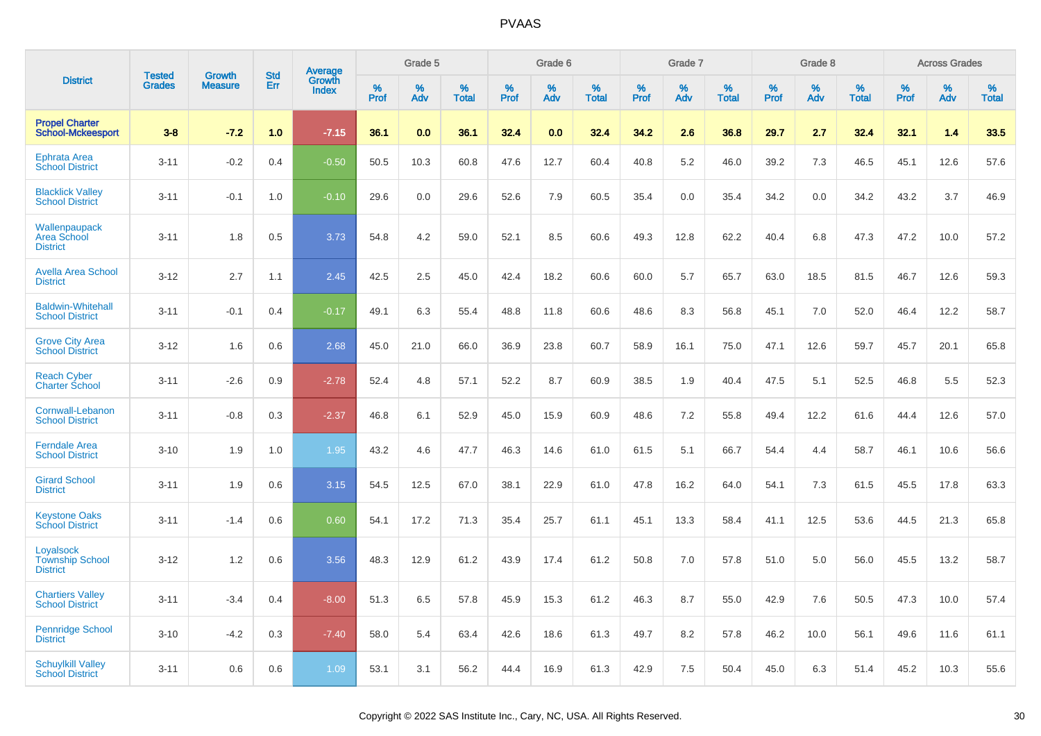| <b>District</b>                                        | <b>Tested</b> | <b>Growth</b>  | <b>Std</b> | Average                |              | Grade 5  |                   |              | Grade 6  |                   |              | Grade 7  |                   |              | Grade 8  |                   |              | <b>Across Grades</b> |                   |
|--------------------------------------------------------|---------------|----------------|------------|------------------------|--------------|----------|-------------------|--------------|----------|-------------------|--------------|----------|-------------------|--------------|----------|-------------------|--------------|----------------------|-------------------|
|                                                        | <b>Grades</b> | <b>Measure</b> | Err        | Growth<br><b>Index</b> | $\%$<br>Prof | %<br>Adv | %<br><b>Total</b> | $\%$<br>Prof | %<br>Adv | %<br><b>Total</b> | $\%$<br>Prof | %<br>Adv | %<br><b>Total</b> | $\%$<br>Prof | %<br>Adv | %<br><b>Total</b> | $\%$<br>Prof | %<br>Adv             | %<br><b>Total</b> |
| <b>Propel Charter</b><br><b>School-Mckeesport</b>      | $3 - 8$       | $-7.2$         | 1.0        | $-7.15$                | 36.1         | 0.0      | 36.1              | 32.4         | 0.0      | 32.4              | 34.2         | 2.6      | 36.8              | 29.7         | 2.7      | 32.4              | 32.1         | 1.4                  | 33.5              |
| <b>Ephrata Area</b><br><b>School District</b>          | $3 - 11$      | $-0.2$         | 0.4        | $-0.50$                | 50.5         | 10.3     | 60.8              | 47.6         | 12.7     | 60.4              | 40.8         | 5.2      | 46.0              | 39.2         | 7.3      | 46.5              | 45.1         | 12.6                 | 57.6              |
| <b>Blacklick Valley</b><br><b>School District</b>      | $3 - 11$      | $-0.1$         | 1.0        | $-0.10$                | 29.6         | 0.0      | 29.6              | 52.6         | 7.9      | 60.5              | 35.4         | 0.0      | 35.4              | 34.2         | 0.0      | 34.2              | 43.2         | 3.7                  | 46.9              |
| Wallenpaupack<br><b>Area School</b><br><b>District</b> | $3 - 11$      | 1.8            | 0.5        | 3.73                   | 54.8         | 4.2      | 59.0              | 52.1         | 8.5      | 60.6              | 49.3         | 12.8     | 62.2              | 40.4         | 6.8      | 47.3              | 47.2         | 10.0                 | 57.2              |
| <b>Avella Area School</b><br><b>District</b>           | $3 - 12$      | 2.7            | 1.1        | 2.45                   | 42.5         | 2.5      | 45.0              | 42.4         | 18.2     | 60.6              | 60.0         | 5.7      | 65.7              | 63.0         | 18.5     | 81.5              | 46.7         | 12.6                 | 59.3              |
| <b>Baldwin-Whitehall</b><br><b>School District</b>     | $3 - 11$      | $-0.1$         | 0.4        | $-0.17$                | 49.1         | 6.3      | 55.4              | 48.8         | 11.8     | 60.6              | 48.6         | 8.3      | 56.8              | 45.1         | 7.0      | 52.0              | 46.4         | 12.2                 | 58.7              |
| <b>Grove City Area</b><br><b>School District</b>       | $3 - 12$      | 1.6            | 0.6        | 2.68                   | 45.0         | 21.0     | 66.0              | 36.9         | 23.8     | 60.7              | 58.9         | 16.1     | 75.0              | 47.1         | 12.6     | 59.7              | 45.7         | 20.1                 | 65.8              |
| <b>Reach Cyber</b><br><b>Charter School</b>            | $3 - 11$      | $-2.6$         | 0.9        | $-2.78$                | 52.4         | 4.8      | 57.1              | 52.2         | 8.7      | 60.9              | 38.5         | 1.9      | 40.4              | 47.5         | 5.1      | 52.5              | 46.8         | 5.5                  | 52.3              |
| Cornwall-Lebanon<br><b>School District</b>             | $3 - 11$      | $-0.8$         | 0.3        | $-2.37$                | 46.8         | 6.1      | 52.9              | 45.0         | 15.9     | 60.9              | 48.6         | 7.2      | 55.8              | 49.4         | 12.2     | 61.6              | 44.4         | 12.6                 | 57.0              |
| <b>Ferndale Area</b><br><b>School District</b>         | $3 - 10$      | 1.9            | 1.0        | 1.95                   | 43.2         | 4.6      | 47.7              | 46.3         | 14.6     | 61.0              | 61.5         | 5.1      | 66.7              | 54.4         | 4.4      | 58.7              | 46.1         | 10.6                 | 56.6              |
| <b>Girard School</b><br><b>District</b>                | $3 - 11$      | 1.9            | 0.6        | 3.15                   | 54.5         | 12.5     | 67.0              | 38.1         | 22.9     | 61.0              | 47.8         | 16.2     | 64.0              | 54.1         | 7.3      | 61.5              | 45.5         | 17.8                 | 63.3              |
| <b>Keystone Oaks</b><br><b>School District</b>         | $3 - 11$      | $-1.4$         | 0.6        | 0.60                   | 54.1         | 17.2     | 71.3              | 35.4         | 25.7     | 61.1              | 45.1         | 13.3     | 58.4              | 41.1         | 12.5     | 53.6              | 44.5         | 21.3                 | 65.8              |
| Loyalsock<br><b>Township School</b><br><b>District</b> | $3 - 12$      | 1.2            | 0.6        | 3.56                   | 48.3         | 12.9     | 61.2              | 43.9         | 17.4     | 61.2              | 50.8         | 7.0      | 57.8              | 51.0         | 5.0      | 56.0              | 45.5         | 13.2                 | 58.7              |
| <b>Chartiers Valley</b><br><b>School District</b>      | $3 - 11$      | $-3.4$         | 0.4        | $-8.00$                | 51.3         | 6.5      | 57.8              | 45.9         | 15.3     | 61.2              | 46.3         | 8.7      | 55.0              | 42.9         | 7.6      | 50.5              | 47.3         | 10.0                 | 57.4              |
| <b>Pennridge School</b><br><b>District</b>             | $3 - 10$      | $-4.2$         | 0.3        | $-7.40$                | 58.0         | 5.4      | 63.4              | 42.6         | 18.6     | 61.3              | 49.7         | 8.2      | 57.8              | 46.2         | 10.0     | 56.1              | 49.6         | 11.6                 | 61.1              |
| <b>Schuylkill Valley</b><br><b>School District</b>     | $3 - 11$      | 0.6            | 0.6        | 1.09                   | 53.1         | 3.1      | 56.2              | 44.4         | 16.9     | 61.3              | 42.9         | 7.5      | 50.4              | 45.0         | 6.3      | 51.4              | 45.2         | 10.3                 | 55.6              |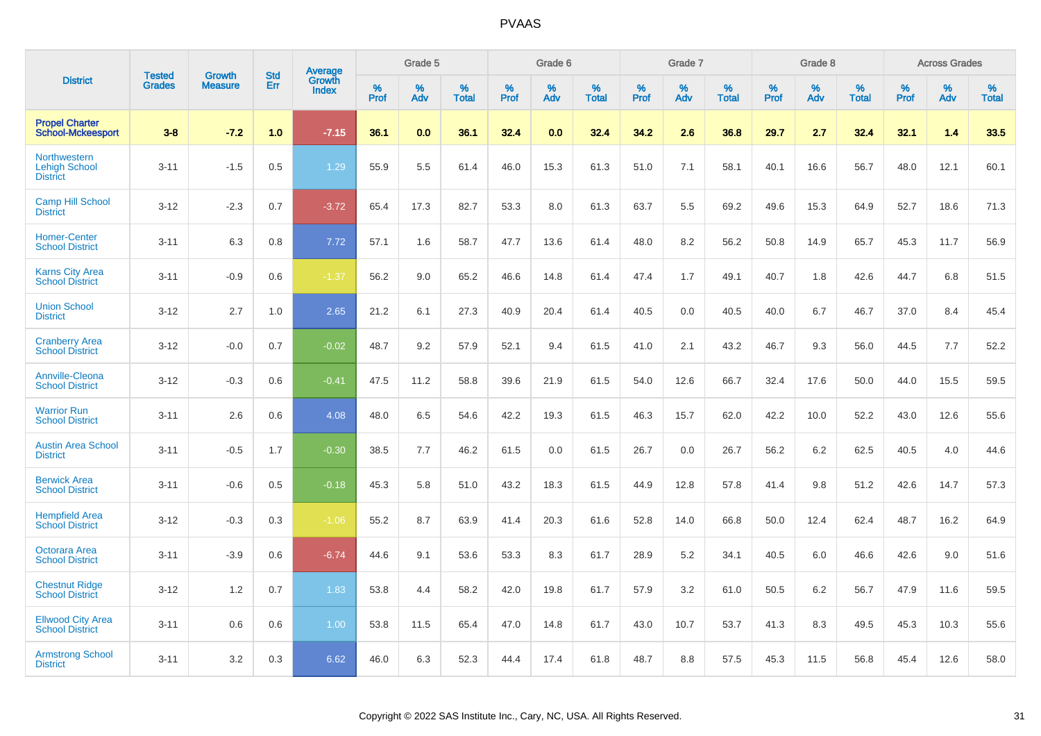| <b>Tested</b><br><b>District</b>                        |               | <b>Growth</b>  | <b>Std</b> |                                   |                     | Grade 5  |                      |              | Grade 6  |                      |              | Grade 7  |                      |              | Grade 8  |                      |                     | <b>Across Grades</b> |                      |
|---------------------------------------------------------|---------------|----------------|------------|-----------------------------------|---------------------|----------|----------------------|--------------|----------|----------------------|--------------|----------|----------------------|--------------|----------|----------------------|---------------------|----------------------|----------------------|
|                                                         | <b>Grades</b> | <b>Measure</b> | Err        | <b>Average</b><br>Growth<br>Index | $\%$<br><b>Prof</b> | %<br>Adv | $\%$<br><b>Total</b> | $\%$<br>Prof | %<br>Adv | $\%$<br><b>Total</b> | $\%$<br>Prof | %<br>Adv | $\%$<br><b>Total</b> | $\%$<br>Prof | %<br>Adv | $\%$<br><b>Total</b> | $\%$<br><b>Prof</b> | $\%$<br>Adv          | $\%$<br><b>Total</b> |
| <b>Propel Charter</b><br><b>School-Mckeesport</b>       | $3 - 8$       | $-7.2$         | 1.0        | $-7.15$                           | 36.1                | 0.0      | 36.1                 | 32.4         | 0.0      | 32.4                 | 34.2         | 2.6      | 36.8                 | 29.7         | 2.7      | 32.4                 | 32.1                | 1.4                  | 33.5                 |
| Northwestern<br><b>Lehigh School</b><br><b>District</b> | $3 - 11$      | $-1.5$         | 0.5        | 1.29                              | 55.9                | 5.5      | 61.4                 | 46.0         | 15.3     | 61.3                 | 51.0         | 7.1      | 58.1                 | 40.1         | 16.6     | 56.7                 | 48.0                | 12.1                 | 60.1                 |
| <b>Camp Hill School</b><br><b>District</b>              | $3 - 12$      | $-2.3$         | 0.7        | $-3.72$                           | 65.4                | 17.3     | 82.7                 | 53.3         | 8.0      | 61.3                 | 63.7         | 5.5      | 69.2                 | 49.6         | 15.3     | 64.9                 | 52.7                | 18.6                 | 71.3                 |
| <b>Homer-Center</b><br><b>School District</b>           | $3 - 11$      | 6.3            | 0.8        | 7.72                              | 57.1                | 1.6      | 58.7                 | 47.7         | 13.6     | 61.4                 | 48.0         | 8.2      | 56.2                 | 50.8         | 14.9     | 65.7                 | 45.3                | 11.7                 | 56.9                 |
| <b>Karns City Area</b><br><b>School District</b>        | $3 - 11$      | $-0.9$         | 0.6        | $-1.37$                           | 56.2                | 9.0      | 65.2                 | 46.6         | 14.8     | 61.4                 | 47.4         | 1.7      | 49.1                 | 40.7         | 1.8      | 42.6                 | 44.7                | 6.8                  | 51.5                 |
| <b>Union School</b><br><b>District</b>                  | $3 - 12$      | 2.7            | 1.0        | 2.65                              | 21.2                | 6.1      | 27.3                 | 40.9         | 20.4     | 61.4                 | 40.5         | 0.0      | 40.5                 | 40.0         | 6.7      | 46.7                 | 37.0                | 8.4                  | 45.4                 |
| <b>Cranberry Area</b><br><b>School District</b>         | $3 - 12$      | $-0.0$         | 0.7        | $-0.02$                           | 48.7                | 9.2      | 57.9                 | 52.1         | 9.4      | 61.5                 | 41.0         | 2.1      | 43.2                 | 46.7         | 9.3      | 56.0                 | 44.5                | 7.7                  | 52.2                 |
| <b>Annville-Cleona</b><br><b>School District</b>        | $3 - 12$      | $-0.3$         | 0.6        | $-0.41$                           | 47.5                | 11.2     | 58.8                 | 39.6         | 21.9     | 61.5                 | 54.0         | 12.6     | 66.7                 | 32.4         | 17.6     | 50.0                 | 44.0                | 15.5                 | 59.5                 |
| <b>Warrior Run</b><br><b>School District</b>            | $3 - 11$      | 2.6            | 0.6        | 4.08                              | 48.0                | 6.5      | 54.6                 | 42.2         | 19.3     | 61.5                 | 46.3         | 15.7     | 62.0                 | 42.2         | 10.0     | 52.2                 | 43.0                | 12.6                 | 55.6                 |
| <b>Austin Area School</b><br><b>District</b>            | $3 - 11$      | $-0.5$         | 1.7        | $-0.30$                           | 38.5                | 7.7      | 46.2                 | 61.5         | 0.0      | 61.5                 | 26.7         | 0.0      | 26.7                 | 56.2         | 6.2      | 62.5                 | 40.5                | 4.0                  | 44.6                 |
| <b>Berwick Area</b><br><b>School District</b>           | $3 - 11$      | $-0.6$         | 0.5        | $-0.18$                           | 45.3                | 5.8      | 51.0                 | 43.2         | 18.3     | 61.5                 | 44.9         | 12.8     | 57.8                 | 41.4         | 9.8      | 51.2                 | 42.6                | 14.7                 | 57.3                 |
| <b>Hempfield Area</b><br><b>School District</b>         | $3 - 12$      | $-0.3$         | 0.3        | $-1.06$                           | 55.2                | 8.7      | 63.9                 | 41.4         | 20.3     | 61.6                 | 52.8         | 14.0     | 66.8                 | 50.0         | 12.4     | 62.4                 | 48.7                | 16.2                 | 64.9                 |
| Octorara Area<br><b>School District</b>                 | $3 - 11$      | $-3.9$         | 0.6        | $-6.74$                           | 44.6                | 9.1      | 53.6                 | 53.3         | 8.3      | 61.7                 | 28.9         | 5.2      | 34.1                 | 40.5         | 6.0      | 46.6                 | 42.6                | 9.0                  | 51.6                 |
| <b>Chestnut Ridge</b><br><b>School District</b>         | $3 - 12$      | 1.2            | 0.7        | 1.83                              | 53.8                | 4.4      | 58.2                 | 42.0         | 19.8     | 61.7                 | 57.9         | 3.2      | 61.0                 | 50.5         | 6.2      | 56.7                 | 47.9                | 11.6                 | 59.5                 |
| <b>Ellwood City Area</b><br><b>School District</b>      | $3 - 11$      | 0.6            | 0.6        | 1.00                              | 53.8                | 11.5     | 65.4                 | 47.0         | 14.8     | 61.7                 | 43.0         | 10.7     | 53.7                 | 41.3         | 8.3      | 49.5                 | 45.3                | 10.3                 | 55.6                 |
| <b>Armstrong School</b><br><b>District</b>              | $3 - 11$      | 3.2            | 0.3        | 6.62                              | 46.0                | 6.3      | 52.3                 | 44.4         | 17.4     | 61.8                 | 48.7         | 8.8      | 57.5                 | 45.3         | 11.5     | 56.8                 | 45.4                | 12.6                 | 58.0                 |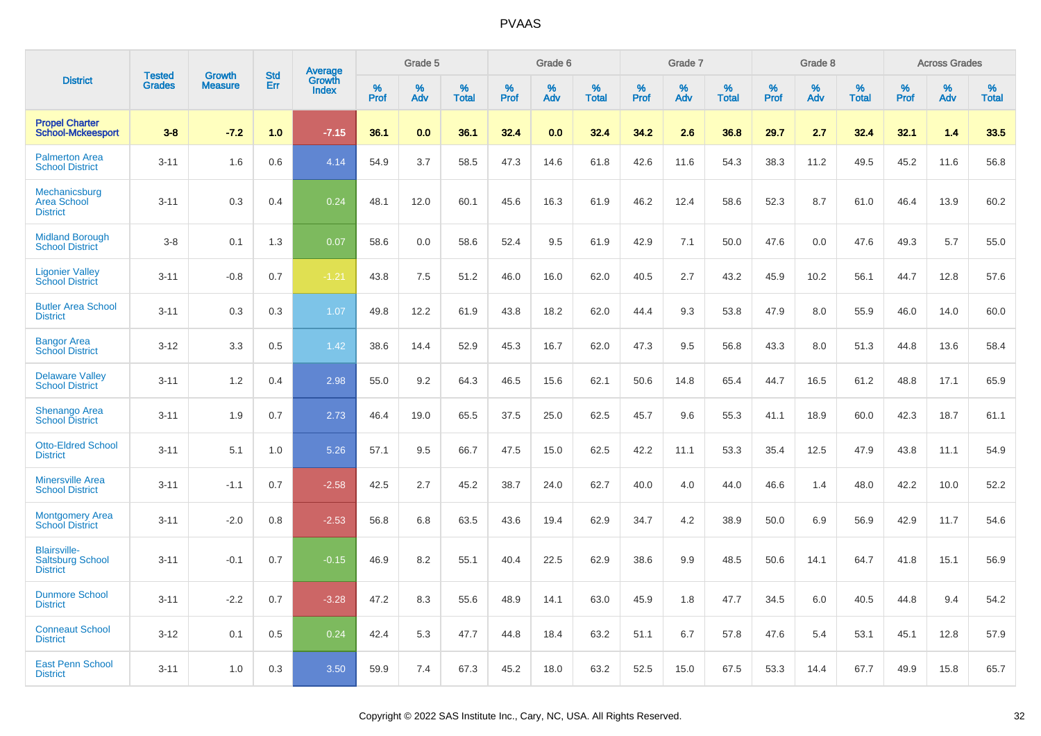|                                                                   |                                |                                 | <b>Std</b> | Average                |                     | Grade 5  |                      |              | Grade 6  |                      |              | Grade 7  |                      |              | Grade 8  |                      |              | <b>Across Grades</b> |                      |
|-------------------------------------------------------------------|--------------------------------|---------------------------------|------------|------------------------|---------------------|----------|----------------------|--------------|----------|----------------------|--------------|----------|----------------------|--------------|----------|----------------------|--------------|----------------------|----------------------|
| <b>District</b>                                                   | <b>Tested</b><br><b>Grades</b> | <b>Growth</b><br><b>Measure</b> | Err        | Growth<br><b>Index</b> | $\%$<br><b>Prof</b> | %<br>Adv | $\%$<br><b>Total</b> | $\%$<br>Prof | %<br>Adv | $\%$<br><b>Total</b> | $\%$<br>Prof | %<br>Adv | $\%$<br><b>Total</b> | $\%$<br>Prof | %<br>Adv | $\%$<br><b>Total</b> | $\%$<br>Prof | $\%$<br>Adv          | $\%$<br><b>Total</b> |
| <b>Propel Charter</b><br><b>School-Mckeesport</b>                 | $3 - 8$                        | $-7.2$                          | 1.0        | $-7.15$                | 36.1                | 0.0      | 36.1                 | 32.4         | 0.0      | 32.4                 | 34.2         | 2.6      | 36.8                 | 29.7         | 2.7      | 32.4                 | 32.1         | 1.4                  | 33.5                 |
| <b>Palmerton Area</b><br><b>School District</b>                   | $3 - 11$                       | 1.6                             | 0.6        | 4.14                   | 54.9                | 3.7      | 58.5                 | 47.3         | 14.6     | 61.8                 | 42.6         | 11.6     | 54.3                 | 38.3         | 11.2     | 49.5                 | 45.2         | 11.6                 | 56.8                 |
| Mechanicsburg<br><b>Area School</b><br><b>District</b>            | $3 - 11$                       | 0.3                             | 0.4        | 0.24                   | 48.1                | 12.0     | 60.1                 | 45.6         | 16.3     | 61.9                 | 46.2         | 12.4     | 58.6                 | 52.3         | 8.7      | 61.0                 | 46.4         | 13.9                 | 60.2                 |
| <b>Midland Borough</b><br><b>School District</b>                  | $3 - 8$                        | 0.1                             | 1.3        | 0.07                   | 58.6                | 0.0      | 58.6                 | 52.4         | 9.5      | 61.9                 | 42.9         | 7.1      | 50.0                 | 47.6         | 0.0      | 47.6                 | 49.3         | 5.7                  | 55.0                 |
| <b>Ligonier Valley</b><br><b>School District</b>                  | $3 - 11$                       | $-0.8$                          | 0.7        | $-1.21$                | 43.8                | 7.5      | 51.2                 | 46.0         | 16.0     | 62.0                 | 40.5         | 2.7      | 43.2                 | 45.9         | 10.2     | 56.1                 | 44.7         | 12.8                 | 57.6                 |
| <b>Butler Area School</b><br><b>District</b>                      | $3 - 11$                       | 0.3                             | 0.3        | 1.07                   | 49.8                | 12.2     | 61.9                 | 43.8         | 18.2     | 62.0                 | 44.4         | 9.3      | 53.8                 | 47.9         | 8.0      | 55.9                 | 46.0         | 14.0                 | 60.0                 |
| <b>Bangor Area</b><br><b>School District</b>                      | $3 - 12$                       | 3.3                             | 0.5        | 1.42                   | 38.6                | 14.4     | 52.9                 | 45.3         | 16.7     | 62.0                 | 47.3         | 9.5      | 56.8                 | 43.3         | 8.0      | 51.3                 | 44.8         | 13.6                 | 58.4                 |
| <b>Delaware Valley</b><br><b>School District</b>                  | $3 - 11$                       | 1.2                             | 0.4        | 2.98                   | 55.0                | 9.2      | 64.3                 | 46.5         | 15.6     | 62.1                 | 50.6         | 14.8     | 65.4                 | 44.7         | 16.5     | 61.2                 | 48.8         | 17.1                 | 65.9                 |
| <b>Shenango Area</b><br><b>School District</b>                    | $3 - 11$                       | 1.9                             | 0.7        | 2.73                   | 46.4                | 19.0     | 65.5                 | 37.5         | 25.0     | 62.5                 | 45.7         | 9.6      | 55.3                 | 41.1         | 18.9     | 60.0                 | 42.3         | 18.7                 | 61.1                 |
| <b>Otto-Eldred School</b><br><b>District</b>                      | $3 - 11$                       | 5.1                             | 1.0        | 5.26                   | 57.1                | 9.5      | 66.7                 | 47.5         | 15.0     | 62.5                 | 42.2         | 11.1     | 53.3                 | 35.4         | 12.5     | 47.9                 | 43.8         | 11.1                 | 54.9                 |
| <b>Minersville Area</b><br><b>School District</b>                 | $3 - 11$                       | $-1.1$                          | 0.7        | $-2.58$                | 42.5                | 2.7      | 45.2                 | 38.7         | 24.0     | 62.7                 | 40.0         | 4.0      | 44.0                 | 46.6         | 1.4      | 48.0                 | 42.2         | 10.0                 | 52.2                 |
| <b>Montgomery Area</b><br><b>School District</b>                  | $3 - 11$                       | $-2.0$                          | 0.8        | $-2.53$                | 56.8                | 6.8      | 63.5                 | 43.6         | 19.4     | 62.9                 | 34.7         | 4.2      | 38.9                 | 50.0         | 6.9      | 56.9                 | 42.9         | 11.7                 | 54.6                 |
| <b>Blairsville-</b><br><b>Saltsburg School</b><br><b>District</b> | $3 - 11$                       | $-0.1$                          | 0.7        | $-0.15$                | 46.9                | 8.2      | 55.1                 | 40.4         | 22.5     | 62.9                 | 38.6         | 9.9      | 48.5                 | 50.6         | 14.1     | 64.7                 | 41.8         | 15.1                 | 56.9                 |
| <b>Dunmore School</b><br><b>District</b>                          | $3 - 11$                       | $-2.2$                          | 0.7        | $-3.28$                | 47.2                | 8.3      | 55.6                 | 48.9         | 14.1     | 63.0                 | 45.9         | 1.8      | 47.7                 | 34.5         | 6.0      | 40.5                 | 44.8         | 9.4                  | 54.2                 |
| <b>Conneaut School</b><br><b>District</b>                         | $3 - 12$                       | 0.1                             | 0.5        | 0.24                   | 42.4                | 5.3      | 47.7                 | 44.8         | 18.4     | 63.2                 | 51.1         | 6.7      | 57.8                 | 47.6         | 5.4      | 53.1                 | 45.1         | 12.8                 | 57.9                 |
| <b>East Penn School</b><br><b>District</b>                        | $3 - 11$                       | 1.0                             | 0.3        | 3.50                   | 59.9                | 7.4      | 67.3                 | 45.2         | 18.0     | 63.2                 | 52.5         | 15.0     | 67.5                 | 53.3         | 14.4     | 67.7                 | 49.9         | 15.8                 | 65.7                 |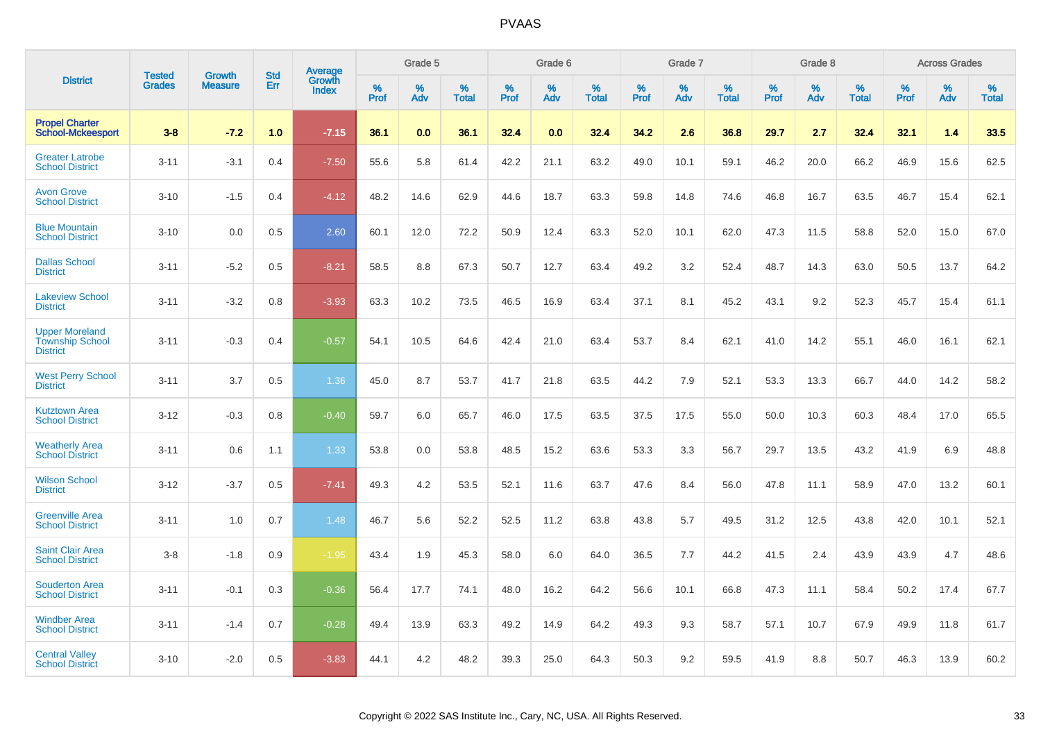|                                                                    | <b>Tested</b> | <b>Growth</b>  | <b>Std</b> |                                          |              | Grade 5  |                      |                     | Grade 6     |                      |              | Grade 7     |                   |              | Grade 8     |                   |                     | <b>Across Grades</b> |                   |
|--------------------------------------------------------------------|---------------|----------------|------------|------------------------------------------|--------------|----------|----------------------|---------------------|-------------|----------------------|--------------|-------------|-------------------|--------------|-------------|-------------------|---------------------|----------------------|-------------------|
| <b>District</b>                                                    | <b>Grades</b> | <b>Measure</b> | Err        | <b>Average</b><br>Growth<br><b>Index</b> | $\%$<br>Prof | %<br>Adv | $\%$<br><b>Total</b> | $\%$<br><b>Prof</b> | $\%$<br>Adv | $\%$<br><b>Total</b> | $\%$<br>Prof | $\%$<br>Adv | %<br><b>Total</b> | $\%$<br>Prof | $\%$<br>Adv | %<br><b>Total</b> | $\%$<br><b>Prof</b> | $\%$<br>Adv          | %<br><b>Total</b> |
| <b>Propel Charter</b><br><b>School-Mckeesport</b>                  | $3 - 8$       | $-7.2$         | 1.0        | $-7.15$                                  | 36.1         | 0.0      | 36.1                 | 32.4                | 0.0         | 32.4                 | 34.2         | 2.6         | 36.8              | 29.7         | 2.7         | 32.4              | 32.1                | 1.4                  | 33.5              |
| <b>Greater Latrobe</b><br><b>School District</b>                   | $3 - 11$      | $-3.1$         | 0.4        | $-7.50$                                  | 55.6         | 5.8      | 61.4                 | 42.2                | 21.1        | 63.2                 | 49.0         | 10.1        | 59.1              | 46.2         | 20.0        | 66.2              | 46.9                | 15.6                 | 62.5              |
| <b>Avon Grove</b><br><b>School District</b>                        | $3 - 10$      | $-1.5$         | 0.4        | $-4.12$                                  | 48.2         | 14.6     | 62.9                 | 44.6                | 18.7        | 63.3                 | 59.8         | 14.8        | 74.6              | 46.8         | 16.7        | 63.5              | 46.7                | 15.4                 | 62.1              |
| <b>Blue Mountain</b><br><b>School District</b>                     | $3 - 10$      | 0.0            | 0.5        | 2.60                                     | 60.1         | 12.0     | 72.2                 | 50.9                | 12.4        | 63.3                 | 52.0         | 10.1        | 62.0              | 47.3         | 11.5        | 58.8              | 52.0                | 15.0                 | 67.0              |
| <b>Dallas School</b><br><b>District</b>                            | $3 - 11$      | $-5.2$         | 0.5        | $-8.21$                                  | 58.5         | 8.8      | 67.3                 | 50.7                | 12.7        | 63.4                 | 49.2         | 3.2         | 52.4              | 48.7         | 14.3        | 63.0              | 50.5                | 13.7                 | 64.2              |
| <b>Lakeview School</b><br><b>District</b>                          | $3 - 11$      | $-3.2$         | 0.8        | $-3.93$                                  | 63.3         | 10.2     | 73.5                 | 46.5                | 16.9        | 63.4                 | 37.1         | 8.1         | 45.2              | 43.1         | 9.2         | 52.3              | 45.7                | 15.4                 | 61.1              |
| <b>Upper Moreland</b><br><b>Township School</b><br><b>District</b> | $3 - 11$      | $-0.3$         | 0.4        | $-0.57$                                  | 54.1         | 10.5     | 64.6                 | 42.4                | 21.0        | 63.4                 | 53.7         | 8.4         | 62.1              | 41.0         | 14.2        | 55.1              | 46.0                | 16.1                 | 62.1              |
| <b>West Perry School</b><br><b>District</b>                        | $3 - 11$      | 3.7            | 0.5        | 1.36                                     | 45.0         | 8.7      | 53.7                 | 41.7                | 21.8        | 63.5                 | 44.2         | 7.9         | 52.1              | 53.3         | 13.3        | 66.7              | 44.0                | 14.2                 | 58.2              |
| <b>Kutztown Area</b><br><b>School District</b>                     | $3 - 12$      | $-0.3$         | 0.8        | $-0.40$                                  | 59.7         | 6.0      | 65.7                 | 46.0                | 17.5        | 63.5                 | 37.5         | 17.5        | 55.0              | 50.0         | 10.3        | 60.3              | 48.4                | 17.0                 | 65.5              |
| <b>Weatherly Area</b><br><b>School District</b>                    | $3 - 11$      | 0.6            | 1.1        | 1.33                                     | 53.8         | 0.0      | 53.8                 | 48.5                | 15.2        | 63.6                 | 53.3         | 3.3         | 56.7              | 29.7         | 13.5        | 43.2              | 41.9                | 6.9                  | 48.8              |
| <b>Wilson School</b><br><b>District</b>                            | $3 - 12$      | $-3.7$         | 0.5        | $-7.41$                                  | 49.3         | 4.2      | 53.5                 | 52.1                | 11.6        | 63.7                 | 47.6         | 8.4         | 56.0              | 47.8         | 11.1        | 58.9              | 47.0                | 13.2                 | 60.1              |
| <b>Greenville Area</b><br><b>School District</b>                   | $3 - 11$      | 1.0            | 0.7        | 1.48                                     | 46.7         | 5.6      | 52.2                 | 52.5                | 11.2        | 63.8                 | 43.8         | 5.7         | 49.5              | 31.2         | 12.5        | 43.8              | 42.0                | 10.1                 | 52.1              |
| <b>Saint Clair Area</b><br><b>School District</b>                  | $3 - 8$       | $-1.8$         | 0.9        | $-1.95$                                  | 43.4         | 1.9      | 45.3                 | 58.0                | 6.0         | 64.0                 | 36.5         | 7.7         | 44.2              | 41.5         | 2.4         | 43.9              | 43.9                | 4.7                  | 48.6              |
| <b>Souderton Area</b><br><b>School District</b>                    | $3 - 11$      | $-0.1$         | 0.3        | $-0.36$                                  | 56.4         | 17.7     | 74.1                 | 48.0                | 16.2        | 64.2                 | 56.6         | 10.1        | 66.8              | 47.3         | 11.1        | 58.4              | 50.2                | 17.4                 | 67.7              |
| <b>Windber Area</b><br><b>School District</b>                      | $3 - 11$      | $-1.4$         | 0.7        | $-0.28$                                  | 49.4         | 13.9     | 63.3                 | 49.2                | 14.9        | 64.2                 | 49.3         | 9.3         | 58.7              | 57.1         | 10.7        | 67.9              | 49.9                | 11.8                 | 61.7              |
| <b>Central Valley</b><br><b>School District</b>                    | $3 - 10$      | $-2.0$         | 0.5        | $-3.83$                                  | 44.1         | 4.2      | 48.2                 | 39.3                | 25.0        | 64.3                 | 50.3         | 9.2         | 59.5              | 41.9         | 8.8         | 50.7              | 46.3                | 13.9                 | 60.2              |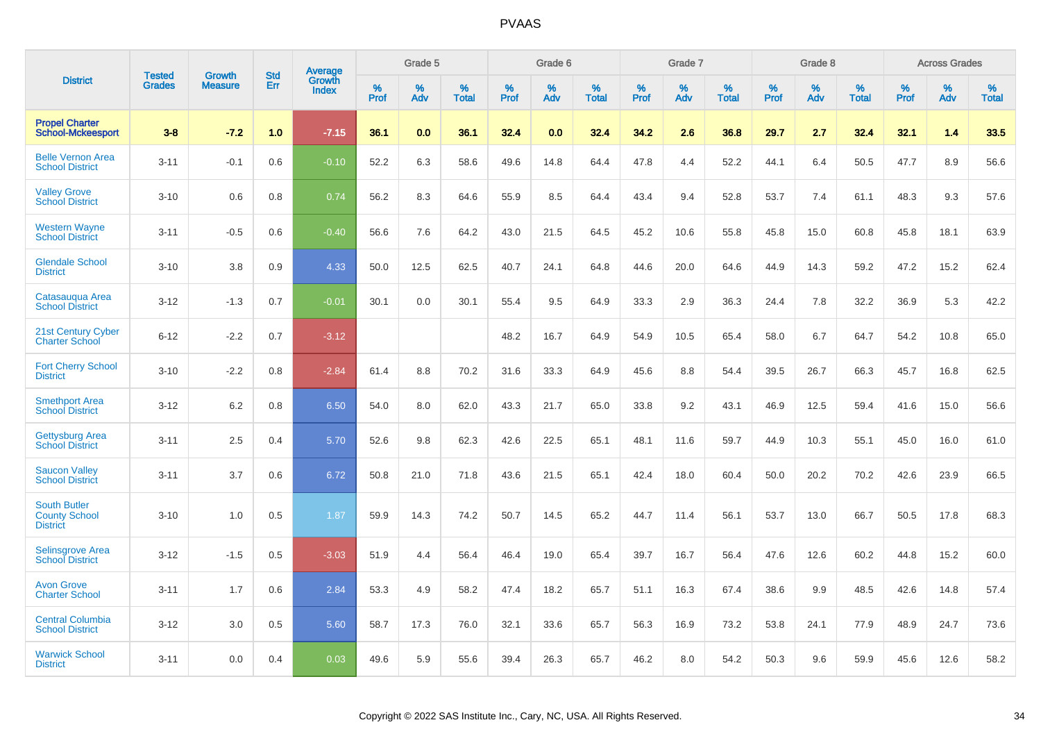|                                                                | <b>Tested</b> | <b>Growth</b>  | <b>Std</b> | Average                |              | Grade 5     |                      |              | Grade 6     |                      |              | Grade 7     |                   |              | Grade 8     |                   |                     | <b>Across Grades</b> |                      |
|----------------------------------------------------------------|---------------|----------------|------------|------------------------|--------------|-------------|----------------------|--------------|-------------|----------------------|--------------|-------------|-------------------|--------------|-------------|-------------------|---------------------|----------------------|----------------------|
| <b>District</b>                                                | <b>Grades</b> | <b>Measure</b> | Err        | Growth<br><b>Index</b> | $\%$<br>Prof | $\%$<br>Adv | $\%$<br><b>Total</b> | $\%$<br>Prof | $\%$<br>Adv | $\%$<br><b>Total</b> | $\%$<br>Prof | $\%$<br>Adv | %<br><b>Total</b> | $\%$<br>Prof | $\%$<br>Adv | %<br><b>Total</b> | $\%$<br><b>Prof</b> | $\%$<br>Adv          | $\%$<br><b>Total</b> |
| <b>Propel Charter</b><br><b>School-Mckeesport</b>              | $3 - 8$       | $-7.2$         | 1.0        | $-7.15$                | 36.1         | 0.0         | 36.1                 | 32.4         | 0.0         | 32.4                 | 34.2         | 2.6         | 36.8              | 29.7         | 2.7         | 32.4              | 32.1                | 1.4                  | 33.5                 |
| <b>Belle Vernon Area</b><br><b>School District</b>             | $3 - 11$      | $-0.1$         | 0.6        | $-0.10$                | 52.2         | 6.3         | 58.6                 | 49.6         | 14.8        | 64.4                 | 47.8         | 4.4         | 52.2              | 44.1         | 6.4         | 50.5              | 47.7                | 8.9                  | 56.6                 |
| <b>Valley Grove</b><br><b>School District</b>                  | $3 - 10$      | 0.6            | 0.8        | 0.74                   | 56.2         | 8.3         | 64.6                 | 55.9         | 8.5         | 64.4                 | 43.4         | 9.4         | 52.8              | 53.7         | 7.4         | 61.1              | 48.3                | 9.3                  | 57.6                 |
| <b>Western Wayne</b><br><b>School District</b>                 | $3 - 11$      | $-0.5$         | 0.6        | $-0.40$                | 56.6         | 7.6         | 64.2                 | 43.0         | 21.5        | 64.5                 | 45.2         | 10.6        | 55.8              | 45.8         | 15.0        | 60.8              | 45.8                | 18.1                 | 63.9                 |
| <b>Glendale School</b><br><b>District</b>                      | $3 - 10$      | 3.8            | 0.9        | 4.33                   | 50.0         | 12.5        | 62.5                 | 40.7         | 24.1        | 64.8                 | 44.6         | 20.0        | 64.6              | 44.9         | 14.3        | 59.2              | 47.2                | 15.2                 | 62.4                 |
| Catasauqua Area<br><b>School District</b>                      | $3 - 12$      | $-1.3$         | 0.7        | $-0.01$                | 30.1         | 0.0         | 30.1                 | 55.4         | 9.5         | 64.9                 | 33.3         | 2.9         | 36.3              | 24.4         | 7.8         | 32.2              | 36.9                | 5.3                  | 42.2                 |
| 21st Century Cyber<br><b>Charter School</b>                    | $6 - 12$      | $-2.2$         | 0.7        | $-3.12$                |              |             |                      | 48.2         | 16.7        | 64.9                 | 54.9         | 10.5        | 65.4              | 58.0         | 6.7         | 64.7              | 54.2                | 10.8                 | 65.0                 |
| <b>Fort Cherry School</b><br><b>District</b>                   | $3 - 10$      | $-2.2$         | 0.8        | $-2.84$                | 61.4         | 8.8         | 70.2                 | 31.6         | 33.3        | 64.9                 | 45.6         | 8.8         | 54.4              | 39.5         | 26.7        | 66.3              | 45.7                | 16.8                 | 62.5                 |
| <b>Smethport Area</b><br><b>School District</b>                | $3 - 12$      | 6.2            | 0.8        | 6.50                   | 54.0         | 8.0         | 62.0                 | 43.3         | 21.7        | 65.0                 | 33.8         | 9.2         | 43.1              | 46.9         | 12.5        | 59.4              | 41.6                | 15.0                 | 56.6                 |
| <b>Gettysburg Area</b><br><b>School District</b>               | $3 - 11$      | 2.5            | 0.4        | 5.70                   | 52.6         | 9.8         | 62.3                 | 42.6         | 22.5        | 65.1                 | 48.1         | 11.6        | 59.7              | 44.9         | 10.3        | 55.1              | 45.0                | 16.0                 | 61.0                 |
| <b>Saucon Valley</b><br><b>School District</b>                 | $3 - 11$      | 3.7            | 0.6        | 6.72                   | 50.8         | 21.0        | 71.8                 | 43.6         | 21.5        | 65.1                 | 42.4         | 18.0        | 60.4              | 50.0         | 20.2        | 70.2              | 42.6                | 23.9                 | 66.5                 |
| <b>South Butler</b><br><b>County School</b><br><b>District</b> | $3 - 10$      | 1.0            | 0.5        | 1.87                   | 59.9         | 14.3        | 74.2                 | 50.7         | 14.5        | 65.2                 | 44.7         | 11.4        | 56.1              | 53.7         | 13.0        | 66.7              | 50.5                | 17.8                 | 68.3                 |
| <b>Selinsgrove Area</b><br><b>School District</b>              | $3 - 12$      | $-1.5$         | 0.5        | $-3.03$                | 51.9         | 4.4         | 56.4                 | 46.4         | 19.0        | 65.4                 | 39.7         | 16.7        | 56.4              | 47.6         | 12.6        | 60.2              | 44.8                | 15.2                 | 60.0                 |
| <b>Avon Grove</b><br><b>Charter School</b>                     | $3 - 11$      | 1.7            | 0.6        | 2.84                   | 53.3         | 4.9         | 58.2                 | 47.4         | 18.2        | 65.7                 | 51.1         | 16.3        | 67.4              | 38.6         | 9.9         | 48.5              | 42.6                | 14.8                 | 57.4                 |
| <b>Central Columbia</b><br><b>School District</b>              | $3 - 12$      | 3.0            | 0.5        | 5.60                   | 58.7         | 17.3        | 76.0                 | 32.1         | 33.6        | 65.7                 | 56.3         | 16.9        | 73.2              | 53.8         | 24.1        | 77.9              | 48.9                | 24.7                 | 73.6                 |
| <b>Warwick School</b><br><b>District</b>                       | $3 - 11$      | 0.0            | 0.4        | 0.03                   | 49.6         | 5.9         | 55.6                 | 39.4         | 26.3        | 65.7                 | 46.2         | 8.0         | 54.2              | 50.3         | 9.6         | 59.9              | 45.6                | 12.6                 | 58.2                 |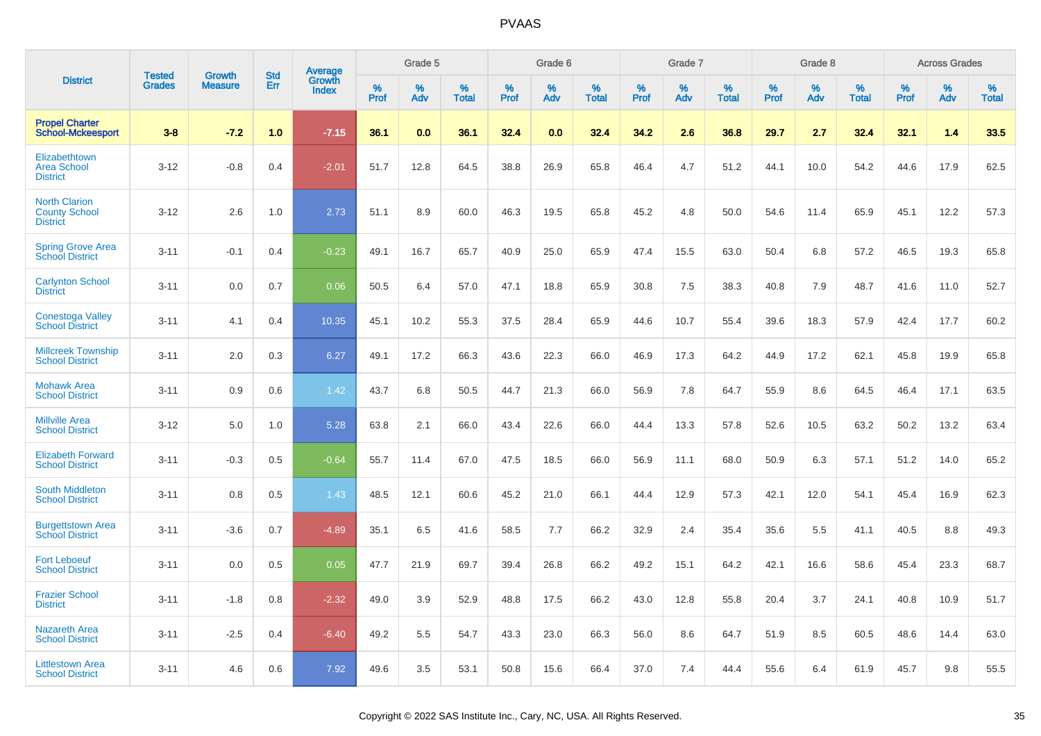|                                                                 | <b>Tested</b> | <b>Growth</b>  | <b>Std</b> | Average                |           | Grade 5  |                   |           | Grade 6  |                   |              | Grade 7  |                   |           | Grade 8  |                   |           | <b>Across Grades</b> |                   |
|-----------------------------------------------------------------|---------------|----------------|------------|------------------------|-----------|----------|-------------------|-----------|----------|-------------------|--------------|----------|-------------------|-----------|----------|-------------------|-----------|----------------------|-------------------|
| <b>District</b>                                                 | <b>Grades</b> | <b>Measure</b> | Err        | Growth<br><b>Index</b> | %<br>Prof | %<br>Adv | %<br><b>Total</b> | %<br>Prof | %<br>Adv | %<br><b>Total</b> | $\%$<br>Prof | %<br>Adv | %<br><b>Total</b> | %<br>Prof | %<br>Adv | %<br><b>Total</b> | %<br>Prof | %<br>Adv             | %<br><b>Total</b> |
| <b>Propel Charter</b><br><b>School-Mckeesport</b>               | $3 - 8$       | $-7.2$         | 1.0        | $-7.15$                | 36.1      | 0.0      | 36.1              | 32.4      | 0.0      | 32.4              | 34.2         | 2.6      | 36.8              | 29.7      | 2.7      | 32.4              | 32.1      | 1.4                  | 33.5              |
| Elizabethtown<br><b>Area School</b><br><b>District</b>          | $3 - 12$      | $-0.8$         | 0.4        | $-2.01$                | 51.7      | 12.8     | 64.5              | 38.8      | 26.9     | 65.8              | 46.4         | 4.7      | 51.2              | 44.1      | 10.0     | 54.2              | 44.6      | 17.9                 | 62.5              |
| <b>North Clarion</b><br><b>County School</b><br><b>District</b> | $3 - 12$      | 2.6            | 1.0        | 2.73                   | 51.1      | 8.9      | 60.0              | 46.3      | 19.5     | 65.8              | 45.2         | 4.8      | 50.0              | 54.6      | 11.4     | 65.9              | 45.1      | 12.2                 | 57.3              |
| <b>Spring Grove Area</b><br>School District                     | $3 - 11$      | $-0.1$         | 0.4        | $-0.23$                | 49.1      | 16.7     | 65.7              | 40.9      | 25.0     | 65.9              | 47.4         | 15.5     | 63.0              | 50.4      | 6.8      | 57.2              | 46.5      | 19.3                 | 65.8              |
| <b>Carlynton School</b><br><b>District</b>                      | $3 - 11$      | 0.0            | 0.7        | 0.06                   | 50.5      | 6.4      | 57.0              | 47.1      | 18.8     | 65.9              | 30.8         | 7.5      | 38.3              | 40.8      | 7.9      | 48.7              | 41.6      | 11.0                 | 52.7              |
| <b>Conestoga Valley</b><br><b>School District</b>               | $3 - 11$      | 4.1            | 0.4        | 10.35                  | 45.1      | 10.2     | 55.3              | 37.5      | 28.4     | 65.9              | 44.6         | 10.7     | 55.4              | 39.6      | 18.3     | 57.9              | 42.4      | 17.7                 | 60.2              |
| <b>Millcreek Township</b><br><b>School District</b>             | $3 - 11$      | 2.0            | 0.3        | 6.27                   | 49.1      | 17.2     | 66.3              | 43.6      | 22.3     | 66.0              | 46.9         | 17.3     | 64.2              | 44.9      | 17.2     | 62.1              | 45.8      | 19.9                 | 65.8              |
| <b>Mohawk Area</b><br><b>School District</b>                    | $3 - 11$      | 0.9            | 0.6        | 1.42                   | 43.7      | 6.8      | 50.5              | 44.7      | 21.3     | 66.0              | 56.9         | 7.8      | 64.7              | 55.9      | 8.6      | 64.5              | 46.4      | 17.1                 | 63.5              |
| <b>Millville Area</b><br><b>School District</b>                 | $3 - 12$      | 5.0            | 1.0        | 5.28                   | 63.8      | 2.1      | 66.0              | 43.4      | 22.6     | 66.0              | 44.4         | 13.3     | 57.8              | 52.6      | 10.5     | 63.2              | 50.2      | 13.2                 | 63.4              |
| <b>Elizabeth Forward</b><br><b>School District</b>              | $3 - 11$      | $-0.3$         | 0.5        | $-0.64$                | 55.7      | 11.4     | 67.0              | 47.5      | 18.5     | 66.0              | 56.9         | 11.1     | 68.0              | 50.9      | 6.3      | 57.1              | 51.2      | 14.0                 | 65.2              |
| <b>South Middleton</b><br><b>School District</b>                | $3 - 11$      | 0.8            | 0.5        | 1.43                   | 48.5      | 12.1     | 60.6              | 45.2      | 21.0     | 66.1              | 44.4         | 12.9     | 57.3              | 42.1      | 12.0     | 54.1              | 45.4      | 16.9                 | 62.3              |
| <b>Burgettstown Area</b><br><b>School District</b>              | $3 - 11$      | $-3.6$         | 0.7        | $-4.89$                | 35.1      | 6.5      | 41.6              | 58.5      | 7.7      | 66.2              | 32.9         | 2.4      | 35.4              | 35.6      | 5.5      | 41.1              | 40.5      | 8.8                  | 49.3              |
| <b>Fort Leboeuf</b><br><b>School District</b>                   | $3 - 11$      | 0.0            | 0.5        | 0.05                   | 47.7      | 21.9     | 69.7              | 39.4      | 26.8     | 66.2              | 49.2         | 15.1     | 64.2              | 42.1      | 16.6     | 58.6              | 45.4      | 23.3                 | 68.7              |
| <b>Frazier School</b><br><b>District</b>                        | $3 - 11$      | $-1.8$         | 0.8        | $-2.32$                | 49.0      | 3.9      | 52.9              | 48.8      | 17.5     | 66.2              | 43.0         | 12.8     | 55.8              | 20.4      | 3.7      | 24.1              | 40.8      | 10.9                 | 51.7              |
| <b>Nazareth Area</b><br><b>School District</b>                  | $3 - 11$      | $-2.5$         | 0.4        | $-6.40$                | 49.2      | 5.5      | 54.7              | 43.3      | 23.0     | 66.3              | 56.0         | 8.6      | 64.7              | 51.9      | 8.5      | 60.5              | 48.6      | 14.4                 | 63.0              |
| <b>Littlestown Area</b><br><b>School District</b>               | $3 - 11$      | 4.6            | 0.6        | 7.92                   | 49.6      | 3.5      | 53.1              | 50.8      | 15.6     | 66.4              | 37.0         | 7.4      | 44.4              | 55.6      | 6.4      | 61.9              | 45.7      | 9.8                  | 55.5              |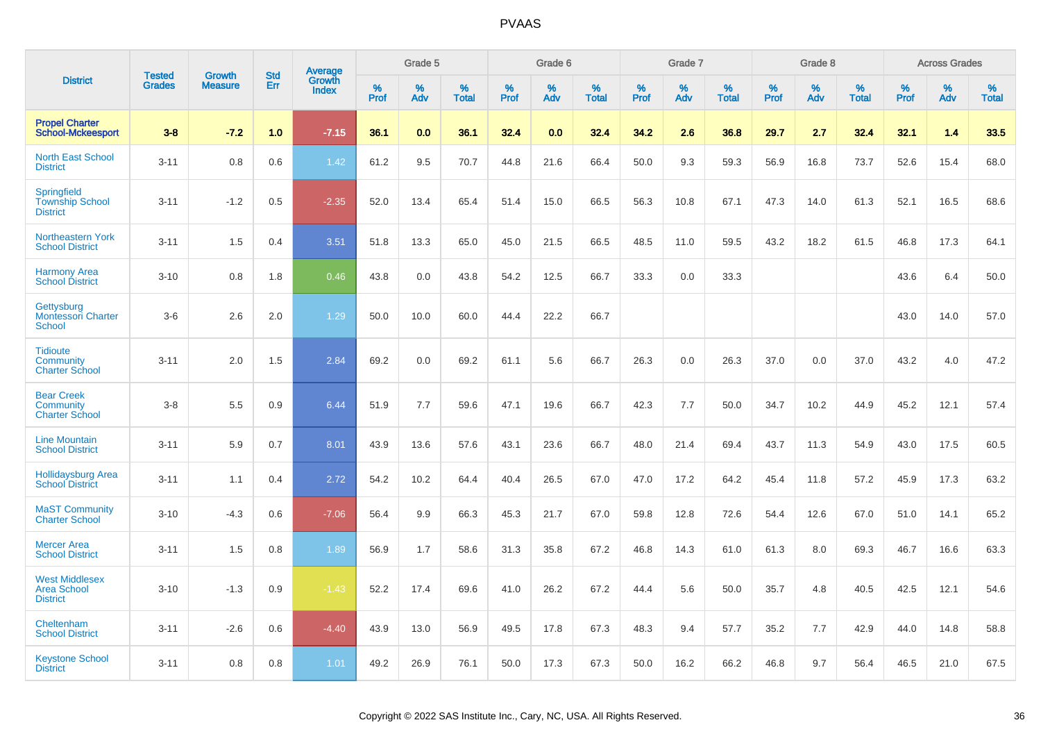|                                                                 |                                | <b>Growth</b>  | <b>Std</b> | Average                |                     | Grade 5  |                   |              | Grade 6  |                   |              | Grade 7  |                   |              | Grade 8  |                   |                     | <b>Across Grades</b> |                   |
|-----------------------------------------------------------------|--------------------------------|----------------|------------|------------------------|---------------------|----------|-------------------|--------------|----------|-------------------|--------------|----------|-------------------|--------------|----------|-------------------|---------------------|----------------------|-------------------|
| <b>District</b>                                                 | <b>Tested</b><br><b>Grades</b> | <b>Measure</b> | Err        | Growth<br><b>Index</b> | $\%$<br><b>Prof</b> | %<br>Adv | %<br><b>Total</b> | $\%$<br>Prof | %<br>Adv | %<br><b>Total</b> | $\%$<br>Prof | %<br>Adv | %<br><b>Total</b> | $\%$<br>Prof | %<br>Adv | %<br><b>Total</b> | $\%$<br><b>Prof</b> | %<br>Adv             | %<br><b>Total</b> |
| <b>Propel Charter</b><br><b>School-Mckeesport</b>               | $3 - 8$                        | $-7.2$         | 1.0        | $-7.15$                | 36.1                | 0.0      | 36.1              | 32.4         | 0.0      | 32.4              | 34.2         | 2.6      | 36.8              | 29.7         | 2.7      | 32.4              | 32.1                | 1.4                  | 33.5              |
| <b>North East School</b><br><b>District</b>                     | $3 - 11$                       | 0.8            | 0.6        | 1.42                   | 61.2                | 9.5      | 70.7              | 44.8         | 21.6     | 66.4              | 50.0         | 9.3      | 59.3              | 56.9         | 16.8     | 73.7              | 52.6                | 15.4                 | 68.0              |
| <b>Springfield</b><br><b>Township School</b><br><b>District</b> | $3 - 11$                       | $-1.2$         | 0.5        | $-2.35$                | 52.0                | 13.4     | 65.4              | 51.4         | 15.0     | 66.5              | 56.3         | 10.8     | 67.1              | 47.3         | 14.0     | 61.3              | 52.1                | 16.5                 | 68.6              |
| <b>Northeastern York</b><br><b>School District</b>              | $3 - 11$                       | 1.5            | 0.4        | 3.51                   | 51.8                | 13.3     | 65.0              | 45.0         | 21.5     | 66.5              | 48.5         | 11.0     | 59.5              | 43.2         | 18.2     | 61.5              | 46.8                | 17.3                 | 64.1              |
| <b>Harmony Area</b><br><b>School District</b>                   | $3 - 10$                       | 0.8            | 1.8        | 0.46                   | 43.8                | 0.0      | 43.8              | 54.2         | 12.5     | 66.7              | 33.3         | 0.0      | 33.3              |              |          |                   | 43.6                | 6.4                  | 50.0              |
| Gettysburg<br><b>Montessori Charter</b><br>School               | $3-6$                          | 2.6            | 2.0        | 1.29                   | 50.0                | 10.0     | 60.0              | 44.4         | 22.2     | 66.7              |              |          |                   |              |          |                   | 43.0                | 14.0                 | 57.0              |
| <b>Tidioute</b><br>Community<br><b>Charter School</b>           | $3 - 11$                       | 2.0            | 1.5        | 2.84                   | 69.2                | 0.0      | 69.2              | 61.1         | 5.6      | 66.7              | 26.3         | 0.0      | 26.3              | 37.0         | 0.0      | 37.0              | 43.2                | 4.0                  | 47.2              |
| <b>Bear Creek</b><br>Community<br><b>Charter School</b>         | $3 - 8$                        | 5.5            | 0.9        | 6.44                   | 51.9                | 7.7      | 59.6              | 47.1         | 19.6     | 66.7              | 42.3         | 7.7      | 50.0              | 34.7         | 10.2     | 44.9              | 45.2                | 12.1                 | 57.4              |
| <b>Line Mountain</b><br><b>School District</b>                  | $3 - 11$                       | 5.9            | 0.7        | 8.01                   | 43.9                | 13.6     | 57.6              | 43.1         | 23.6     | 66.7              | 48.0         | 21.4     | 69.4              | 43.7         | 11.3     | 54.9              | 43.0                | 17.5                 | 60.5              |
| <b>Hollidaysburg Area</b><br><b>School District</b>             | $3 - 11$                       | 1.1            | 0.4        | 2.72                   | 54.2                | 10.2     | 64.4              | 40.4         | 26.5     | 67.0              | 47.0         | 17.2     | 64.2              | 45.4         | 11.8     | 57.2              | 45.9                | 17.3                 | 63.2              |
| <b>MaST Community</b><br><b>Charter School</b>                  | $3 - 10$                       | $-4.3$         | 0.6        | $-7.06$                | 56.4                | 9.9      | 66.3              | 45.3         | 21.7     | 67.0              | 59.8         | 12.8     | 72.6              | 54.4         | 12.6     | 67.0              | 51.0                | 14.1                 | 65.2              |
| <b>Mercer Area</b><br><b>School District</b>                    | $3 - 11$                       | 1.5            | 0.8        | 1.89                   | 56.9                | 1.7      | 58.6              | 31.3         | 35.8     | 67.2              | 46.8         | 14.3     | 61.0              | 61.3         | 8.0      | 69.3              | 46.7                | 16.6                 | 63.3              |
| <b>West Middlesex</b><br><b>Area School</b><br><b>District</b>  | $3 - 10$                       | $-1.3$         | 0.9        | $-1.43$                | 52.2                | 17.4     | 69.6              | 41.0         | 26.2     | 67.2              | 44.4         | 5.6      | 50.0              | 35.7         | 4.8      | 40.5              | 42.5                | 12.1                 | 54.6              |
| Cheltenham<br><b>School District</b>                            | $3 - 11$                       | $-2.6$         | 0.6        | $-4.40$                | 43.9                | 13.0     | 56.9              | 49.5         | 17.8     | 67.3              | 48.3         | 9.4      | 57.7              | 35.2         | 7.7      | 42.9              | 44.0                | 14.8                 | 58.8              |
| <b>Keystone School</b><br><b>District</b>                       | $3 - 11$                       | 0.8            | 0.8        | 1.01                   | 49.2                | 26.9     | 76.1              | 50.0         | 17.3     | 67.3              | 50.0         | 16.2     | 66.2              | 46.8         | 9.7      | 56.4              | 46.5                | 21.0                 | 67.5              |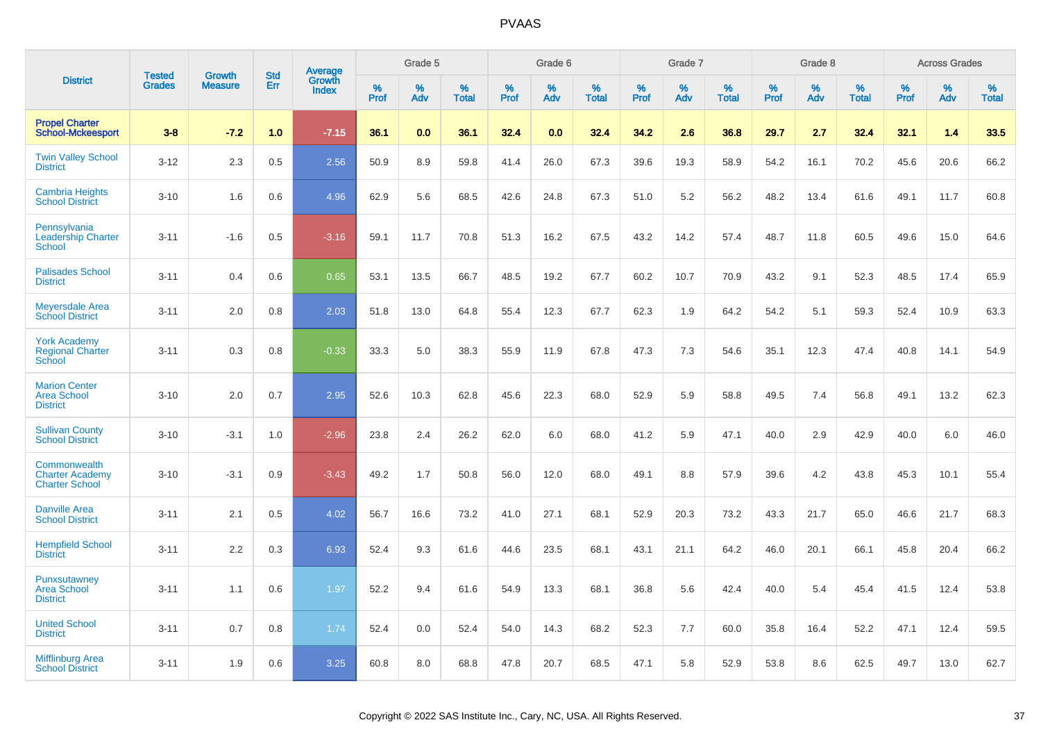| <b>District</b>                                                 | <b>Tested</b> | <b>Growth</b>  | <b>Std</b> | Average                |           | Grade 5  |                   |           | Grade 6  |                   |           | Grade 7  |                   |           | Grade 8  |                   |              | <b>Across Grades</b> |                   |
|-----------------------------------------------------------------|---------------|----------------|------------|------------------------|-----------|----------|-------------------|-----------|----------|-------------------|-----------|----------|-------------------|-----------|----------|-------------------|--------------|----------------------|-------------------|
|                                                                 | <b>Grades</b> | <b>Measure</b> | Err        | Growth<br><b>Index</b> | %<br>Prof | %<br>Adv | %<br><b>Total</b> | %<br>Prof | %<br>Adv | %<br><b>Total</b> | %<br>Prof | %<br>Adv | %<br><b>Total</b> | %<br>Prof | %<br>Adv | %<br><b>Total</b> | $\%$<br>Prof | %<br>Adv             | %<br><b>Total</b> |
| <b>Propel Charter</b><br><b>School-Mckeesport</b>               | $3 - 8$       | $-7.2$         | 1.0        | $-7.15$                | 36.1      | 0.0      | 36.1              | 32.4      | 0.0      | 32.4              | 34.2      | 2.6      | 36.8              | 29.7      | 2.7      | 32.4              | 32.1         | 1.4                  | 33.5              |
| <b>Twin Valley School</b><br><b>District</b>                    | $3 - 12$      | 2.3            | 0.5        | 2.56                   | 50.9      | 8.9      | 59.8              | 41.4      | 26.0     | 67.3              | 39.6      | 19.3     | 58.9              | 54.2      | 16.1     | 70.2              | 45.6         | 20.6                 | 66.2              |
| Cambria Heights<br><b>School District</b>                       | $3 - 10$      | 1.6            | 0.6        | 4.96                   | 62.9      | 5.6      | 68.5              | 42.6      | 24.8     | 67.3              | 51.0      | 5.2      | 56.2              | 48.2      | 13.4     | 61.6              | 49.1         | 11.7                 | 60.8              |
| Pennsylvania<br><b>Leadership Charter</b><br>School             | $3 - 11$      | $-1.6$         | 0.5        | $-3.16$                | 59.1      | 11.7     | 70.8              | 51.3      | 16.2     | 67.5              | 43.2      | 14.2     | 57.4              | 48.7      | 11.8     | 60.5              | 49.6         | 15.0                 | 64.6              |
| <b>Palisades School</b><br><b>District</b>                      | $3 - 11$      | 0.4            | 0.6        | 0.65                   | 53.1      | 13.5     | 66.7              | 48.5      | 19.2     | 67.7              | 60.2      | 10.7     | 70.9              | 43.2      | 9.1      | 52.3              | 48.5         | 17.4                 | 65.9              |
| <b>Meyersdale Area</b><br><b>School District</b>                | $3 - 11$      | 2.0            | 0.8        | 2.03                   | 51.8      | 13.0     | 64.8              | 55.4      | 12.3     | 67.7              | 62.3      | 1.9      | 64.2              | 54.2      | 5.1      | 59.3              | 52.4         | 10.9                 | 63.3              |
| <b>York Academy</b><br><b>Regional Charter</b><br><b>School</b> | $3 - 11$      | 0.3            | 0.8        | $-0.33$                | 33.3      | 5.0      | 38.3              | 55.9      | 11.9     | 67.8              | 47.3      | 7.3      | 54.6              | 35.1      | 12.3     | 47.4              | 40.8         | 14.1                 | 54.9              |
| <b>Marion Center</b><br><b>Area School</b><br><b>District</b>   | $3 - 10$      | 2.0            | 0.7        | 2.95                   | 52.6      | 10.3     | 62.8              | 45.6      | 22.3     | 68.0              | 52.9      | 5.9      | 58.8              | 49.5      | 7.4      | 56.8              | 49.1         | 13.2                 | 62.3              |
| <b>Sullivan County</b><br><b>School District</b>                | $3 - 10$      | $-3.1$         | 1.0        | $-2.96$                | 23.8      | 2.4      | 26.2              | 62.0      | 6.0      | 68.0              | 41.2      | 5.9      | 47.1              | 40.0      | 2.9      | 42.9              | 40.0         | 6.0                  | 46.0              |
| Commonwealth<br><b>Charter Academy</b><br><b>Charter School</b> | $3 - 10$      | $-3.1$         | 0.9        | $-3.43$                | 49.2      | 1.7      | 50.8              | 56.0      | 12.0     | 68.0              | 49.1      | 8.8      | 57.9              | 39.6      | 4.2      | 43.8              | 45.3         | 10.1                 | 55.4              |
| <b>Danville Area</b><br><b>School District</b>                  | $3 - 11$      | 2.1            | 0.5        | 4.02                   | 56.7      | 16.6     | 73.2              | 41.0      | 27.1     | 68.1              | 52.9      | 20.3     | 73.2              | 43.3      | 21.7     | 65.0              | 46.6         | 21.7                 | 68.3              |
| <b>Hempfield School</b><br><b>District</b>                      | $3 - 11$      | 2.2            | 0.3        | 6.93                   | 52.4      | 9.3      | 61.6              | 44.6      | 23.5     | 68.1              | 43.1      | 21.1     | 64.2              | 46.0      | 20.1     | 66.1              | 45.8         | 20.4                 | 66.2              |
| Punxsutawney<br><b>Area School</b><br><b>District</b>           | $3 - 11$      | 1.1            | 0.6        | 1.97                   | 52.2      | 9.4      | 61.6              | 54.9      | 13.3     | 68.1              | 36.8      | 5.6      | 42.4              | 40.0      | 5.4      | 45.4              | 41.5         | 12.4                 | 53.8              |
| <b>United School</b><br><b>District</b>                         | $3 - 11$      | 0.7            | 0.8        | 1.74                   | 52.4      | 0.0      | 52.4              | 54.0      | 14.3     | 68.2              | 52.3      | 7.7      | 60.0              | 35.8      | 16.4     | 52.2              | 47.1         | 12.4                 | 59.5              |
| <b>Mifflinburg Area</b><br><b>School District</b>               | $3 - 11$      | 1.9            | 0.6        | 3.25                   | 60.8      | 8.0      | 68.8              | 47.8      | 20.7     | 68.5              | 47.1      | 5.8      | 52.9              | 53.8      | 8.6      | 62.5              | 49.7         | 13.0                 | 62.7              |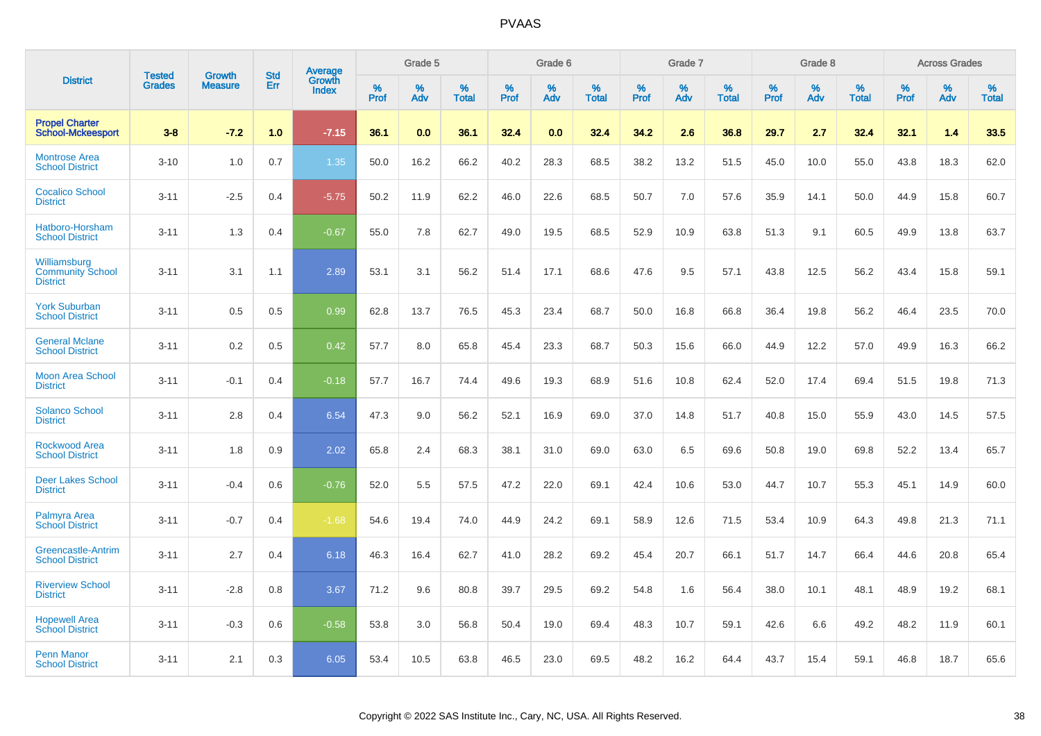| <b>District</b>                                            | <b>Tested</b> | <b>Growth</b>  | <b>Std</b> | Average                |              | Grade 5     |                      |              | Grade 6     |                      |              | Grade 7     |                   |              | Grade 8     |                   |                     | <b>Across Grades</b> |                      |
|------------------------------------------------------------|---------------|----------------|------------|------------------------|--------------|-------------|----------------------|--------------|-------------|----------------------|--------------|-------------|-------------------|--------------|-------------|-------------------|---------------------|----------------------|----------------------|
|                                                            | <b>Grades</b> | <b>Measure</b> | Err        | Growth<br><b>Index</b> | $\%$<br>Prof | $\%$<br>Adv | $\%$<br><b>Total</b> | $\%$<br>Prof | $\%$<br>Adv | $\%$<br><b>Total</b> | $\%$<br>Prof | $\%$<br>Adv | %<br><b>Total</b> | $\%$<br>Prof | $\%$<br>Adv | %<br><b>Total</b> | $\%$<br><b>Prof</b> | $\%$<br>Adv          | $\%$<br><b>Total</b> |
| <b>Propel Charter</b><br><b>School-Mckeesport</b>          | $3 - 8$       | $-7.2$         | 1.0        | $-7.15$                | 36.1         | 0.0         | 36.1                 | 32.4         | 0.0         | 32.4                 | 34.2         | 2.6         | 36.8              | 29.7         | 2.7         | 32.4              | 32.1                | 1.4                  | 33.5                 |
| <b>Montrose Area</b><br><b>School District</b>             | $3 - 10$      | 1.0            | 0.7        | 1.35                   | 50.0         | 16.2        | 66.2                 | 40.2         | 28.3        | 68.5                 | 38.2         | 13.2        | 51.5              | 45.0         | 10.0        | 55.0              | 43.8                | 18.3                 | 62.0                 |
| <b>Cocalico School</b><br><b>District</b>                  | $3 - 11$      | $-2.5$         | 0.4        | $-5.75$                | 50.2         | 11.9        | 62.2                 | 46.0         | 22.6        | 68.5                 | 50.7         | 7.0         | 57.6              | 35.9         | 14.1        | 50.0              | 44.9                | 15.8                 | 60.7                 |
| Hatboro-Horsham<br><b>School District</b>                  | $3 - 11$      | 1.3            | 0.4        | $-0.67$                | 55.0         | 7.8         | 62.7                 | 49.0         | 19.5        | 68.5                 | 52.9         | 10.9        | 63.8              | 51.3         | 9.1         | 60.5              | 49.9                | 13.8                 | 63.7                 |
| Williamsburg<br><b>Community School</b><br><b>District</b> | $3 - 11$      | 3.1            | 1.1        | 2.89                   | 53.1         | 3.1         | 56.2                 | 51.4         | 17.1        | 68.6                 | 47.6         | 9.5         | 57.1              | 43.8         | 12.5        | 56.2              | 43.4                | 15.8                 | 59.1                 |
| <b>York Suburban</b><br><b>School District</b>             | $3 - 11$      | 0.5            | 0.5        | 0.99                   | 62.8         | 13.7        | 76.5                 | 45.3         | 23.4        | 68.7                 | 50.0         | 16.8        | 66.8              | 36.4         | 19.8        | 56.2              | 46.4                | 23.5                 | 70.0                 |
| <b>General Mclane</b><br><b>School District</b>            | $3 - 11$      | 0.2            | 0.5        | 0.42                   | 57.7         | 8.0         | 65.8                 | 45.4         | 23.3        | 68.7                 | 50.3         | 15.6        | 66.0              | 44.9         | 12.2        | 57.0              | 49.9                | 16.3                 | 66.2                 |
| <b>Moon Area School</b><br><b>District</b>                 | $3 - 11$      | $-0.1$         | 0.4        | $-0.18$                | 57.7         | 16.7        | 74.4                 | 49.6         | 19.3        | 68.9                 | 51.6         | 10.8        | 62.4              | 52.0         | 17.4        | 69.4              | 51.5                | 19.8                 | 71.3                 |
| <b>Solanco School</b><br><b>District</b>                   | $3 - 11$      | 2.8            | 0.4        | 6.54                   | 47.3         | 9.0         | 56.2                 | 52.1         | 16.9        | 69.0                 | 37.0         | 14.8        | 51.7              | 40.8         | 15.0        | 55.9              | 43.0                | 14.5                 | 57.5                 |
| <b>Rockwood Area</b><br><b>School District</b>             | $3 - 11$      | 1.8            | 0.9        | 2.02                   | 65.8         | 2.4         | 68.3                 | 38.1         | 31.0        | 69.0                 | 63.0         | 6.5         | 69.6              | 50.8         | 19.0        | 69.8              | 52.2                | 13.4                 | 65.7                 |
| <b>Deer Lakes School</b><br><b>District</b>                | $3 - 11$      | $-0.4$         | 0.6        | $-0.76$                | 52.0         | 5.5         | 57.5                 | 47.2         | 22.0        | 69.1                 | 42.4         | 10.6        | 53.0              | 44.7         | 10.7        | 55.3              | 45.1                | 14.9                 | 60.0                 |
| Palmyra Area<br><b>School District</b>                     | $3 - 11$      | $-0.7$         | 0.4        | $-1.68$                | 54.6         | 19.4        | 74.0                 | 44.9         | 24.2        | 69.1                 | 58.9         | 12.6        | 71.5              | 53.4         | 10.9        | 64.3              | 49.8                | 21.3                 | 71.1                 |
| Greencastle-Antrim<br><b>School District</b>               | $3 - 11$      | 2.7            | 0.4        | 6.18                   | 46.3         | 16.4        | 62.7                 | 41.0         | 28.2        | 69.2                 | 45.4         | 20.7        | 66.1              | 51.7         | 14.7        | 66.4              | 44.6                | 20.8                 | 65.4                 |
| <b>Riverview School</b><br><b>District</b>                 | $3 - 11$      | $-2.8$         | 0.8        | 3.67                   | 71.2         | 9.6         | 80.8                 | 39.7         | 29.5        | 69.2                 | 54.8         | 1.6         | 56.4              | 38.0         | 10.1        | 48.1              | 48.9                | 19.2                 | 68.1                 |
| <b>Hopewell Area</b><br><b>School District</b>             | $3 - 11$      | $-0.3$         | 0.6        | $-0.58$                | 53.8         | 3.0         | 56.8                 | 50.4         | 19.0        | 69.4                 | 48.3         | 10.7        | 59.1              | 42.6         | 6.6         | 49.2              | 48.2                | 11.9                 | 60.1                 |
| <b>Penn Manor</b><br><b>School District</b>                | $3 - 11$      | 2.1            | 0.3        | 6.05                   | 53.4         | 10.5        | 63.8                 | 46.5         | 23.0        | 69.5                 | 48.2         | 16.2        | 64.4              | 43.7         | 15.4        | 59.1              | 46.8                | 18.7                 | 65.6                 |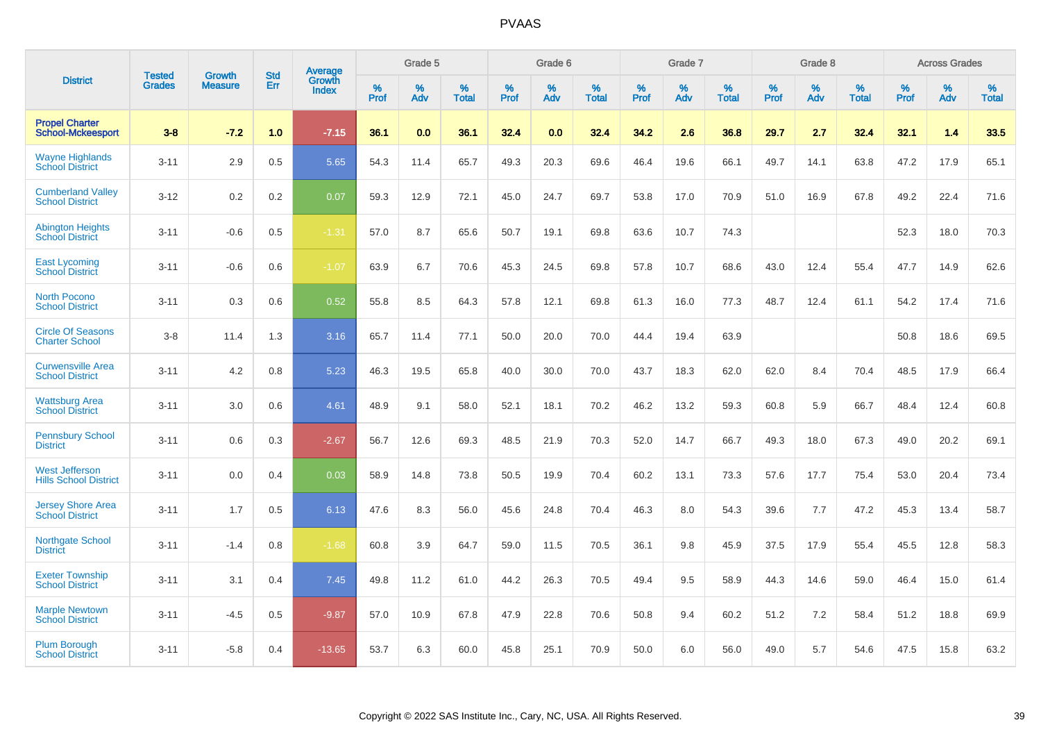| <b>District</b>                                       |                                |                                 | <b>Std</b> | Average                |           | Grade 5  |                   |           | Grade 6  |                   |           | Grade 7  |                   |           | Grade 8  |                   |           | <b>Across Grades</b> |                   |
|-------------------------------------------------------|--------------------------------|---------------------------------|------------|------------------------|-----------|----------|-------------------|-----------|----------|-------------------|-----------|----------|-------------------|-----------|----------|-------------------|-----------|----------------------|-------------------|
|                                                       | <b>Tested</b><br><b>Grades</b> | <b>Growth</b><br><b>Measure</b> | Err        | Growth<br><b>Index</b> | %<br>Prof | %<br>Adv | %<br><b>Total</b> | %<br>Prof | %<br>Adv | %<br><b>Total</b> | %<br>Prof | %<br>Adv | %<br><b>Total</b> | %<br>Prof | %<br>Adv | %<br><b>Total</b> | %<br>Prof | %<br>Adv             | %<br><b>Total</b> |
| <b>Propel Charter</b><br><b>School-Mckeesport</b>     | $3 - 8$                        | $-7.2$                          | 1.0        | $-7.15$                | 36.1      | 0.0      | 36.1              | 32.4      | 0.0      | 32.4              | 34.2      | 2.6      | 36.8              | 29.7      | 2.7      | 32.4              | 32.1      | 1.4                  | 33.5              |
| <b>Wayne Highlands</b><br><b>School District</b>      | $3 - 11$                       | 2.9                             | 0.5        | 5.65                   | 54.3      | 11.4     | 65.7              | 49.3      | 20.3     | 69.6              | 46.4      | 19.6     | 66.1              | 49.7      | 14.1     | 63.8              | 47.2      | 17.9                 | 65.1              |
| <b>Cumberland Valley</b><br><b>School District</b>    | $3 - 12$                       | 0.2                             | 0.2        | 0.07                   | 59.3      | 12.9     | 72.1              | 45.0      | 24.7     | 69.7              | 53.8      | 17.0     | 70.9              | 51.0      | 16.9     | 67.8              | 49.2      | 22.4                 | 71.6              |
| <b>Abington Heights</b><br><b>School District</b>     | $3 - 11$                       | $-0.6$                          | 0.5        | $-1.31$                | 57.0      | 8.7      | 65.6              | 50.7      | 19.1     | 69.8              | 63.6      | 10.7     | 74.3              |           |          |                   | 52.3      | 18.0                 | 70.3              |
| <b>East Lycoming</b><br><b>School District</b>        | $3 - 11$                       | $-0.6$                          | 0.6        | $-1.07$                | 63.9      | 6.7      | 70.6              | 45.3      | 24.5     | 69.8              | 57.8      | 10.7     | 68.6              | 43.0      | 12.4     | 55.4              | 47.7      | 14.9                 | 62.6              |
| <b>North Pocono</b><br><b>School District</b>         | $3 - 11$                       | 0.3                             | 0.6        | 0.52                   | 55.8      | 8.5      | 64.3              | 57.8      | 12.1     | 69.8              | 61.3      | 16.0     | 77.3              | 48.7      | 12.4     | 61.1              | 54.2      | 17.4                 | 71.6              |
| <b>Circle Of Seasons</b><br><b>Charter School</b>     | $3-8$                          | 11.4                            | 1.3        | 3.16                   | 65.7      | 11.4     | 77.1              | 50.0      | 20.0     | 70.0              | 44.4      | 19.4     | 63.9              |           |          |                   | 50.8      | 18.6                 | 69.5              |
| <b>Curwensville Area</b><br><b>School District</b>    | $3 - 11$                       | 4.2                             | 0.8        | 5.23                   | 46.3      | 19.5     | 65.8              | 40.0      | 30.0     | 70.0              | 43.7      | 18.3     | 62.0              | 62.0      | 8.4      | 70.4              | 48.5      | 17.9                 | 66.4              |
| <b>Wattsburg Area</b><br><b>School District</b>       | $3 - 11$                       | 3.0                             | 0.6        | 4.61                   | 48.9      | 9.1      | 58.0              | 52.1      | 18.1     | 70.2              | 46.2      | 13.2     | 59.3              | 60.8      | 5.9      | 66.7              | 48.4      | 12.4                 | 60.8              |
| <b>Pennsbury School</b><br><b>District</b>            | $3 - 11$                       | 0.6                             | 0.3        | $-2.67$                | 56.7      | 12.6     | 69.3              | 48.5      | 21.9     | 70.3              | 52.0      | 14.7     | 66.7              | 49.3      | 18.0     | 67.3              | 49.0      | 20.2                 | 69.1              |
| <b>West Jefferson</b><br><b>Hills School District</b> | $3 - 11$                       | 0.0                             | 0.4        | 0.03                   | 58.9      | 14.8     | 73.8              | 50.5      | 19.9     | 70.4              | 60.2      | 13.1     | 73.3              | 57.6      | 17.7     | 75.4              | 53.0      | 20.4                 | 73.4              |
| <b>Jersey Shore Area</b><br><b>School District</b>    | $3 - 11$                       | 1.7                             | 0.5        | 6.13                   | 47.6      | 8.3      | 56.0              | 45.6      | 24.8     | 70.4              | 46.3      | 8.0      | 54.3              | 39.6      | 7.7      | 47.2              | 45.3      | 13.4                 | 58.7              |
| Northgate School<br><b>District</b>                   | $3 - 11$                       | $-1.4$                          | 0.8        | $-1.68$                | 60.8      | 3.9      | 64.7              | 59.0      | 11.5     | 70.5              | 36.1      | 9.8      | 45.9              | 37.5      | 17.9     | 55.4              | 45.5      | 12.8                 | 58.3              |
| <b>Exeter Township</b><br><b>School District</b>      | $3 - 11$                       | 3.1                             | 0.4        | 7.45                   | 49.8      | 11.2     | 61.0              | 44.2      | 26.3     | 70.5              | 49.4      | 9.5      | 58.9              | 44.3      | 14.6     | 59.0              | 46.4      | 15.0                 | 61.4              |
| <b>Marple Newtown</b><br><b>School District</b>       | $3 - 11$                       | $-4.5$                          | 0.5        | $-9.87$                | 57.0      | 10.9     | 67.8              | 47.9      | 22.8     | 70.6              | 50.8      | 9.4      | 60.2              | 51.2      | 7.2      | 58.4              | 51.2      | 18.8                 | 69.9              |
| <b>Plum Borough</b><br><b>School District</b>         | $3 - 11$                       | $-5.8$                          | 0.4        | $-13.65$               | 53.7      | 6.3      | 60.0              | 45.8      | 25.1     | 70.9              | 50.0      | 6.0      | 56.0              | 49.0      | 5.7      | 54.6              | 47.5      | 15.8                 | 63.2              |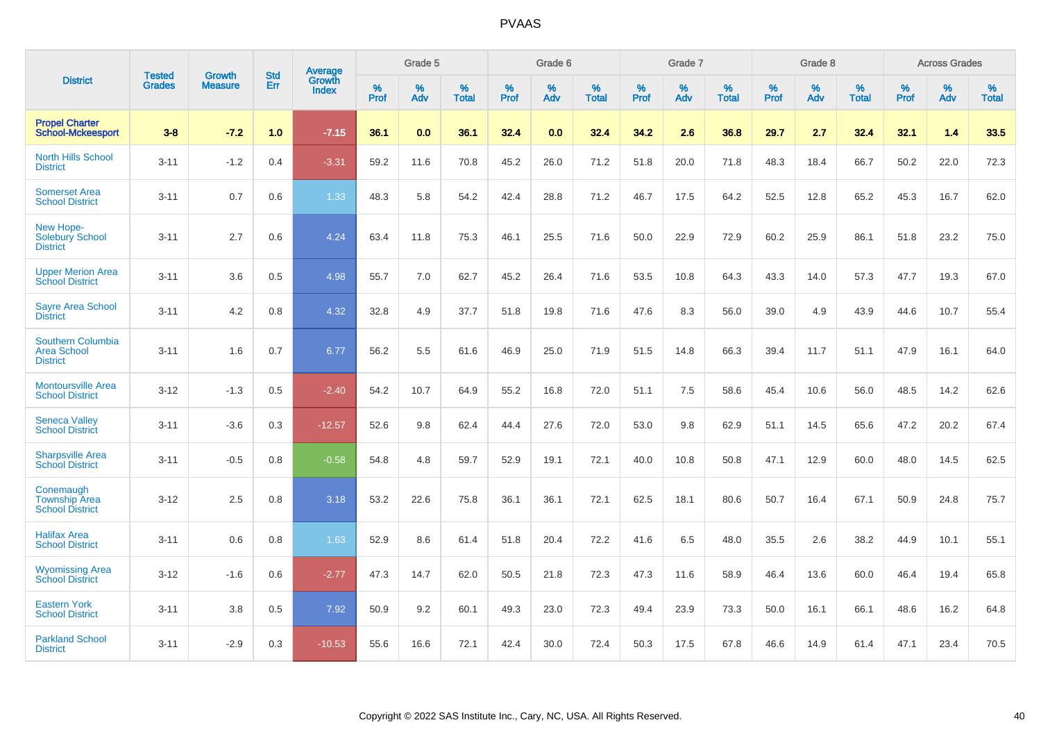| <b>District</b>                                                   |                                |                                 | <b>Std</b> | <b>Average</b>         |           | Grade 5  |                   |           | Grade 6  |                   |           | Grade 7  |                   |           | Grade 8  |                   |           | <b>Across Grades</b> |                   |
|-------------------------------------------------------------------|--------------------------------|---------------------------------|------------|------------------------|-----------|----------|-------------------|-----------|----------|-------------------|-----------|----------|-------------------|-----------|----------|-------------------|-----------|----------------------|-------------------|
|                                                                   | <b>Tested</b><br><b>Grades</b> | <b>Growth</b><br><b>Measure</b> | Err        | <b>Growth</b><br>Index | %<br>Prof | %<br>Adv | %<br><b>Total</b> | %<br>Prof | %<br>Adv | %<br><b>Total</b> | %<br>Prof | %<br>Adv | %<br><b>Total</b> | %<br>Prof | %<br>Adv | %<br><b>Total</b> | %<br>Prof | %<br>Adv             | %<br><b>Total</b> |
| <b>Propel Charter</b><br><b>School-Mckeesport</b>                 | $3 - 8$                        | $-7.2$                          | 1.0        | $-7.15$                | 36.1      | 0.0      | 36.1              | 32.4      | 0.0      | 32.4              | 34.2      | 2.6      | 36.8              | 29.7      | 2.7      | 32.4              | 32.1      | 1.4                  | 33.5              |
| <b>North Hills School</b><br><b>District</b>                      | $3 - 11$                       | $-1.2$                          | 0.4        | $-3.31$                | 59.2      | 11.6     | 70.8              | 45.2      | 26.0     | 71.2              | 51.8      | 20.0     | 71.8              | 48.3      | 18.4     | 66.7              | 50.2      | 22.0                 | 72.3              |
| <b>Somerset Area</b><br><b>School District</b>                    | $3 - 11$                       | 0.7                             | 0.6        | 1.33                   | 48.3      | 5.8      | 54.2              | 42.4      | 28.8     | 71.2              | 46.7      | 17.5     | 64.2              | 52.5      | 12.8     | 65.2              | 45.3      | 16.7                 | 62.0              |
| New Hope-<br><b>Solebury School</b><br><b>District</b>            | $3 - 11$                       | 2.7                             | 0.6        | 4.24                   | 63.4      | 11.8     | 75.3              | 46.1      | 25.5     | 71.6              | 50.0      | 22.9     | 72.9              | 60.2      | 25.9     | 86.1              | 51.8      | 23.2                 | 75.0              |
| <b>Upper Merion Area</b><br><b>School District</b>                | $3 - 11$                       | 3.6                             | 0.5        | 4.98                   | 55.7      | 7.0      | 62.7              | 45.2      | 26.4     | 71.6              | 53.5      | 10.8     | 64.3              | 43.3      | 14.0     | 57.3              | 47.7      | 19.3                 | 67.0              |
| <b>Sayre Area School</b><br><b>District</b>                       | $3 - 11$                       | 4.2                             | 0.8        | 4.32                   | 32.8      | 4.9      | 37.7              | 51.8      | 19.8     | 71.6              | 47.6      | 8.3      | 56.0              | 39.0      | 4.9      | 43.9              | 44.6      | 10.7                 | 55.4              |
| <b>Southern Columbia</b><br><b>Area School</b><br><b>District</b> | $3 - 11$                       | 1.6                             | 0.7        | 6.77                   | 56.2      | 5.5      | 61.6              | 46.9      | 25.0     | 71.9              | 51.5      | 14.8     | 66.3              | 39.4      | 11.7     | 51.1              | 47.9      | 16.1                 | 64.0              |
| <b>Montoursville Area</b><br><b>School District</b>               | $3 - 12$                       | $-1.3$                          | 0.5        | $-2.40$                | 54.2      | 10.7     | 64.9              | 55.2      | 16.8     | 72.0              | 51.1      | 7.5      | 58.6              | 45.4      | 10.6     | 56.0              | 48.5      | 14.2                 | 62.6              |
| <b>Seneca Valley</b><br><b>School District</b>                    | $3 - 11$                       | $-3.6$                          | 0.3        | $-12.57$               | 52.6      | 9.8      | 62.4              | 44.4      | 27.6     | 72.0              | 53.0      | 9.8      | 62.9              | 51.1      | 14.5     | 65.6              | 47.2      | 20.2                 | 67.4              |
| <b>Sharpsville Area</b><br><b>School District</b>                 | $3 - 11$                       | $-0.5$                          | 0.8        | $-0.58$                | 54.8      | 4.8      | 59.7              | 52.9      | 19.1     | 72.1              | 40.0      | 10.8     | 50.8              | 47.1      | 12.9     | 60.0              | 48.0      | 14.5                 | 62.5              |
| Conemaugh<br><b>Township Area</b><br><b>School District</b>       | $3 - 12$                       | 2.5                             | 0.8        | 3.18                   | 53.2      | 22.6     | 75.8              | 36.1      | 36.1     | 72.1              | 62.5      | 18.1     | 80.6              | 50.7      | 16.4     | 67.1              | 50.9      | 24.8                 | 75.7              |
| <b>Halifax Area</b><br><b>School District</b>                     | $3 - 11$                       | 0.6                             | 0.8        | 1.63                   | 52.9      | 8.6      | 61.4              | 51.8      | 20.4     | 72.2              | 41.6      | 6.5      | 48.0              | 35.5      | 2.6      | 38.2              | 44.9      | 10.1                 | 55.1              |
| <b>Wyomissing Area</b><br><b>School District</b>                  | $3 - 12$                       | $-1.6$                          | 0.6        | $-2.77$                | 47.3      | 14.7     | 62.0              | 50.5      | 21.8     | 72.3              | 47.3      | 11.6     | 58.9              | 46.4      | 13.6     | 60.0              | 46.4      | 19.4                 | 65.8              |
| <b>Eastern York</b><br><b>School District</b>                     | $3 - 11$                       | 3.8                             | 0.5        | 7.92                   | 50.9      | 9.2      | 60.1              | 49.3      | 23.0     | 72.3              | 49.4      | 23.9     | 73.3              | 50.0      | 16.1     | 66.1              | 48.6      | 16.2                 | 64.8              |
| <b>Parkland School</b><br><b>District</b>                         | $3 - 11$                       | $-2.9$                          | 0.3        | $-10.53$               | 55.6      | 16.6     | 72.1              | 42.4      | 30.0     | 72.4              | 50.3      | 17.5     | 67.8              | 46.6      | 14.9     | 61.4              | 47.1      | 23.4                 | 70.5              |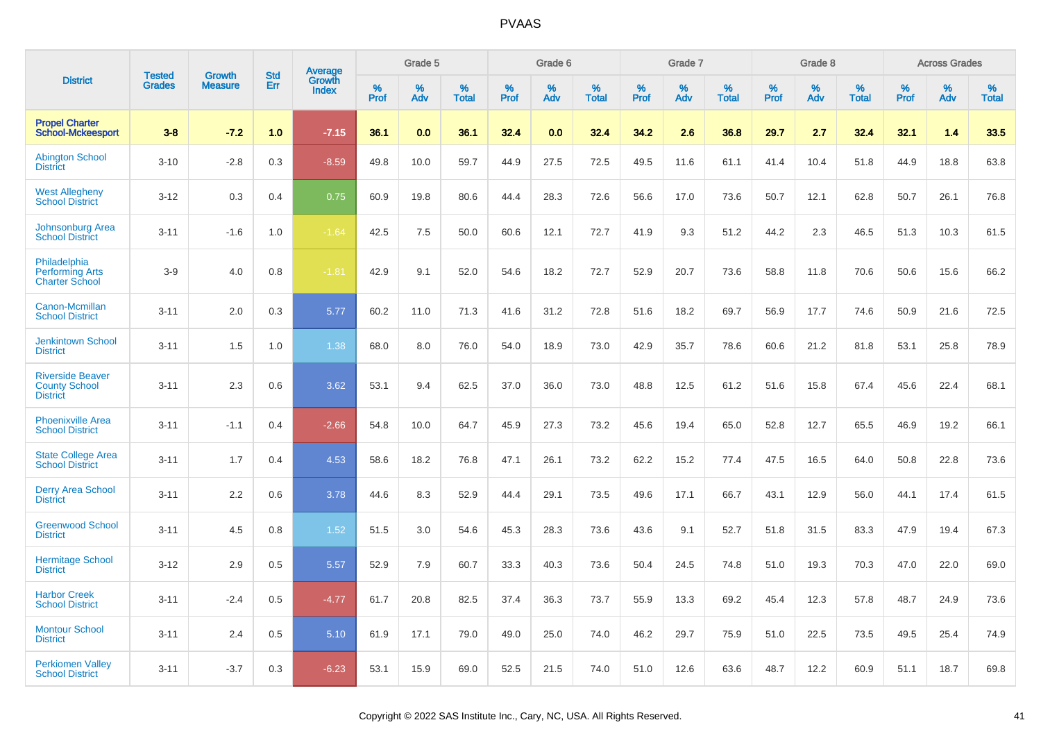|                                                                    | <b>Tested</b> | <b>Growth</b>  | <b>Std</b> |                                          |              | Grade 5  |                   |              | Grade 6  |                   |           | Grade 7  |                   |           | Grade 8  |                   |           | <b>Across Grades</b> |                   |
|--------------------------------------------------------------------|---------------|----------------|------------|------------------------------------------|--------------|----------|-------------------|--------------|----------|-------------------|-----------|----------|-------------------|-----------|----------|-------------------|-----------|----------------------|-------------------|
| <b>District</b>                                                    | <b>Grades</b> | <b>Measure</b> | Err        | <b>Average</b><br>Growth<br><b>Index</b> | $\%$<br>Prof | %<br>Adv | %<br><b>Total</b> | $\%$<br>Prof | %<br>Adv | %<br><b>Total</b> | %<br>Prof | %<br>Adv | %<br><b>Total</b> | %<br>Prof | %<br>Adv | %<br><b>Total</b> | %<br>Prof | %<br>Adv             | %<br><b>Total</b> |
| <b>Propel Charter</b><br><b>School-Mckeesport</b>                  | $3 - 8$       | $-7.2$         | 1.0        | $-7.15$                                  | 36.1         | 0.0      | 36.1              | 32.4         | 0.0      | 32.4              | 34.2      | 2.6      | 36.8              | 29.7      | 2.7      | 32.4              | 32.1      | 1.4                  | 33.5              |
| <b>Abington School</b><br><b>District</b>                          | $3 - 10$      | $-2.8$         | 0.3        | $-8.59$                                  | 49.8         | 10.0     | 59.7              | 44.9         | 27.5     | 72.5              | 49.5      | 11.6     | 61.1              | 41.4      | 10.4     | 51.8              | 44.9      | 18.8                 | 63.8              |
| <b>West Allegheny</b><br><b>School District</b>                    | $3 - 12$      | 0.3            | 0.4        | 0.75                                     | 60.9         | 19.8     | 80.6              | 44.4         | 28.3     | 72.6              | 56.6      | 17.0     | 73.6              | 50.7      | 12.1     | 62.8              | 50.7      | 26.1                 | 76.8              |
| <b>Johnsonburg Area</b><br><b>School District</b>                  | $3 - 11$      | $-1.6$         | 1.0        | $-1.64$                                  | 42.5         | 7.5      | 50.0              | 60.6         | 12.1     | 72.7              | 41.9      | 9.3      | 51.2              | 44.2      | 2.3      | 46.5              | 51.3      | 10.3                 | 61.5              |
| Philadelphia<br><b>Performing Arts</b><br><b>Charter School</b>    | $3-9$         | 4.0            | 0.8        | $-1.81$                                  | 42.9         | 9.1      | 52.0              | 54.6         | 18.2     | 72.7              | 52.9      | 20.7     | 73.6              | 58.8      | 11.8     | 70.6              | 50.6      | 15.6                 | 66.2              |
| Canon-Mcmillan<br><b>School District</b>                           | $3 - 11$      | 2.0            | 0.3        | 5.77                                     | 60.2         | 11.0     | 71.3              | 41.6         | 31.2     | 72.8              | 51.6      | 18.2     | 69.7              | 56.9      | 17.7     | 74.6              | 50.9      | 21.6                 | 72.5              |
| <b>Jenkintown School</b><br><b>District</b>                        | $3 - 11$      | 1.5            | 1.0        | 1.38                                     | 68.0         | 8.0      | 76.0              | 54.0         | 18.9     | 73.0              | 42.9      | 35.7     | 78.6              | 60.6      | 21.2     | 81.8              | 53.1      | 25.8                 | 78.9              |
| <b>Riverside Beaver</b><br><b>County School</b><br><b>District</b> | $3 - 11$      | 2.3            | 0.6        | 3.62                                     | 53.1         | 9.4      | 62.5              | 37.0         | 36.0     | 73.0              | 48.8      | 12.5     | 61.2              | 51.6      | 15.8     | 67.4              | 45.6      | 22.4                 | 68.1              |
| <b>Phoenixville Area</b><br><b>School District</b>                 | $3 - 11$      | $-1.1$         | 0.4        | $-2.66$                                  | 54.8         | 10.0     | 64.7              | 45.9         | 27.3     | 73.2              | 45.6      | 19.4     | 65.0              | 52.8      | 12.7     | 65.5              | 46.9      | 19.2                 | 66.1              |
| <b>State College Area</b><br><b>School District</b>                | $3 - 11$      | 1.7            | 0.4        | 4.53                                     | 58.6         | 18.2     | 76.8              | 47.1         | 26.1     | 73.2              | 62.2      | 15.2     | 77.4              | 47.5      | 16.5     | 64.0              | 50.8      | 22.8                 | 73.6              |
| <b>Derry Area School</b><br><b>District</b>                        | $3 - 11$      | 2.2            | 0.6        | 3.78                                     | 44.6         | 8.3      | 52.9              | 44.4         | 29.1     | 73.5              | 49.6      | 17.1     | 66.7              | 43.1      | 12.9     | 56.0              | 44.1      | 17.4                 | 61.5              |
| <b>Greenwood School</b><br><b>District</b>                         | $3 - 11$      | 4.5            | 0.8        | 1.52                                     | 51.5         | 3.0      | 54.6              | 45.3         | 28.3     | 73.6              | 43.6      | 9.1      | 52.7              | 51.8      | 31.5     | 83.3              | 47.9      | 19.4                 | 67.3              |
| <b>Hermitage School</b><br><b>District</b>                         | $3 - 12$      | 2.9            | 0.5        | 5.57                                     | 52.9         | 7.9      | 60.7              | 33.3         | 40.3     | 73.6              | 50.4      | 24.5     | 74.8              | 51.0      | 19.3     | 70.3              | 47.0      | 22.0                 | 69.0              |
| <b>Harbor Creek</b><br><b>School District</b>                      | $3 - 11$      | $-2.4$         | 0.5        | $-4.77$                                  | 61.7         | 20.8     | 82.5              | 37.4         | 36.3     | 73.7              | 55.9      | 13.3     | 69.2              | 45.4      | 12.3     | 57.8              | 48.7      | 24.9                 | 73.6              |
| <b>Montour School</b><br><b>District</b>                           | $3 - 11$      | 2.4            | 0.5        | 5.10                                     | 61.9         | 17.1     | 79.0              | 49.0         | 25.0     | 74.0              | 46.2      | 29.7     | 75.9              | 51.0      | 22.5     | 73.5              | 49.5      | 25.4                 | 74.9              |
| <b>Perkiomen Valley</b><br><b>School District</b>                  | $3 - 11$      | $-3.7$         | 0.3        | $-6.23$                                  | 53.1         | 15.9     | 69.0              | 52.5         | 21.5     | 74.0              | 51.0      | 12.6     | 63.6              | 48.7      | 12.2     | 60.9              | 51.1      | 18.7                 | 69.8              |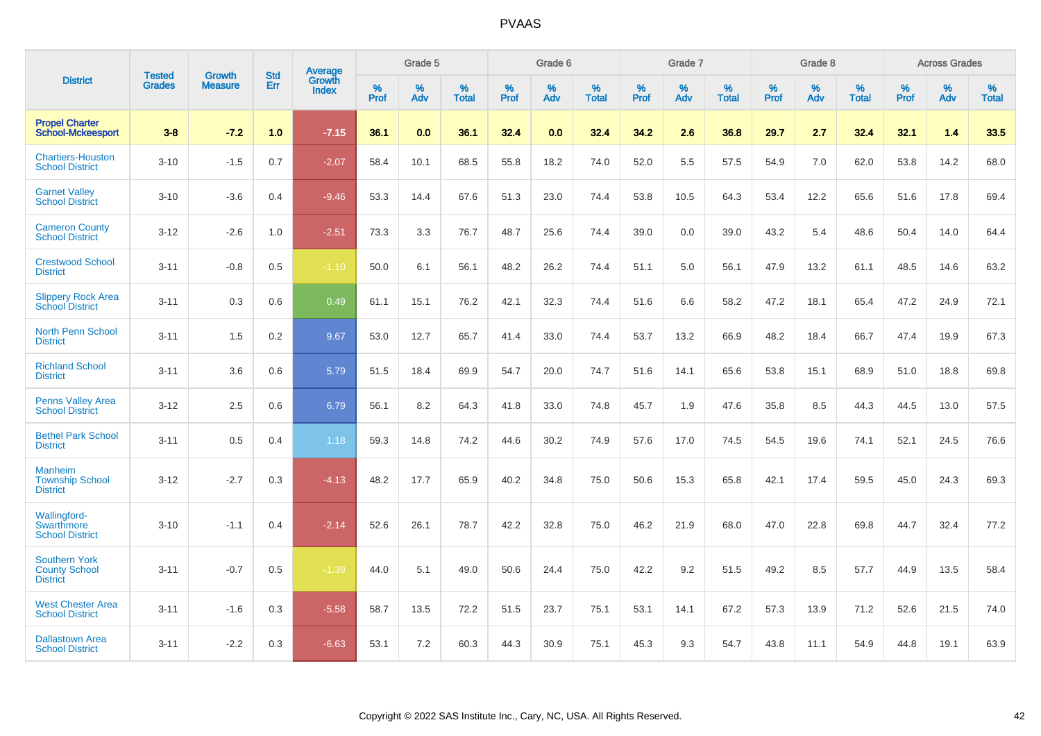| <b>District</b>                                                    | <b>Tested</b> | <b>Growth</b>  | <b>Std</b> | Average                |              | Grade 5  |                   |           | Grade 6  |                   |           | Grade 7  |                   |           | Grade 8  |                   |           | <b>Across Grades</b> |                   |
|--------------------------------------------------------------------|---------------|----------------|------------|------------------------|--------------|----------|-------------------|-----------|----------|-------------------|-----------|----------|-------------------|-----------|----------|-------------------|-----------|----------------------|-------------------|
|                                                                    | <b>Grades</b> | <b>Measure</b> | Err        | Growth<br><b>Index</b> | $\%$<br>Prof | %<br>Adv | %<br><b>Total</b> | %<br>Prof | %<br>Adv | %<br><b>Total</b> | %<br>Prof | %<br>Adv | %<br><b>Total</b> | %<br>Prof | %<br>Adv | %<br><b>Total</b> | %<br>Prof | %<br>Adv             | %<br><b>Total</b> |
| <b>Propel Charter</b><br><b>School-Mckeesport</b>                  | $3 - 8$       | $-7.2$         | 1.0        | $-7.15$                | 36.1         | 0.0      | 36.1              | 32.4      | 0.0      | 32.4              | 34.2      | 2.6      | 36.8              | 29.7      | 2.7      | 32.4              | 32.1      | 1.4                  | 33.5              |
| <b>Chartiers-Houston</b><br><b>School District</b>                 | $3 - 10$      | $-1.5$         | 0.7        | $-2.07$                | 58.4         | 10.1     | 68.5              | 55.8      | 18.2     | 74.0              | 52.0      | 5.5      | 57.5              | 54.9      | 7.0      | 62.0              | 53.8      | 14.2                 | 68.0              |
| <b>Garnet Valley</b><br><b>School District</b>                     | $3 - 10$      | $-3.6$         | 0.4        | $-9.46$                | 53.3         | 14.4     | 67.6              | 51.3      | 23.0     | 74.4              | 53.8      | 10.5     | 64.3              | 53.4      | 12.2     | 65.6              | 51.6      | 17.8                 | 69.4              |
| <b>Cameron County</b><br><b>School District</b>                    | $3 - 12$      | $-2.6$         | 1.0        | $-2.51$                | 73.3         | 3.3      | 76.7              | 48.7      | 25.6     | 74.4              | 39.0      | 0.0      | 39.0              | 43.2      | 5.4      | 48.6              | 50.4      | 14.0                 | 64.4              |
| <b>Crestwood School</b><br><b>District</b>                         | $3 - 11$      | $-0.8$         | 0.5        | $-1.10$                | 50.0         | 6.1      | 56.1              | 48.2      | 26.2     | 74.4              | 51.1      | 5.0      | 56.1              | 47.9      | 13.2     | 61.1              | 48.5      | 14.6                 | 63.2              |
| <b>Slippery Rock Area</b><br><b>School District</b>                | $3 - 11$      | 0.3            | 0.6        | 0.49                   | 61.1         | 15.1     | 76.2              | 42.1      | 32.3     | 74.4              | 51.6      | 6.6      | 58.2              | 47.2      | 18.1     | 65.4              | 47.2      | 24.9                 | 72.1              |
| <b>North Penn School</b><br><b>District</b>                        | $3 - 11$      | 1.5            | 0.2        | 9.67                   | 53.0         | 12.7     | 65.7              | 41.4      | 33.0     | 74.4              | 53.7      | 13.2     | 66.9              | 48.2      | 18.4     | 66.7              | 47.4      | 19.9                 | 67.3              |
| <b>Richland School</b><br><b>District</b>                          | $3 - 11$      | 3.6            | 0.6        | 5.79                   | 51.5         | 18.4     | 69.9              | 54.7      | 20.0     | 74.7              | 51.6      | 14.1     | 65.6              | 53.8      | 15.1     | 68.9              | 51.0      | 18.8                 | 69.8              |
| <b>Penns Valley Area</b><br><b>School District</b>                 | $3 - 12$      | 2.5            | 0.6        | 6.79                   | 56.1         | 8.2      | 64.3              | 41.8      | 33.0     | 74.8              | 45.7      | 1.9      | 47.6              | 35.8      | 8.5      | 44.3              | 44.5      | 13.0                 | 57.5              |
| <b>Bethel Park School</b><br><b>District</b>                       | $3 - 11$      | 0.5            | 0.4        | 1.18                   | 59.3         | 14.8     | 74.2              | 44.6      | 30.2     | 74.9              | 57.6      | 17.0     | 74.5              | 54.5      | 19.6     | 74.1              | 52.1      | 24.5                 | 76.6              |
| <b>Manheim</b><br><b>Township School</b><br><b>District</b>        | $3 - 12$      | $-2.7$         | 0.3        | $-4.13$                | 48.2         | 17.7     | 65.9              | 40.2      | 34.8     | 75.0              | 50.6      | 15.3     | 65.8              | 42.1      | 17.4     | 59.5              | 45.0      | 24.3                 | 69.3              |
| <b>Wallingford-</b><br><b>Swarthmore</b><br><b>School District</b> | $3 - 10$      | $-1.1$         | 0.4        | $-2.14$                | 52.6         | 26.1     | 78.7              | 42.2      | 32.8     | 75.0              | 46.2      | 21.9     | 68.0              | 47.0      | 22.8     | 69.8              | 44.7      | 32.4                 | 77.2              |
| <b>Southern York</b><br><b>County School</b><br><b>District</b>    | $3 - 11$      | $-0.7$         | 0.5        | $-1.39$                | 44.0         | 5.1      | 49.0              | 50.6      | 24.4     | 75.0              | 42.2      | 9.2      | 51.5              | 49.2      | 8.5      | 57.7              | 44.9      | 13.5                 | 58.4              |
| <b>West Chester Area</b><br><b>School District</b>                 | $3 - 11$      | $-1.6$         | 0.3        | $-5.58$                | 58.7         | 13.5     | 72.2              | 51.5      | 23.7     | 75.1              | 53.1      | 14.1     | 67.2              | 57.3      | 13.9     | 71.2              | 52.6      | 21.5                 | 74.0              |
| <b>Dallastown Area</b><br><b>School District</b>                   | $3 - 11$      | $-2.2$         | 0.3        | $-6.63$                | 53.1         | 7.2      | 60.3              | 44.3      | 30.9     | 75.1              | 45.3      | 9.3      | 54.7              | 43.8      | 11.1     | 54.9              | 44.8      | 19.1                 | 63.9              |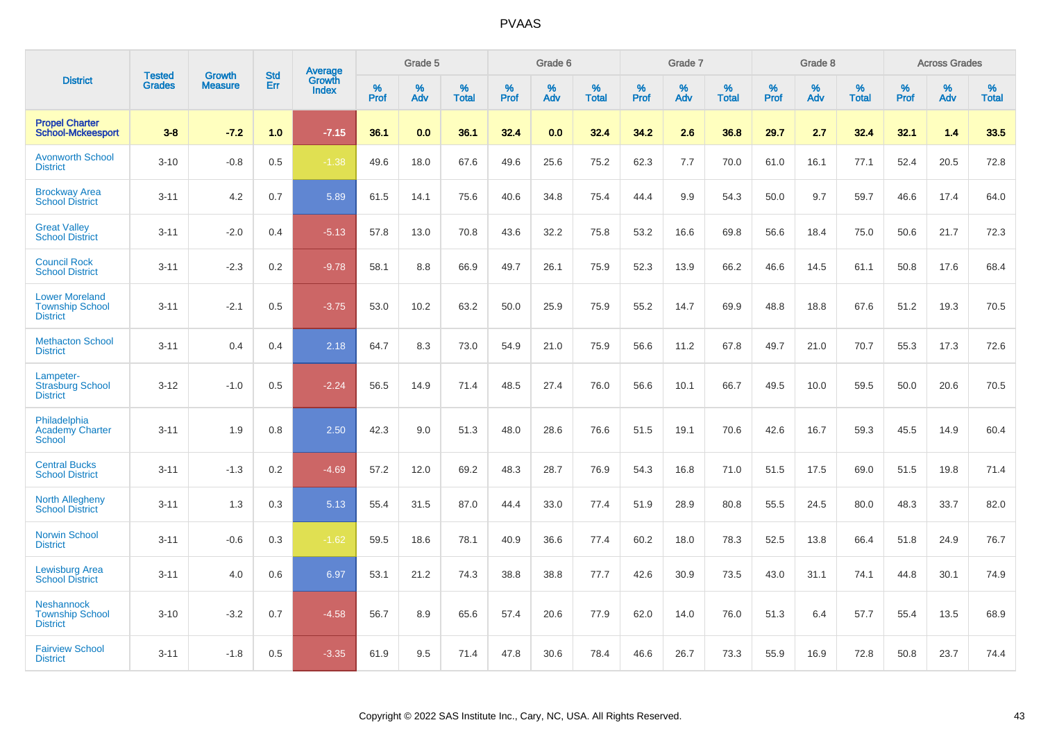| <b>District</b>                                                    | <b>Tested</b> | <b>Growth</b>  | <b>Std</b> | Average                |              | Grade 5  |                   |           | Grade 6  |                   |              | Grade 7  |                   |              | Grade 8  |                   |              | <b>Across Grades</b> |                   |
|--------------------------------------------------------------------|---------------|----------------|------------|------------------------|--------------|----------|-------------------|-----------|----------|-------------------|--------------|----------|-------------------|--------------|----------|-------------------|--------------|----------------------|-------------------|
|                                                                    | <b>Grades</b> | <b>Measure</b> | Err        | Growth<br><b>Index</b> | $\%$<br>Prof | %<br>Adv | %<br><b>Total</b> | %<br>Prof | %<br>Adv | %<br><b>Total</b> | $\%$<br>Prof | %<br>Adv | %<br><b>Total</b> | $\%$<br>Prof | %<br>Adv | %<br><b>Total</b> | $\%$<br>Prof | %<br>Adv             | %<br><b>Total</b> |
| <b>Propel Charter</b><br><b>School-Mckeesport</b>                  | $3 - 8$       | $-7.2$         | 1.0        | $-7.15$                | 36.1         | 0.0      | 36.1              | 32.4      | 0.0      | 32.4              | 34.2         | 2.6      | 36.8              | 29.7         | 2.7      | 32.4              | 32.1         | 1.4                  | 33.5              |
| <b>Avonworth School</b><br><b>District</b>                         | $3 - 10$      | $-0.8$         | 0.5        | $-1.38$                | 49.6         | 18.0     | 67.6              | 49.6      | 25.6     | 75.2              | 62.3         | 7.7      | 70.0              | 61.0         | 16.1     | 77.1              | 52.4         | 20.5                 | 72.8              |
| <b>Brockway Area</b><br><b>School District</b>                     | $3 - 11$      | 4.2            | 0.7        | 5.89                   | 61.5         | 14.1     | 75.6              | 40.6      | 34.8     | 75.4              | 44.4         | 9.9      | 54.3              | 50.0         | 9.7      | 59.7              | 46.6         | 17.4                 | 64.0              |
| <b>Great Valley</b><br><b>School District</b>                      | $3 - 11$      | $-2.0$         | 0.4        | $-5.13$                | 57.8         | 13.0     | 70.8              | 43.6      | 32.2     | 75.8              | 53.2         | 16.6     | 69.8              | 56.6         | 18.4     | 75.0              | 50.6         | 21.7                 | 72.3              |
| <b>Council Rock</b><br><b>School District</b>                      | $3 - 11$      | $-2.3$         | 0.2        | $-9.78$                | 58.1         | 8.8      | 66.9              | 49.7      | 26.1     | 75.9              | 52.3         | 13.9     | 66.2              | 46.6         | 14.5     | 61.1              | 50.8         | 17.6                 | 68.4              |
| <b>Lower Moreland</b><br><b>Township School</b><br><b>District</b> | $3 - 11$      | $-2.1$         | 0.5        | $-3.75$                | 53.0         | 10.2     | 63.2              | 50.0      | 25.9     | 75.9              | 55.2         | 14.7     | 69.9              | 48.8         | 18.8     | 67.6              | 51.2         | 19.3                 | 70.5              |
| <b>Methacton School</b><br><b>District</b>                         | $3 - 11$      | 0.4            | 0.4        | 2.18                   | 64.7         | 8.3      | 73.0              | 54.9      | 21.0     | 75.9              | 56.6         | 11.2     | 67.8              | 49.7         | 21.0     | 70.7              | 55.3         | 17.3                 | 72.6              |
| Lampeter-<br><b>Strasburg School</b><br><b>District</b>            | $3 - 12$      | $-1.0$         | 0.5        | $-2.24$                | 56.5         | 14.9     | 71.4              | 48.5      | 27.4     | 76.0              | 56.6         | 10.1     | 66.7              | 49.5         | 10.0     | 59.5              | 50.0         | 20.6                 | 70.5              |
| Philadelphia<br><b>Academy Charter</b><br><b>School</b>            | $3 - 11$      | 1.9            | 0.8        | 2.50                   | 42.3         | 9.0      | 51.3              | 48.0      | 28.6     | 76.6              | 51.5         | 19.1     | 70.6              | 42.6         | 16.7     | 59.3              | 45.5         | 14.9                 | 60.4              |
| <b>Central Bucks</b><br><b>School District</b>                     | $3 - 11$      | $-1.3$         | 0.2        | $-4.69$                | 57.2         | 12.0     | 69.2              | 48.3      | 28.7     | 76.9              | 54.3         | 16.8     | 71.0              | 51.5         | 17.5     | 69.0              | 51.5         | 19.8                 | 71.4              |
| <b>North Allegheny</b><br><b>School District</b>                   | $3 - 11$      | 1.3            | 0.3        | 5.13                   | 55.4         | 31.5     | 87.0              | 44.4      | 33.0     | 77.4              | 51.9         | 28.9     | 80.8              | 55.5         | 24.5     | 80.0              | 48.3         | 33.7                 | 82.0              |
| <b>Norwin School</b><br><b>District</b>                            | $3 - 11$      | $-0.6$         | 0.3        | $-1.62$                | 59.5         | 18.6     | 78.1              | 40.9      | 36.6     | 77.4              | 60.2         | 18.0     | 78.3              | 52.5         | 13.8     | 66.4              | 51.8         | 24.9                 | 76.7              |
| <b>Lewisburg Area</b><br><b>School District</b>                    | $3 - 11$      | 4.0            | 0.6        | 6.97                   | 53.1         | 21.2     | 74.3              | 38.8      | 38.8     | 77.7              | 42.6         | 30.9     | 73.5              | 43.0         | 31.1     | 74.1              | 44.8         | 30.1                 | 74.9              |
| <b>Neshannock</b><br><b>Township School</b><br><b>District</b>     | $3 - 10$      | $-3.2$         | 0.7        | $-4.58$                | 56.7         | 8.9      | 65.6              | 57.4      | 20.6     | 77.9              | 62.0         | 14.0     | 76.0              | 51.3         | 6.4      | 57.7              | 55.4         | 13.5                 | 68.9              |
| <b>Fairview School</b><br><b>District</b>                          | $3 - 11$      | $-1.8$         | 0.5        | $-3.35$                | 61.9         | 9.5      | 71.4              | 47.8      | 30.6     | 78.4              | 46.6         | 26.7     | 73.3              | 55.9         | 16.9     | 72.8              | 50.8         | 23.7                 | 74.4              |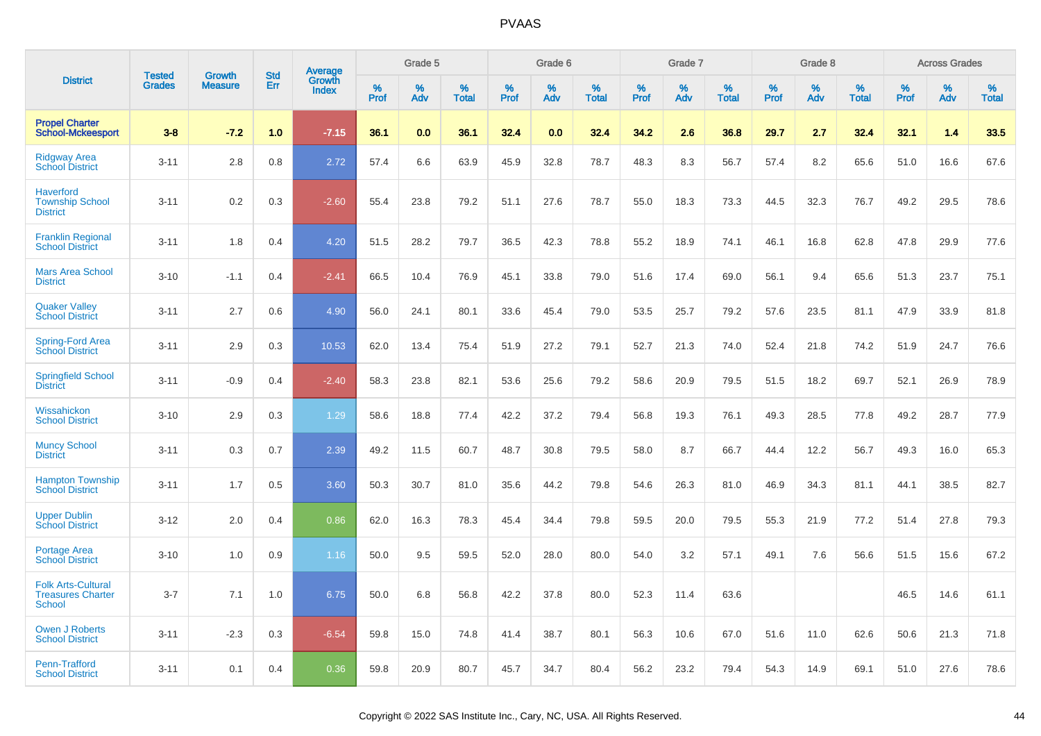| <b>District</b>                                                 |                                |                                 | <b>Std</b> |                                          |              | Grade 5  |                      |              | Grade 6  |                      |              | Grade 7  |                      |              | Grade 8  |                      |              | <b>Across Grades</b> |                      |
|-----------------------------------------------------------------|--------------------------------|---------------------------------|------------|------------------------------------------|--------------|----------|----------------------|--------------|----------|----------------------|--------------|----------|----------------------|--------------|----------|----------------------|--------------|----------------------|----------------------|
|                                                                 | <b>Tested</b><br><b>Grades</b> | <b>Growth</b><br><b>Measure</b> | <b>Err</b> | <b>Average</b><br>Growth<br><b>Index</b> | $\%$<br>Prof | %<br>Adv | $\%$<br><b>Total</b> | $\%$<br>Prof | %<br>Adv | $\%$<br><b>Total</b> | $\%$<br>Prof | %<br>Adv | $\%$<br><b>Total</b> | $\%$<br>Prof | %<br>Adv | $\%$<br><b>Total</b> | $\%$<br>Prof | %<br>Adv             | $\%$<br><b>Total</b> |
| <b>Propel Charter</b><br><b>School-Mckeesport</b>               | $3 - 8$                        | $-7.2$                          | 1.0        | $-7.15$                                  | 36.1         | 0.0      | 36.1                 | 32.4         | 0.0      | 32.4                 | 34.2         | 2.6      | 36.8                 | 29.7         | 2.7      | 32.4                 | 32.1         | 1.4                  | 33.5                 |
| <b>Ridgway Area</b><br><b>School District</b>                   | $3 - 11$                       | 2.8                             | 0.8        | 2.72                                     | 57.4         | 6.6      | 63.9                 | 45.9         | 32.8     | 78.7                 | 48.3         | 8.3      | 56.7                 | 57.4         | 8.2      | 65.6                 | 51.0         | 16.6                 | 67.6                 |
| <b>Haverford</b><br><b>Township School</b><br><b>District</b>   | $3 - 11$                       | 0.2                             | 0.3        | $-2.60$                                  | 55.4         | 23.8     | 79.2                 | 51.1         | 27.6     | 78.7                 | 55.0         | 18.3     | 73.3                 | 44.5         | 32.3     | 76.7                 | 49.2         | 29.5                 | 78.6                 |
| <b>Franklin Regional</b><br><b>School District</b>              | $3 - 11$                       | 1.8                             | 0.4        | 4.20                                     | 51.5         | 28.2     | 79.7                 | 36.5         | 42.3     | 78.8                 | 55.2         | 18.9     | 74.1                 | 46.1         | 16.8     | 62.8                 | 47.8         | 29.9                 | 77.6                 |
| <b>Mars Area School</b><br><b>District</b>                      | $3 - 10$                       | $-1.1$                          | 0.4        | $-2.41$                                  | 66.5         | 10.4     | 76.9                 | 45.1         | 33.8     | 79.0                 | 51.6         | 17.4     | 69.0                 | 56.1         | 9.4      | 65.6                 | 51.3         | 23.7                 | 75.1                 |
| <b>Quaker Valley</b><br><b>School District</b>                  | $3 - 11$                       | 2.7                             | 0.6        | 4.90                                     | 56.0         | 24.1     | 80.1                 | 33.6         | 45.4     | 79.0                 | 53.5         | 25.7     | 79.2                 | 57.6         | 23.5     | 81.1                 | 47.9         | 33.9                 | 81.8                 |
| Spring-Ford Area<br>School District                             | $3 - 11$                       | 2.9                             | 0.3        | 10.53                                    | 62.0         | 13.4     | 75.4                 | 51.9         | 27.2     | 79.1                 | 52.7         | 21.3     | 74.0                 | 52.4         | 21.8     | 74.2                 | 51.9         | 24.7                 | 76.6                 |
| <b>Springfield School</b><br><b>District</b>                    | $3 - 11$                       | $-0.9$                          | 0.4        | $-2.40$                                  | 58.3         | 23.8     | 82.1                 | 53.6         | 25.6     | 79.2                 | 58.6         | 20.9     | 79.5                 | 51.5         | 18.2     | 69.7                 | 52.1         | 26.9                 | 78.9                 |
| Wissahickon<br><b>School District</b>                           | $3 - 10$                       | 2.9                             | 0.3        | 1.29                                     | 58.6         | 18.8     | 77.4                 | 42.2         | 37.2     | 79.4                 | 56.8         | 19.3     | 76.1                 | 49.3         | 28.5     | 77.8                 | 49.2         | 28.7                 | 77.9                 |
| <b>Muncy School</b><br><b>District</b>                          | $3 - 11$                       | 0.3                             | 0.7        | 2.39                                     | 49.2         | 11.5     | 60.7                 | 48.7         | 30.8     | 79.5                 | 58.0         | 8.7      | 66.7                 | 44.4         | 12.2     | 56.7                 | 49.3         | 16.0                 | 65.3                 |
| <b>Hampton Township</b><br><b>School District</b>               | $3 - 11$                       | 1.7                             | 0.5        | 3.60                                     | 50.3         | 30.7     | 81.0                 | 35.6         | 44.2     | 79.8                 | 54.6         | 26.3     | 81.0                 | 46.9         | 34.3     | 81.1                 | 44.1         | 38.5                 | 82.7                 |
| <b>Upper Dublin</b><br><b>School District</b>                   | $3 - 12$                       | 2.0                             | 0.4        | 0.86                                     | 62.0         | 16.3     | 78.3                 | 45.4         | 34.4     | 79.8                 | 59.5         | 20.0     | 79.5                 | 55.3         | 21.9     | 77.2                 | 51.4         | 27.8                 | 79.3                 |
| Portage Area<br><b>School District</b>                          | $3 - 10$                       | 1.0                             | 0.9        | 1.16                                     | 50.0         | 9.5      | 59.5                 | 52.0         | 28.0     | 80.0                 | 54.0         | 3.2      | 57.1                 | 49.1         | 7.6      | 56.6                 | 51.5         | 15.6                 | 67.2                 |
| <b>Folk Arts-Cultural</b><br><b>Treasures Charter</b><br>School | $3 - 7$                        | 7.1                             | 1.0        | 6.75                                     | 50.0         | 6.8      | 56.8                 | 42.2         | 37.8     | 80.0                 | 52.3         | 11.4     | 63.6                 |              |          |                      | 46.5         | 14.6                 | 61.1                 |
| <b>Owen J Roberts</b><br><b>School District</b>                 | $3 - 11$                       | $-2.3$                          | 0.3        | $-6.54$                                  | 59.8         | 15.0     | 74.8                 | 41.4         | 38.7     | 80.1                 | 56.3         | 10.6     | 67.0                 | 51.6         | 11.0     | 62.6                 | 50.6         | 21.3                 | 71.8                 |
| <b>Penn-Trafford</b><br><b>School District</b>                  | $3 - 11$                       | 0.1                             | 0.4        | 0.36                                     | 59.8         | 20.9     | 80.7                 | 45.7         | 34.7     | 80.4                 | 56.2         | 23.2     | 79.4                 | 54.3         | 14.9     | 69.1                 | 51.0         | 27.6                 | 78.6                 |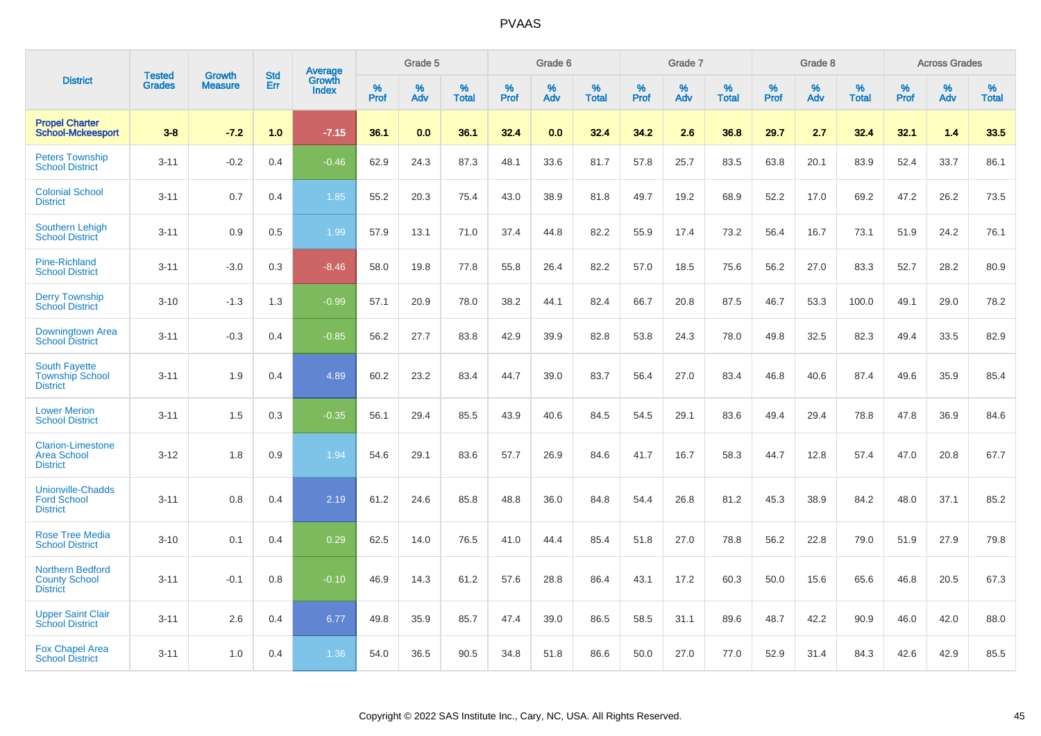| <b>District</b>                                                    | <b>Tested</b> | <b>Growth</b>  | <b>Std</b> | Average         |              | Grade 5  |                   |           | Grade 6  |                   |           | Grade 7  |                   |           | Grade 8  |                   |              | <b>Across Grades</b> |                   |
|--------------------------------------------------------------------|---------------|----------------|------------|-----------------|--------------|----------|-------------------|-----------|----------|-------------------|-----------|----------|-------------------|-----------|----------|-------------------|--------------|----------------------|-------------------|
|                                                                    | <b>Grades</b> | <b>Measure</b> | Err        | Growth<br>Index | $\%$<br>Prof | %<br>Adv | %<br><b>Total</b> | %<br>Prof | %<br>Adv | %<br><b>Total</b> | %<br>Prof | %<br>Adv | %<br><b>Total</b> | %<br>Prof | %<br>Adv | %<br><b>Total</b> | $\%$<br>Prof | $\%$<br>Adv          | %<br><b>Total</b> |
| <b>Propel Charter</b><br><b>School-Mckeesport</b>                  | $3-8$         | $-7.2$         | 1.0        | $-7.15$         | 36.1         | 0.0      | 36.1              | 32.4      | 0.0      | 32.4              | 34.2      | 2.6      | 36.8              | 29.7      | 2.7      | 32.4              | 32.1         | 1.4                  | 33.5              |
| <b>Peters Township</b><br><b>School District</b>                   | $3 - 11$      | $-0.2$         | 0.4        | $-0.46$         | 62.9         | 24.3     | 87.3              | 48.1      | 33.6     | 81.7              | 57.8      | 25.7     | 83.5              | 63.8      | 20.1     | 83.9              | 52.4         | 33.7                 | 86.1              |
| <b>Colonial School</b><br><b>District</b>                          | $3 - 11$      | 0.7            | 0.4        | 1.85            | 55.2         | 20.3     | 75.4              | 43.0      | 38.9     | 81.8              | 49.7      | 19.2     | 68.9              | 52.2      | 17.0     | 69.2              | 47.2         | 26.2                 | 73.5              |
| <b>Southern Lehigh</b><br><b>School District</b>                   | $3 - 11$      | 0.9            | 0.5        | 1.99            | 57.9         | 13.1     | 71.0              | 37.4      | 44.8     | 82.2              | 55.9      | 17.4     | 73.2              | 56.4      | 16.7     | 73.1              | 51.9         | 24.2                 | 76.1              |
| Pine-Richland<br><b>School District</b>                            | $3 - 11$      | $-3.0$         | 0.3        | $-8.46$         | 58.0         | 19.8     | 77.8              | 55.8      | 26.4     | 82.2              | 57.0      | 18.5     | 75.6              | 56.2      | 27.0     | 83.3              | 52.7         | 28.2                 | 80.9              |
| <b>Derry Township</b><br><b>School District</b>                    | $3 - 10$      | $-1.3$         | 1.3        | $-0.99$         | 57.1         | 20.9     | 78.0              | 38.2      | 44.1     | 82.4              | 66.7      | 20.8     | 87.5              | 46.7      | 53.3     | 100.0             | 49.1         | 29.0                 | 78.2              |
| Downingtown Area<br><b>School District</b>                         | $3 - 11$      | $-0.3$         | 0.4        | $-0.85$         | 56.2         | 27.7     | 83.8              | 42.9      | 39.9     | 82.8              | 53.8      | 24.3     | 78.0              | 49.8      | 32.5     | 82.3              | 49.4         | 33.5                 | 82.9              |
| <b>South Fayette</b><br><b>Township School</b><br><b>District</b>  | $3 - 11$      | 1.9            | 0.4        | 4.89            | 60.2         | 23.2     | 83.4              | 44.7      | 39.0     | 83.7              | 56.4      | 27.0     | 83.4              | 46.8      | 40.6     | 87.4              | 49.6         | 35.9                 | 85.4              |
| <b>Lower Merion</b><br><b>School District</b>                      | $3 - 11$      | 1.5            | 0.3        | $-0.35$         | 56.1         | 29.4     | 85.5              | 43.9      | 40.6     | 84.5              | 54.5      | 29.1     | 83.6              | 49.4      | 29.4     | 78.8              | 47.8         | 36.9                 | 84.6              |
| <b>Clarion-Limestone</b><br><b>Area School</b><br><b>District</b>  | $3 - 12$      | 1.8            | 0.9        | 1.94            | 54.6         | 29.1     | 83.6              | 57.7      | 26.9     | 84.6              | 41.7      | 16.7     | 58.3              | 44.7      | 12.8     | 57.4              | 47.0         | 20.8                 | 67.7              |
| <b>Unionville-Chadds</b><br><b>Ford School</b><br><b>District</b>  | $3 - 11$      | 0.8            | 0.4        | 2.19            | 61.2         | 24.6     | 85.8              | 48.8      | 36.0     | 84.8              | 54.4      | 26.8     | 81.2              | 45.3      | 38.9     | 84.2              | 48.0         | 37.1                 | 85.2              |
| <b>Rose Tree Media</b><br><b>School District</b>                   | $3 - 10$      | 0.1            | 0.4        | 0.29            | 62.5         | 14.0     | 76.5              | 41.0      | 44.4     | 85.4              | 51.8      | 27.0     | 78.8              | 56.2      | 22.8     | 79.0              | 51.9         | 27.9                 | 79.8              |
| <b>Northern Bedford</b><br><b>County School</b><br><b>District</b> | $3 - 11$      | $-0.1$         | 0.8        | $-0.10$         | 46.9         | 14.3     | 61.2              | 57.6      | 28.8     | 86.4              | 43.1      | 17.2     | 60.3              | 50.0      | 15.6     | 65.6              | 46.8         | 20.5                 | 67.3              |
| <b>Upper Saint Clair</b><br><b>School District</b>                 | $3 - 11$      | 2.6            | 0.4        | 6.77            | 49.8         | 35.9     | 85.7              | 47.4      | 39.0     | 86.5              | 58.5      | 31.1     | 89.6              | 48.7      | 42.2     | 90.9              | 46.0         | 42.0                 | 88.0              |
| <b>Fox Chapel Area</b><br><b>School District</b>                   | $3 - 11$      | 1.0            | 0.4        | 1.36            | 54.0         | 36.5     | 90.5              | 34.8      | 51.8     | 86.6              | 50.0      | 27.0     | 77.0              | 52.9      | 31.4     | 84.3              | 42.6         | 42.9                 | 85.5              |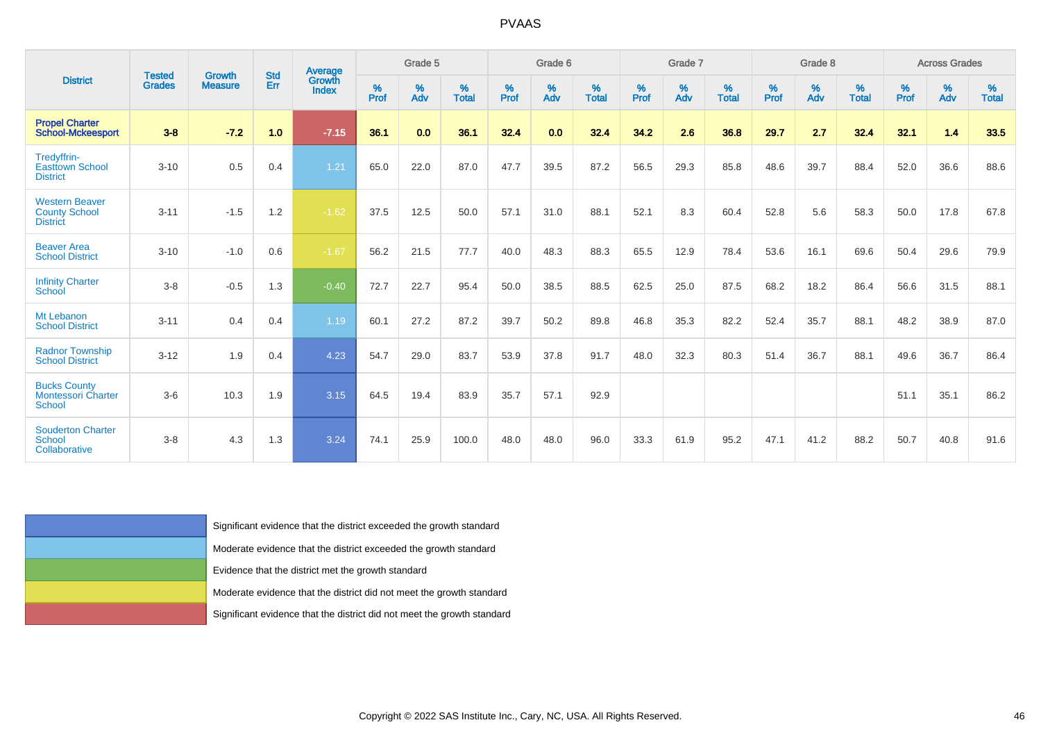|                                                                   |                                |                                                                      |                   | <b>Average</b>                                                          |              | Grade 5                 |                   |          | Grade 6  |                   |          | Grade 7  |                   |          | Grade 8  |                   |          | <b>Across Grades</b> |                   |
|-------------------------------------------------------------------|--------------------------------|----------------------------------------------------------------------|-------------------|-------------------------------------------------------------------------|--------------|-------------------------|-------------------|----------|----------|-------------------|----------|----------|-------------------|----------|----------|-------------------|----------|----------------------|-------------------|
| <b>District</b>                                                   | <b>Tested</b><br><b>Grades</b> | <b>Growth</b><br><b>Measure</b>                                      | <b>Std</b><br>Err | <b>Growth</b><br>Index                                                  | $\%$<br>Prof | $\frac{\%}{\text{Adv}}$ | %<br><b>Total</b> | $%$ Prof | %<br>Adv | %<br><b>Total</b> | $%$ Prof | %<br>Adv | %<br><b>Total</b> | $%$ Prof | %<br>Adv | %<br><b>Total</b> | $%$ Prof | %<br>Adv             | %<br><b>Total</b> |
| <b>Propel Charter</b><br><b>School-Mckeesport</b>                 | $3 - 8$                        | $-7.2$                                                               | 1.0               | $-7.15$                                                                 | 36.1         | 0.0                     | 36.1              | 32.4     | 0.0      | 32.4              | 34.2     | 2.6      | 36.8              | 29.7     | 2.7      | 32.4              | 32.1     | 1.4                  | 33.5              |
| Tredyffrin-<br><b>Easttown School</b><br><b>District</b>          | $3 - 10$                       | 0.5                                                                  | 0.4               | 1.21                                                                    | 65.0         | 22.0                    | 87.0              | 47.7     | 39.5     | 87.2              | 56.5     | 29.3     | 85.8              | 48.6     | 39.7     | 88.4              | 52.0     | 36.6                 | 88.6              |
| <b>Western Beaver</b><br><b>County School</b><br><b>District</b>  | $3 - 11$                       | $-1.5$                                                               | 1.2               | $-1.62$                                                                 | 37.5         | 12.5                    | 50.0              | 57.1     | 31.0     | 88.1              | 52.1     | 8.3      | 60.4              | 52.8     | 5.6      | 58.3              | 50.0     | 17.8                 | 67.8              |
| <b>Beaver Area</b><br><b>School District</b>                      | $3 - 10$                       | $-1.0$                                                               | 0.6               | $-1.67$                                                                 | 56.2         | 21.5                    | 77.7              | 40.0     | 48.3     | 88.3              | 65.5     | 12.9     | 78.4              | 53.6     | 16.1     | 69.6              | 50.4     | 29.6                 | 79.9              |
| <b>Infinity Charter</b><br>School                                 | $3 - 8$                        | $-0.5$                                                               | 1.3               | $-0.40$                                                                 | 72.7         | 22.7                    | 95.4              | 50.0     | 38.5     | 88.5              | 62.5     | 25.0     | 87.5              | 68.2     | 18.2     | 86.4              | 56.6     | 31.5                 | 88.1              |
| Mt Lebanon<br><b>School District</b>                              | $3 - 11$                       | 0.4                                                                  | 0.4               | 1.19                                                                    | 60.1         | 27.2                    | 87.2              | 39.7     | 50.2     | 89.8              | 46.8     | 35.3     | 82.2              | 52.4     | 35.7     | 88.1              | 48.2     | 38.9                 | 87.0              |
| <b>Radnor Township</b><br><b>School District</b>                  | $3 - 12$                       | 1.9                                                                  | 0.4               | 4.23                                                                    | 54.7         | 29.0                    | 83.7              | 53.9     | 37.8     | 91.7              | 48.0     | 32.3     | 80.3              | 51.4     | 36.7     | 88.1              | 49.6     | 36.7                 | 86.4              |
| <b>Bucks County</b><br><b>Montessori Charter</b><br><b>School</b> | $3-6$                          | 10.3                                                                 | 1.9               | 3.15                                                                    | 64.5         | 19.4                    | 83.9              | 35.7     | 57.1     | 92.9              |          |          |                   |          |          |                   | 51.1     | 35.1                 | 86.2              |
| <b>Souderton Charter</b><br><b>School</b><br>Collaborative        | $3 - 8$                        | 4.3                                                                  | 1.3               | 3.24                                                                    | 74.1         | 25.9                    | 100.0             | 48.0     | 48.0     | 96.0              | 33.3     | 61.9     | 95.2              | 47.1     | 41.2     | 88.2              | 50.7     | 40.8                 | 91.6              |
|                                                                   |                                |                                                                      |                   |                                                                         |              |                         |                   |          |          |                   |          |          |                   |          |          |                   |          |                      |                   |
|                                                                   |                                |                                                                      |                   |                                                                         |              |                         |                   |          |          |                   |          |          |                   |          |          |                   |          |                      |                   |
|                                                                   |                                |                                                                      |                   | Significant evidence that the district exceeded the growth standard     |              |                         |                   |          |          |                   |          |          |                   |          |          |                   |          |                      |                   |
|                                                                   |                                |                                                                      |                   | Moderate evidence that the district exceeded the growth standard        |              |                         |                   |          |          |                   |          |          |                   |          |          |                   |          |                      |                   |
|                                                                   |                                |                                                                      |                   | Evidence that the district met the growth standard                      |              |                         |                   |          |          |                   |          |          |                   |          |          |                   |          |                      |                   |
|                                                                   |                                | Moderate evidence that the district did not meet the growth standard |                   |                                                                         |              |                         |                   |          |          |                   |          |          |                   |          |          |                   |          |                      |                   |
|                                                                   |                                |                                                                      |                   | Significant evidence that the district did not meet the growth standard |              |                         |                   |          |          |                   |          |          |                   |          |          |                   |          |                      |                   |